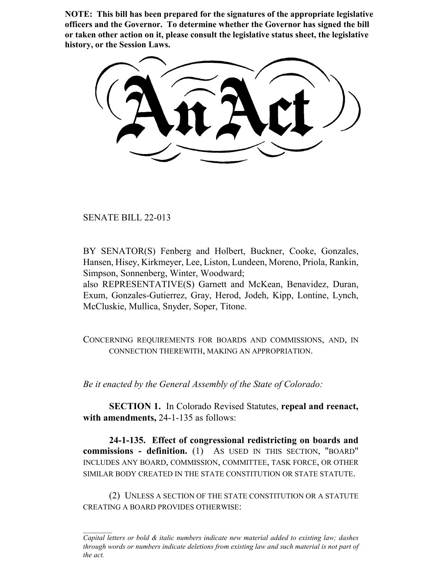**NOTE: This bill has been prepared for the signatures of the appropriate legislative officers and the Governor. To determine whether the Governor has signed the bill or taken other action on it, please consult the legislative status sheet, the legislative history, or the Session Laws.**

SENATE BILL 22-013

BY SENATOR(S) Fenberg and Holbert, Buckner, Cooke, Gonzales, Hansen, Hisey, Kirkmeyer, Lee, Liston, Lundeen, Moreno, Priola, Rankin, Simpson, Sonnenberg, Winter, Woodward;

also REPRESENTATIVE(S) Garnett and McKean, Benavidez, Duran, Exum, Gonzales-Gutierrez, Gray, Herod, Jodeh, Kipp, Lontine, Lynch, McCluskie, Mullica, Snyder, Soper, Titone.

CONCERNING REQUIREMENTS FOR BOARDS AND COMMISSIONS, AND, IN CONNECTION THEREWITH, MAKING AN APPROPRIATION.

*Be it enacted by the General Assembly of the State of Colorado:*

**SECTION 1.** In Colorado Revised Statutes, **repeal and reenact, with amendments,** 24-1-135 as follows:

**24-1-135. Effect of congressional redistricting on boards and commissions - definition.** (1) AS USED IN THIS SECTION, "BOARD" INCLUDES ANY BOARD, COMMISSION, COMMITTEE, TASK FORCE, OR OTHER SIMILAR BODY CREATED IN THE STATE CONSTITUTION OR STATE STATUTE.

(2) UNLESS A SECTION OF THE STATE CONSTITUTION OR A STATUTE CREATING A BOARD PROVIDES OTHERWISE:

*Capital letters or bold & italic numbers indicate new material added to existing law; dashes through words or numbers indicate deletions from existing law and such material is not part of the act.*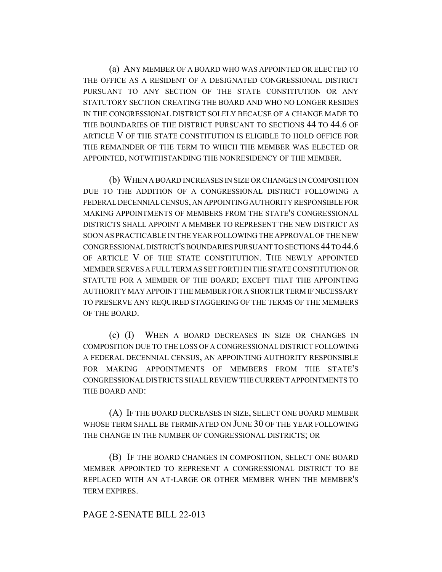(a) ANY MEMBER OF A BOARD WHO WAS APPOINTED OR ELECTED TO THE OFFICE AS A RESIDENT OF A DESIGNATED CONGRESSIONAL DISTRICT PURSUANT TO ANY SECTION OF THE STATE CONSTITUTION OR ANY STATUTORY SECTION CREATING THE BOARD AND WHO NO LONGER RESIDES IN THE CONGRESSIONAL DISTRICT SOLELY BECAUSE OF A CHANGE MADE TO THE BOUNDARIES OF THE DISTRICT PURSUANT TO SECTIONS 44 TO 44.6 OF ARTICLE V OF THE STATE CONSTITUTION IS ELIGIBLE TO HOLD OFFICE FOR THE REMAINDER OF THE TERM TO WHICH THE MEMBER WAS ELECTED OR APPOINTED, NOTWITHSTANDING THE NONRESIDENCY OF THE MEMBER.

(b) WHEN A BOARD INCREASES IN SIZE OR CHANGES IN COMPOSITION DUE TO THE ADDITION OF A CONGRESSIONAL DISTRICT FOLLOWING A FEDERAL DECENNIAL CENSUS, AN APPOINTING AUTHORITY RESPONSIBLE FOR MAKING APPOINTMENTS OF MEMBERS FROM THE STATE'S CONGRESSIONAL DISTRICTS SHALL APPOINT A MEMBER TO REPRESENT THE NEW DISTRICT AS SOON AS PRACTICABLE IN THE YEAR FOLLOWING THE APPROVAL OF THE NEW CONGRESSIONAL DISTRICT'S BOUNDARIES PURSUANT TO SECTIONS 44 TO 44.6 OF ARTICLE V OF THE STATE CONSTITUTION. THE NEWLY APPOINTED MEMBER SERVES A FULL TERM AS SET FORTH IN THE STATE CONSTITUTION OR STATUTE FOR A MEMBER OF THE BOARD; EXCEPT THAT THE APPOINTING AUTHORITY MAY APPOINT THE MEMBER FOR A SHORTER TERM IF NECESSARY TO PRESERVE ANY REQUIRED STAGGERING OF THE TERMS OF THE MEMBERS OF THE BOARD.

(c) (I) WHEN A BOARD DECREASES IN SIZE OR CHANGES IN COMPOSITION DUE TO THE LOSS OF A CONGRESSIONAL DISTRICT FOLLOWING A FEDERAL DECENNIAL CENSUS, AN APPOINTING AUTHORITY RESPONSIBLE FOR MAKING APPOINTMENTS OF MEMBERS FROM THE STATE'S CONGRESSIONAL DISTRICTS SHALL REVIEW THE CURRENT APPOINTMENTS TO THE BOARD AND:

(A) IF THE BOARD DECREASES IN SIZE, SELECT ONE BOARD MEMBER WHOSE TERM SHALL BE TERMINATED ON JUNE 30 OF THE YEAR FOLLOWING THE CHANGE IN THE NUMBER OF CONGRESSIONAL DISTRICTS; OR

(B) IF THE BOARD CHANGES IN COMPOSITION, SELECT ONE BOARD MEMBER APPOINTED TO REPRESENT A CONGRESSIONAL DISTRICT TO BE REPLACED WITH AN AT-LARGE OR OTHER MEMBER WHEN THE MEMBER'S TERM EXPIRES.

## PAGE 2-SENATE BILL 22-013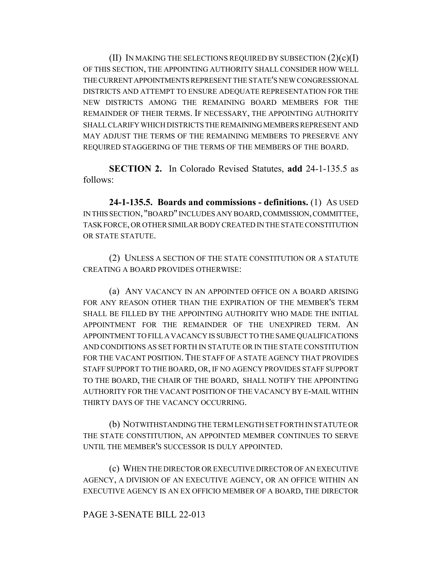(II) IN MAKING THE SELECTIONS REQUIRED BY SUBSECTION  $(2)(c)(I)$ OF THIS SECTION, THE APPOINTING AUTHORITY SHALL CONSIDER HOW WELL THE CURRENT APPOINTMENTS REPRESENT THE STATE'S NEW CONGRESSIONAL DISTRICTS AND ATTEMPT TO ENSURE ADEQUATE REPRESENTATION FOR THE NEW DISTRICTS AMONG THE REMAINING BOARD MEMBERS FOR THE REMAINDER OF THEIR TERMS. IF NECESSARY, THE APPOINTING AUTHORITY SHALL CLARIFY WHICH DISTRICTS THE REMAINING MEMBERS REPRESENT AND MAY ADJUST THE TERMS OF THE REMAINING MEMBERS TO PRESERVE ANY REQUIRED STAGGERING OF THE TERMS OF THE MEMBERS OF THE BOARD.

**SECTION 2.** In Colorado Revised Statutes, **add** 24-1-135.5 as follows:

**24-1-135.5. Boards and commissions - definitions.** (1) AS USED IN THIS SECTION, "BOARD" INCLUDES ANY BOARD, COMMISSION, COMMITTEE, TASK FORCE, OR OTHER SIMILAR BODY CREATED IN THE STATE CONSTITUTION OR STATE STATUTE.

(2) UNLESS A SECTION OF THE STATE CONSTITUTION OR A STATUTE CREATING A BOARD PROVIDES OTHERWISE:

(a) ANY VACANCY IN AN APPOINTED OFFICE ON A BOARD ARISING FOR ANY REASON OTHER THAN THE EXPIRATION OF THE MEMBER'S TERM SHALL BE FILLED BY THE APPOINTING AUTHORITY WHO MADE THE INITIAL APPOINTMENT FOR THE REMAINDER OF THE UNEXPIRED TERM. AN APPOINTMENT TO FILL A VACANCY IS SUBJECT TO THE SAME QUALIFICATIONS AND CONDITIONS AS SET FORTH IN STATUTE OR IN THE STATE CONSTITUTION FOR THE VACANT POSITION. THE STAFF OF A STATE AGENCY THAT PROVIDES STAFF SUPPORT TO THE BOARD, OR, IF NO AGENCY PROVIDES STAFF SUPPORT TO THE BOARD, THE CHAIR OF THE BOARD, SHALL NOTIFY THE APPOINTING AUTHORITY FOR THE VACANT POSITION OF THE VACANCY BY E-MAIL WITHIN THIRTY DAYS OF THE VACANCY OCCURRING.

(b) NOTWITHSTANDING THE TERM LENGTH SET FORTH IN STATUTE OR THE STATE CONSTITUTION, AN APPOINTED MEMBER CONTINUES TO SERVE UNTIL THE MEMBER'S SUCCESSOR IS DULY APPOINTED.

(c) WHEN THE DIRECTOR OR EXECUTIVE DIRECTOR OF AN EXECUTIVE AGENCY, A DIVISION OF AN EXECUTIVE AGENCY, OR AN OFFICE WITHIN AN EXECUTIVE AGENCY IS AN EX OFFICIO MEMBER OF A BOARD, THE DIRECTOR

## PAGE 3-SENATE BILL 22-013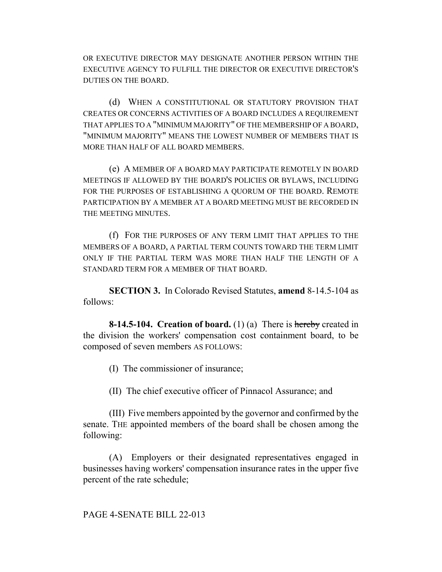OR EXECUTIVE DIRECTOR MAY DESIGNATE ANOTHER PERSON WITHIN THE EXECUTIVE AGENCY TO FULFILL THE DIRECTOR OR EXECUTIVE DIRECTOR'S DUTIES ON THE BOARD.

(d) WHEN A CONSTITUTIONAL OR STATUTORY PROVISION THAT CREATES OR CONCERNS ACTIVITIES OF A BOARD INCLUDES A REQUIREMENT THAT APPLIES TO A "MINIMUM MAJORITY" OF THE MEMBERSHIP OF A BOARD, "MINIMUM MAJORITY" MEANS THE LOWEST NUMBER OF MEMBERS THAT IS MORE THAN HALF OF ALL BOARD MEMBERS.

(e) A MEMBER OF A BOARD MAY PARTICIPATE REMOTELY IN BOARD MEETINGS IF ALLOWED BY THE BOARD'S POLICIES OR BYLAWS, INCLUDING FOR THE PURPOSES OF ESTABLISHING A QUORUM OF THE BOARD. REMOTE PARTICIPATION BY A MEMBER AT A BOARD MEETING MUST BE RECORDED IN THE MEETING MINUTES.

(f) FOR THE PURPOSES OF ANY TERM LIMIT THAT APPLIES TO THE MEMBERS OF A BOARD, A PARTIAL TERM COUNTS TOWARD THE TERM LIMIT ONLY IF THE PARTIAL TERM WAS MORE THAN HALF THE LENGTH OF A STANDARD TERM FOR A MEMBER OF THAT BOARD.

**SECTION 3.** In Colorado Revised Statutes, **amend** 8-14.5-104 as follows:

**8-14.5-104. Creation of board.** (1) (a) There is hereby created in the division the workers' compensation cost containment board, to be composed of seven members AS FOLLOWS:

(I) The commissioner of insurance;

(II) The chief executive officer of Pinnacol Assurance; and

(III) Five members appointed by the governor and confirmed by the senate. THE appointed members of the board shall be chosen among the following:

(A) Employers or their designated representatives engaged in businesses having workers' compensation insurance rates in the upper five percent of the rate schedule;

PAGE 4-SENATE BILL 22-013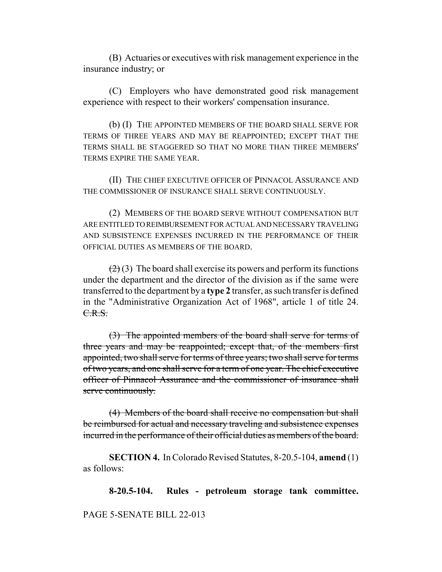(B) Actuaries or executives with risk management experience in the insurance industry; or

(C) Employers who have demonstrated good risk management experience with respect to their workers' compensation insurance.

(b) (I) THE APPOINTED MEMBERS OF THE BOARD SHALL SERVE FOR TERMS OF THREE YEARS AND MAY BE REAPPOINTED; EXCEPT THAT THE TERMS SHALL BE STAGGERED SO THAT NO MORE THAN THREE MEMBERS' TERMS EXPIRE THE SAME YEAR.

(II) THE CHIEF EXECUTIVE OFFICER OF PINNACOL ASSURANCE AND THE COMMISSIONER OF INSURANCE SHALL SERVE CONTINUOUSLY.

(2) MEMBERS OF THE BOARD SERVE WITHOUT COMPENSATION BUT ARE ENTITLED TO REIMBURSEMENT FOR ACTUAL AND NECESSARY TRAVELING AND SUBSISTENCE EXPENSES INCURRED IN THE PERFORMANCE OF THEIR OFFICIAL DUTIES AS MEMBERS OF THE BOARD.

 $\left(\frac{2}{2}\right)$  (3) The board shall exercise its powers and perform its functions under the department and the director of the division as if the same were transferred to the department by a **type 2** transfer, as such transfer is defined in the "Administrative Organization Act of 1968", article 1 of title 24. C.R.S.

(3) The appointed members of the board shall serve for terms of three years and may be reappointed; except that, of the members first appointed, two shall serve for terms of three years; two shall serve for terms of two years, and one shall serve for a term of one year. The chief executive officer of Pinnacol Assurance and the commissioner of insurance shall serve continuously.

(4) Members of the board shall receive no compensation but shall be reimbursed for actual and necessary traveling and subsistence expenses incurred in the performance of their official duties as members of the board.

**SECTION 4.** In Colorado Revised Statutes, 8-20.5-104, **amend** (1) as follows:

**8-20.5-104. Rules - petroleum storage tank committee.**

PAGE 5-SENATE BILL 22-013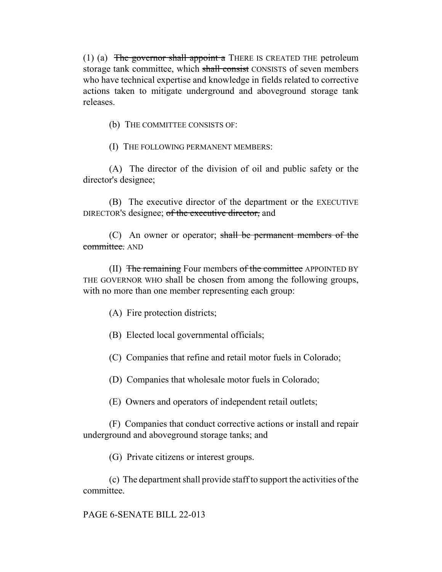(1) (a) The governor shall appoint a THERE IS CREATED THE petroleum storage tank committee, which shall consist CONSISTS of seven members who have technical expertise and knowledge in fields related to corrective actions taken to mitigate underground and aboveground storage tank releases.

(b) THE COMMITTEE CONSISTS OF:

(I) THE FOLLOWING PERMANENT MEMBERS:

(A) The director of the division of oil and public safety or the director's designee;

(B) The executive director of the department or the EXECUTIVE DIRECTOR'S designee; of the executive director, and

(C) An owner or operator; shall be permanent members of the committee. AND

(II) The remaining Four members of the committee APPOINTED BY THE GOVERNOR WHO shall be chosen from among the following groups, with no more than one member representing each group:

(A) Fire protection districts;

(B) Elected local governmental officials;

(C) Companies that refine and retail motor fuels in Colorado;

(D) Companies that wholesale motor fuels in Colorado;

(E) Owners and operators of independent retail outlets;

(F) Companies that conduct corrective actions or install and repair underground and aboveground storage tanks; and

(G) Private citizens or interest groups.

(c) The department shall provide staff to support the activities of the committee.

PAGE 6-SENATE BILL 22-013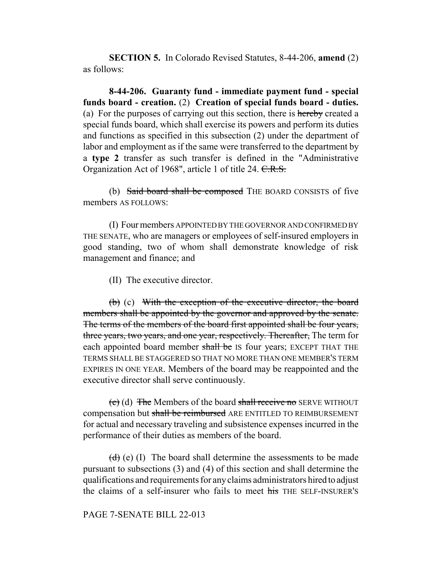**SECTION 5.** In Colorado Revised Statutes, 8-44-206, **amend** (2) as follows:

**8-44-206. Guaranty fund - immediate payment fund - special funds board - creation.** (2) **Creation of special funds board - duties.** (a) For the purposes of carrying out this section, there is hereby created a special funds board, which shall exercise its powers and perform its duties and functions as specified in this subsection (2) under the department of labor and employment as if the same were transferred to the department by a **type 2** transfer as such transfer is defined in the "Administrative Organization Act of 1968", article 1 of title 24. C.R.S.

(b) Said board shall be composed THE BOARD CONSISTS of five members AS FOLLOWS:

(I) Four members APPOINTED BY THE GOVERNOR AND CONFIRMED BY THE SENATE, who are managers or employees of self-insured employers in good standing, two of whom shall demonstrate knowledge of risk management and finance; and

(II) The executive director.

(b) (c) With the exception of the executive director, the board members shall be appointed by the governor and approved by the senate. The terms of the members of the board first appointed shall be four years, three years, two years, and one year, respectively. Thereafter, The term for each appointed board member shall be IS four years; EXCEPT THAT THE TERMS SHALL BE STAGGERED SO THAT NO MORE THAN ONE MEMBER'S TERM EXPIRES IN ONE YEAR. Members of the board may be reappointed and the executive director shall serve continuously.

(c) (d) The Members of the board shall receive no SERVE WITHOUT compensation but shall be reimbursed ARE ENTITLED TO REIMBURSEMENT for actual and necessary traveling and subsistence expenses incurred in the performance of their duties as members of the board.

 $(d)$  (e) (I) The board shall determine the assessments to be made pursuant to subsections (3) and (4) of this section and shall determine the qualifications and requirements for any claims administrators hired to adjust the claims of a self-insurer who fails to meet his THE SELF-INSURER'S

### PAGE 7-SENATE BILL 22-013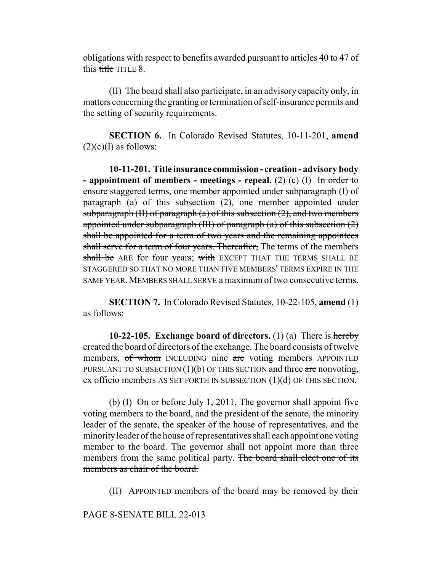obligations with respect to benefits awarded pursuant to articles 40 to 47 of this title TITLE 8.

(II) The board shall also participate, in an advisory capacity only, in matters concerning the granting or termination of self-insurance permits and the setting of security requirements.

**SECTION 6.** In Colorado Revised Statutes, 10-11-201, **amend**  $(2)(c)(I)$  as follows:

**10-11-201. Title insurance commission - creation - advisory body - appointment of members - meetings - repeal.** (2) (c) (I) In order to ensure staggered terms, one member appointed under subparagraph (I) of paragraph (a) of this subsection (2), one member appointed under subparagraph  $(H)$  of paragraph  $(a)$  of this subsection  $(2)$ , and two members appointed under subparagraph (III) of paragraph (a) of this subsection  $(2)$ shall be appointed for a term of two years and the remaining appointees shall serve for a term of four years. Thereafter, The terms of the members shall be ARE for four years; with EXCEPT THAT THE TERMS SHALL BE STAGGERED SO THAT NO MORE THAN FIVE MEMBERS' TERMS EXPIRE IN THE SAME YEAR.MEMBERS SHALL SERVE a maximum of two consecutive terms.

**SECTION 7.** In Colorado Revised Statutes, 10-22-105, **amend** (1) as follows:

**10-22-105. Exchange board of directors.** (1) (a) There is hereby created the board of directors of the exchange. The board consists of twelve members, of whom INCLUDING nine are voting members APPOINTED PURSUANT TO SUBSECTION  $(1)(b)$  OF THIS SECTION and three are nonvoting, ex officio members AS SET FORTH IN SUBSECTION (1)(d) OF THIS SECTION.

(b) (I)  $\Theta$ n or before July 1, 2011, The governor shall appoint five voting members to the board, and the president of the senate, the minority leader of the senate, the speaker of the house of representatives, and the minority leader of the house of representatives shall each appoint one voting member to the board. The governor shall not appoint more than three members from the same political party. The board shall elect one of its members as chair of the board.

(II) APPOINTED members of the board may be removed by their

PAGE 8-SENATE BILL 22-013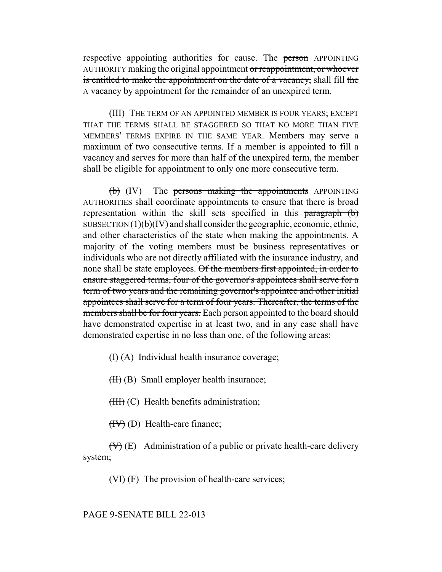respective appointing authorities for cause. The person APPOINTING AUTHORITY making the original appointment or reappointment, or whoever is entitled to make the appointment on the date of a vacancy, shall fill the A vacancy by appointment for the remainder of an unexpired term.

(III) THE TERM OF AN APPOINTED MEMBER IS FOUR YEARS; EXCEPT THAT THE TERMS SHALL BE STAGGERED SO THAT NO MORE THAN FIVE MEMBERS' TERMS EXPIRE IN THE SAME YEAR. Members may serve a maximum of two consecutive terms. If a member is appointed to fill a vacancy and serves for more than half of the unexpired term, the member shall be eligible for appointment to only one more consecutive term.

 $(b)$  (IV) The persons making the appointments APPOINTING AUTHORITIES shall coordinate appointments to ensure that there is broad representation within the skill sets specified in this paragraph (b) SUBSECTION  $(1)(b)(IV)$  and shall consider the geographic, economic, ethnic, and other characteristics of the state when making the appointments. A majority of the voting members must be business representatives or individuals who are not directly affiliated with the insurance industry, and none shall be state employees. Of the members first appointed, in order to ensure staggered terms, four of the governor's appointees shall serve for a term of two years and the remaining governor's appointee and other initial appointees shall serve for a term of four years. Thereafter, the terms of the members shall be for four years. Each person appointed to the board should have demonstrated expertise in at least two, and in any case shall have demonstrated expertise in no less than one, of the following areas:

 $(H)(A)$  Individual health insurance coverage;

 $(HH)(B)$  Small employer health insurance;

 $(HH)$  (C) Health benefits administration;

 $(HV)$  (D) Health-care finance;

 $(\forall)$  (E) Administration of a public or private health-care delivery system;

(VI) (F) The provision of health-care services;

#### PAGE 9-SENATE BILL 22-013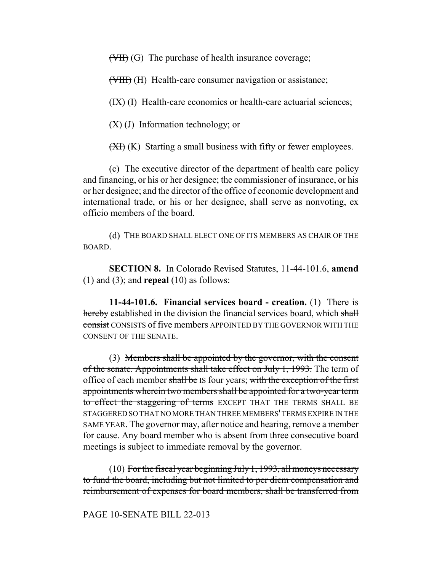(VII) (G) The purchase of health insurance coverage;

(VIII) (H) Health-care consumer navigation or assistance;

 $(HX)$  (I) Health-care economics or health-care actuarial sciences;

 $(\mathbf{X})$  (J) Information technology; or

 $\overline{(X)}$  (K) Starting a small business with fifty or fewer employees.

(c) The executive director of the department of health care policy and financing, or his or her designee; the commissioner of insurance, or his or her designee; and the director of the office of economic development and international trade, or his or her designee, shall serve as nonvoting, ex officio members of the board.

(d) THE BOARD SHALL ELECT ONE OF ITS MEMBERS AS CHAIR OF THE BOARD.

**SECTION 8.** In Colorado Revised Statutes, 11-44-101.6, **amend** (1) and (3); and **repeal** (10) as follows:

**11-44-101.6. Financial services board - creation.** (1) There is hereby established in the division the financial services board, which shall consist CONSISTS of five members APPOINTED BY THE GOVERNOR WITH THE CONSENT OF THE SENATE.

(3) Members shall be appointed by the governor, with the consent of the senate. Appointments shall take effect on July 1, 1993. The term of office of each member shall be IS four years; with the exception of the first appointments wherein two members shall be appointed for a two-year term to effect the staggering of terms EXCEPT THAT THE TERMS SHALL BE STAGGERED SO THAT NO MORE THAN THREE MEMBERS' TERMS EXPIRE IN THE SAME YEAR. The governor may, after notice and hearing, remove a member for cause. Any board member who is absent from three consecutive board meetings is subject to immediate removal by the governor.

 $(10)$  For the fiscal year beginning July 1, 1993, all moneys necessary to fund the board, including but not limited to per diem compensation and reimbursement of expenses for board members, shall be transferred from

PAGE 10-SENATE BILL 22-013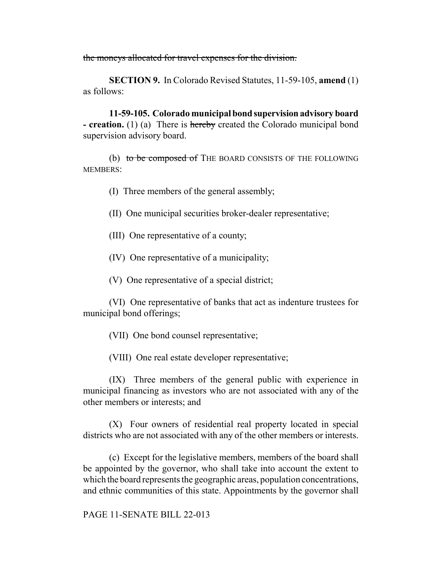the moneys allocated for travel expenses for the division.

**SECTION 9.** In Colorado Revised Statutes, 11-59-105, **amend** (1) as follows:

**11-59-105. Colorado municipal bond supervision advisory board - creation.** (1) (a) There is hereby created the Colorado municipal bond supervision advisory board.

(b) to be composed of THE BOARD CONSISTS OF THE FOLLOWING MEMBERS:

(I) Three members of the general assembly;

(II) One municipal securities broker-dealer representative;

(III) One representative of a county;

(IV) One representative of a municipality;

(V) One representative of a special district;

(VI) One representative of banks that act as indenture trustees for municipal bond offerings;

(VII) One bond counsel representative;

(VIII) One real estate developer representative;

(IX) Three members of the general public with experience in municipal financing as investors who are not associated with any of the other members or interests; and

(X) Four owners of residential real property located in special districts who are not associated with any of the other members or interests.

(c) Except for the legislative members, members of the board shall be appointed by the governor, who shall take into account the extent to which the board represents the geographic areas, population concentrations, and ethnic communities of this state. Appointments by the governor shall

PAGE 11-SENATE BILL 22-013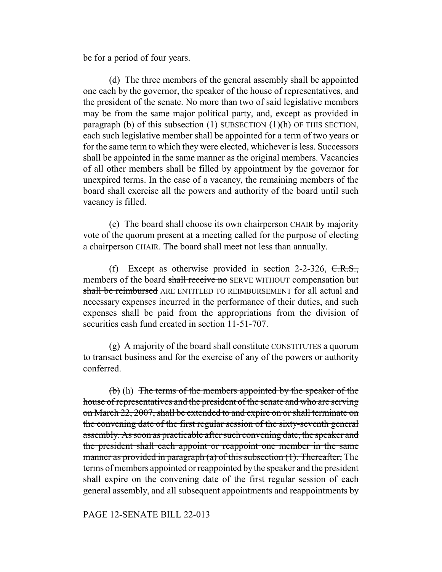be for a period of four years.

(d) The three members of the general assembly shall be appointed one each by the governor, the speaker of the house of representatives, and the president of the senate. No more than two of said legislative members may be from the same major political party, and, except as provided in paragraph (b) of this subsection  $(1)$  SUBSECTION  $(1)(h)$  OF THIS SECTION, each such legislative member shall be appointed for a term of two years or for the same term to which they were elected, whichever is less. Successors shall be appointed in the same manner as the original members. Vacancies of all other members shall be filled by appointment by the governor for unexpired terms. In the case of a vacancy, the remaining members of the board shall exercise all the powers and authority of the board until such vacancy is filled.

(e) The board shall choose its own chairperson CHAIR by majority vote of the quorum present at a meeting called for the purpose of electing a chairperson CHAIR. The board shall meet not less than annually.

(f) Except as otherwise provided in section 2-2-326, C.R.S., members of the board shall receive no SERVE WITHOUT compensation but shall be reimbursed ARE ENTITLED TO REIMBURSEMENT for all actual and necessary expenses incurred in the performance of their duties, and such expenses shall be paid from the appropriations from the division of securities cash fund created in section 11-51-707.

(g) A majority of the board shall constitute CONSTITUTES a quorum to transact business and for the exercise of any of the powers or authority conferred.

 $(b)$  (h) The terms of the members appointed by the speaker of the house of representatives and the president of the senate and who are serving on March 22, 2007, shall be extended to and expire on or shall terminate on the convening date of the first regular session of the sixty-seventh general assembly. As soon as practicable after such convening date, the speaker and the president shall each appoint or reappoint one member in the same manner as provided in paragraph (a) of this subsection  $(1)$ . Thereafter, The terms of members appointed or reappointed by the speaker and the president shall expire on the convening date of the first regular session of each general assembly, and all subsequent appointments and reappointments by

### PAGE 12-SENATE BILL 22-013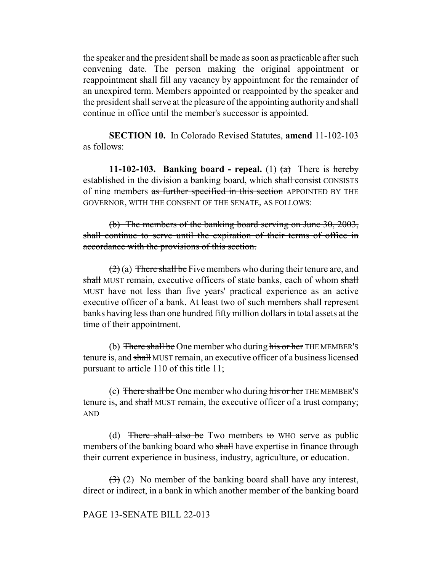the speaker and the president shall be made as soon as practicable after such convening date. The person making the original appointment or reappointment shall fill any vacancy by appointment for the remainder of an unexpired term. Members appointed or reappointed by the speaker and the president shall serve at the pleasure of the appointing authority and shall continue in office until the member's successor is appointed.

**SECTION 10.** In Colorado Revised Statutes, **amend** 11-102-103 as follows:

**11-102-103. Banking board - repeal.** (1)  $(a)$  There is hereby established in the division a banking board, which shall consist CONSISTS of nine members as further specified in this section APPOINTED BY THE GOVERNOR, WITH THE CONSENT OF THE SENATE, AS FOLLOWS:

(b) The members of the banking board serving on June 30, 2003, shall continue to serve until the expiration of their terms of office in accordance with the provisions of this section.

 $(2)$  (a) There shall be Five members who during their tenure are, and shall MUST remain, executive officers of state banks, each of whom shall MUST have not less than five years' practical experience as an active executive officer of a bank. At least two of such members shall represent banks having less than one hundred fifty million dollars in total assets at the time of their appointment.

(b) There shall be One member who during his or her THE MEMBER'S tenure is, and shall MUST remain, an executive officer of a business licensed pursuant to article 110 of this title 11;

(c) There shall be One member who during his or her THE MEMBER'S tenure is, and shall MUST remain, the executive officer of a trust company; AND

(d) There shall also be Two members to WHO serve as public members of the banking board who shall have expertise in finance through their current experience in business, industry, agriculture, or education.

 $(3)$  (2) No member of the banking board shall have any interest, direct or indirect, in a bank in which another member of the banking board

### PAGE 13-SENATE BILL 22-013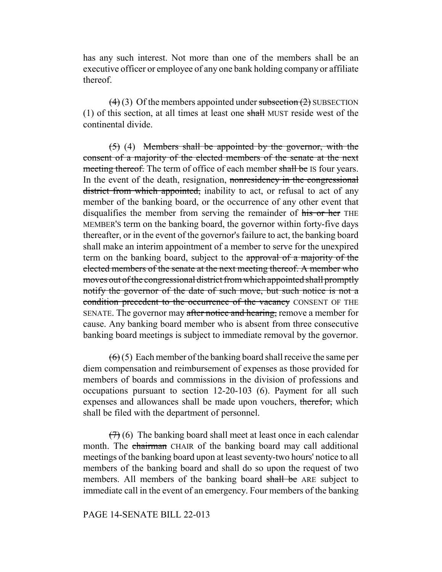has any such interest. Not more than one of the members shall be an executive officer or employee of any one bank holding company or affiliate thereof.

 $(4)(3)$  Of the members appointed under subsection  $(2)$  SUBSECTION (1) of this section, at all times at least one shall MUST reside west of the continental divide.

(5) (4) Members shall be appointed by the governor, with the consent of a majority of the elected members of the senate at the next meeting thereof. The term of office of each member shall be IS four years. In the event of the death, resignation, nonresidency in the congressional district from which appointed, inability to act, or refusal to act of any member of the banking board, or the occurrence of any other event that disqualifies the member from serving the remainder of his or her THE MEMBER'S term on the banking board, the governor within forty-five days thereafter, or in the event of the governor's failure to act, the banking board shall make an interim appointment of a member to serve for the unexpired term on the banking board, subject to the approval of a majority of the elected members of the senate at the next meeting thereof. A member who moves out of the congressional district from which appointed shall promptly notify the governor of the date of such move, but such notice is not a condition precedent to the occurrence of the vacancy CONSENT OF THE SENATE. The governor may after notice and hearing, remove a member for cause. Any banking board member who is absent from three consecutive banking board meetings is subject to immediate removal by the governor.

 $(6)(5)$  Each member of the banking board shall receive the same per diem compensation and reimbursement of expenses as those provided for members of boards and commissions in the division of professions and occupations pursuant to section 12-20-103 (6). Payment for all such expenses and allowances shall be made upon vouchers, therefor, which shall be filed with the department of personnel.

 $(7)$  (6) The banking board shall meet at least once in each calendar month. The chairman CHAIR of the banking board may call additional meetings of the banking board upon at least seventy-two hours' notice to all members of the banking board and shall do so upon the request of two members. All members of the banking board shall be ARE subject to immediate call in the event of an emergency. Four members of the banking

#### PAGE 14-SENATE BILL 22-013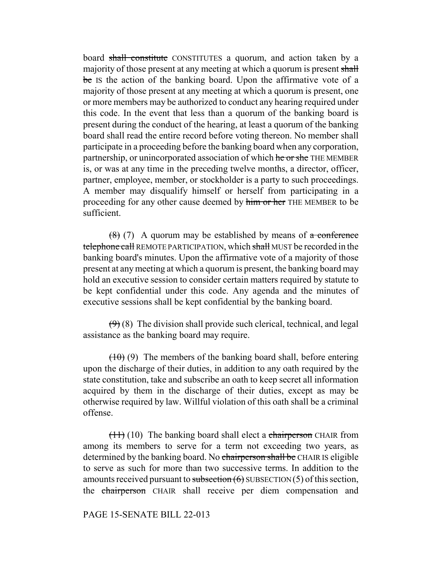board shall constitute CONSTITUTES a quorum, and action taken by a majority of those present at any meeting at which a quorum is present shall be Is the action of the banking board. Upon the affirmative vote of a majority of those present at any meeting at which a quorum is present, one or more members may be authorized to conduct any hearing required under this code. In the event that less than a quorum of the banking board is present during the conduct of the hearing, at least a quorum of the banking board shall read the entire record before voting thereon. No member shall participate in a proceeding before the banking board when any corporation, partnership, or unincorporated association of which he or she THE MEMBER is, or was at any time in the preceding twelve months, a director, officer, partner, employee, member, or stockholder is a party to such proceedings. A member may disqualify himself or herself from participating in a proceeding for any other cause deemed by him or her THE MEMBER to be sufficient.

 $(8)$  (7) A quorum may be established by means of  $\alpha$  conference telephone call REMOTE PARTICIPATION, which shall MUST be recorded in the banking board's minutes. Upon the affirmative vote of a majority of those present at any meeting at which a quorum is present, the banking board may hold an executive session to consider certain matters required by statute to be kept confidential under this code. Any agenda and the minutes of executive sessions shall be kept confidential by the banking board.

 $(9)$  (8) The division shall provide such clerical, technical, and legal assistance as the banking board may require.

 $(10)$  (9) The members of the banking board shall, before entering upon the discharge of their duties, in addition to any oath required by the state constitution, take and subscribe an oath to keep secret all information acquired by them in the discharge of their duties, except as may be otherwise required by law. Willful violation of this oath shall be a criminal offense.

 $(11)$  (10) The banking board shall elect a chairperson CHAIR from among its members to serve for a term not exceeding two years, as determined by the banking board. No chairperson shall be CHAIR IS eligible to serve as such for more than two successive terms. In addition to the amounts received pursuant to subsection  $(6)$  SUBSECTION  $(5)$  of this section, the chairperson CHAIR shall receive per diem compensation and

PAGE 15-SENATE BILL 22-013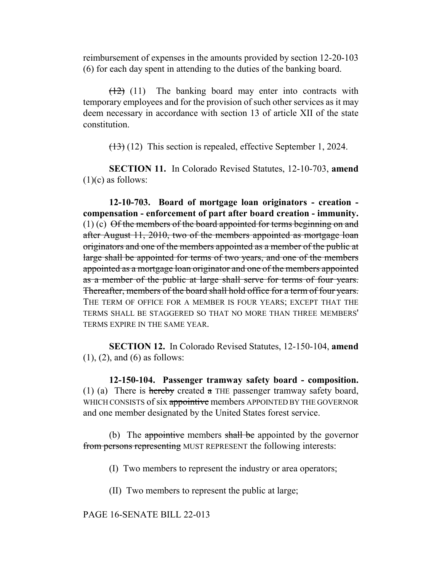reimbursement of expenses in the amounts provided by section 12-20-103 (6) for each day spent in attending to the duties of the banking board.

 $(12)$  (11) The banking board may enter into contracts with temporary employees and for the provision of such other services as it may deem necessary in accordance with section 13 of article XII of the state constitution.

(13) (12) This section is repealed, effective September 1, 2024.

**SECTION 11.** In Colorado Revised Statutes, 12-10-703, **amend**  $(1)(c)$  as follows:

**12-10-703. Board of mortgage loan originators - creation compensation - enforcement of part after board creation - immunity.** (1) (c) Of the members of the board appointed for terms beginning on and after August 11, 2010, two of the members appointed as mortgage loan originators and one of the members appointed as a member of the public at large shall be appointed for terms of two years, and one of the members appointed as a mortgage loan originator and one of the members appointed as a member of the public at large shall serve for terms of four years. Thereafter, members of the board shall hold office for a term of four years. THE TERM OF OFFICE FOR A MEMBER IS FOUR YEARS; EXCEPT THAT THE TERMS SHALL BE STAGGERED SO THAT NO MORE THAN THREE MEMBERS' TERMS EXPIRE IN THE SAME YEAR.

**SECTION 12.** In Colorado Revised Statutes, 12-150-104, **amend**  $(1)$ ,  $(2)$ , and  $(6)$  as follows:

**12-150-104. Passenger tramway safety board - composition.** (1) (a) There is hereby created  $\alpha$  THE passenger tramway safety board, WHICH CONSISTS of six appointive members APPOINTED BY THE GOVERNOR and one member designated by the United States forest service.

(b) The appointive members shall be appointed by the governor from persons representing MUST REPRESENT the following interests:

(I) Two members to represent the industry or area operators;

(II) Two members to represent the public at large;

### PAGE 16-SENATE BILL 22-013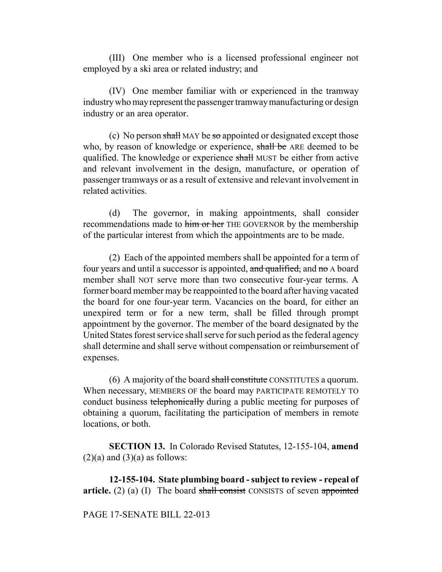(III) One member who is a licensed professional engineer not employed by a ski area or related industry; and

(IV) One member familiar with or experienced in the tramway industry who may represent the passenger tramway manufacturing or design industry or an area operator.

(c) No person shall MAY be so appointed or designated except those who, by reason of knowledge or experience, shall be ARE deemed to be qualified. The knowledge or experience shall MUST be either from active and relevant involvement in the design, manufacture, or operation of passenger tramways or as a result of extensive and relevant involvement in related activities.

(d) The governor, in making appointments, shall consider recommendations made to him or her THE GOVERNOR by the membership of the particular interest from which the appointments are to be made.

(2) Each of the appointed members shall be appointed for a term of four years and until a successor is appointed, and qualified, and no A board member shall NOT serve more than two consecutive four-year terms. A former board member may be reappointed to the board after having vacated the board for one four-year term. Vacancies on the board, for either an unexpired term or for a new term, shall be filled through prompt appointment by the governor. The member of the board designated by the United States forest service shall serve for such period as the federal agency shall determine and shall serve without compensation or reimbursement of expenses.

(6) A majority of the board shall constitute CONSTITUTES a quorum. When necessary, MEMBERS OF the board may PARTICIPATE REMOTELY TO conduct business telephonically during a public meeting for purposes of obtaining a quorum, facilitating the participation of members in remote locations, or both.

**SECTION 13.** In Colorado Revised Statutes, 12-155-104, **amend**  $(2)(a)$  and  $(3)(a)$  as follows:

**12-155-104. State plumbing board - subject to review - repeal of article.** (2) (a) (I) The board shall consist CONSISTS of seven appointed

### PAGE 17-SENATE BILL 22-013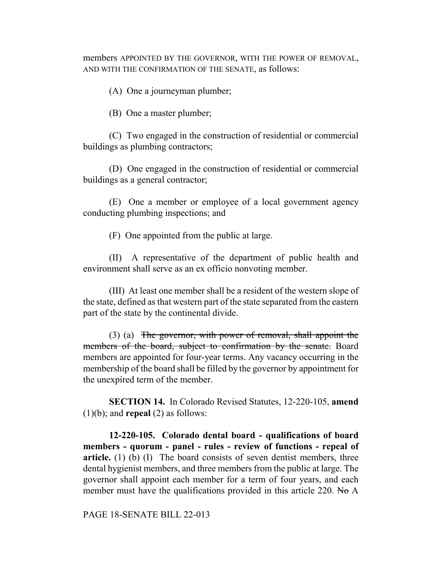members APPOINTED BY THE GOVERNOR, WITH THE POWER OF REMOVAL, AND WITH THE CONFIRMATION OF THE SENATE, as follows:

(A) One a journeyman plumber;

(B) One a master plumber;

(C) Two engaged in the construction of residential or commercial buildings as plumbing contractors;

(D) One engaged in the construction of residential or commercial buildings as a general contractor;

(E) One a member or employee of a local government agency conducting plumbing inspections; and

(F) One appointed from the public at large.

(II) A representative of the department of public health and environment shall serve as an ex officio nonvoting member.

(III) At least one member shall be a resident of the western slope of the state, defined as that western part of the state separated from the eastern part of the state by the continental divide.

(3) (a) The governor, with power of removal, shall appoint the members of the board, subject to confirmation by the senate. Board members are appointed for four-year terms. Any vacancy occurring in the membership of the board shall be filled by the governor by appointment for the unexpired term of the member.

**SECTION 14.** In Colorado Revised Statutes, 12-220-105, **amend** (1)(b); and **repeal** (2) as follows:

**12-220-105. Colorado dental board - qualifications of board members - quorum - panel - rules - review of functions - repeal of article.** (1) (b) (I) The board consists of seven dentist members, three dental hygienist members, and three members from the public at large. The governor shall appoint each member for a term of four years, and each member must have the qualifications provided in this article 220. No A

PAGE 18-SENATE BILL 22-013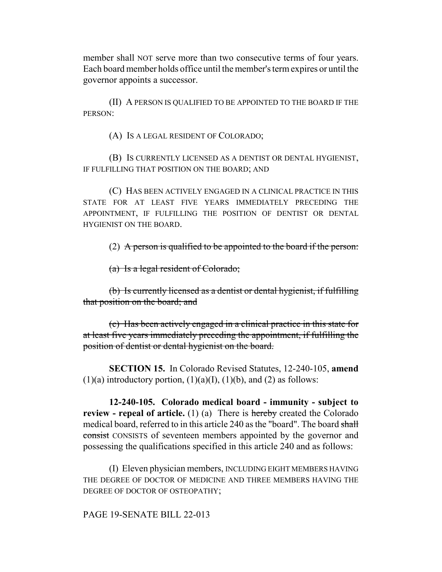member shall NOT serve more than two consecutive terms of four years. Each board member holds office until the member's term expires or until the governor appoints a successor.

(II) A PERSON IS QUALIFIED TO BE APPOINTED TO THE BOARD IF THE PERSON:

(A) IS A LEGAL RESIDENT OF COLORADO;

(B) IS CURRENTLY LICENSED AS A DENTIST OR DENTAL HYGIENIST, IF FULFILLING THAT POSITION ON THE BOARD; AND

(C) HAS BEEN ACTIVELY ENGAGED IN A CLINICAL PRACTICE IN THIS STATE FOR AT LEAST FIVE YEARS IMMEDIATELY PRECEDING THE APPOINTMENT, IF FULFILLING THE POSITION OF DENTIST OR DENTAL HYGIENIST ON THE BOARD.

(2) A person is qualified to be appointed to the board if the person:

(a) Is a legal resident of Colorado;

(b) Is currently licensed as a dentist or dental hygienist, if fulfilling that position on the board; and

(c) Has been actively engaged in a clinical practice in this state for at least five years immediately preceding the appointment, if fulfilling the position of dentist or dental hygienist on the board.

**SECTION 15.** In Colorado Revised Statutes, 12-240-105, **amend**  $(1)(a)$  introductory portion,  $(1)(a)(I)$ ,  $(1)(b)$ , and  $(2)$  as follows:

**12-240-105. Colorado medical board - immunity - subject to review - repeal of article.** (1) (a) There is hereby created the Colorado medical board, referred to in this article 240 as the "board". The board shall consist CONSISTS of seventeen members appointed by the governor and possessing the qualifications specified in this article 240 and as follows:

(I) Eleven physician members, INCLUDING EIGHT MEMBERS HAVING THE DEGREE OF DOCTOR OF MEDICINE AND THREE MEMBERS HAVING THE DEGREE OF DOCTOR OF OSTEOPATHY;

PAGE 19-SENATE BILL 22-013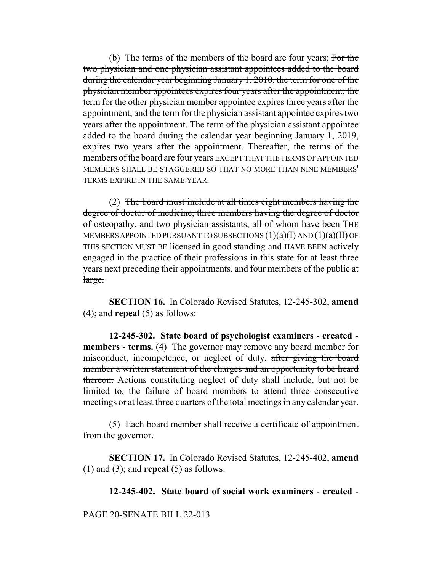(b) The terms of the members of the board are four years; For the two physician and one physician assistant appointees added to the board during the calendar year beginning January 1, 2010, the term for one of the physician member appointees expires four years after the appointment; the term for the other physician member appointee expires three years after the appointment; and the term for the physician assistant appointee expires two years after the appointment. The term of the physician assistant appointee added to the board during the calendar year beginning January 1, 2019, expires two years after the appointment. Thereafter, the terms of the members of the board are four years EXCEPT THAT THE TERMS OF APPOINTED MEMBERS SHALL BE STAGGERED SO THAT NO MORE THAN NINE MEMBERS' TERMS EXPIRE IN THE SAME YEAR.

(2) The board must include at all times eight members having the degree of doctor of medicine, three members having the degree of doctor of osteopathy, and two physician assistants, all of whom have been THE MEMBERS APPOINTED PURSUANT TO SUBSECTIONS  $(1)(a)(I)$  AND  $(1)(a)(II)$  OF THIS SECTION MUST BE licensed in good standing and HAVE BEEN actively engaged in the practice of their professions in this state for at least three years next preceding their appointments. and four members of the public at large.

**SECTION 16.** In Colorado Revised Statutes, 12-245-302, **amend** (4); and **repeal** (5) as follows:

**12-245-302. State board of psychologist examiners - created members - terms.** (4) The governor may remove any board member for misconduct, incompetence, or neglect of duty. after giving the board member a written statement of the charges and an opportunity to be heard thereon. Actions constituting neglect of duty shall include, but not be limited to, the failure of board members to attend three consecutive meetings or at least three quarters of the total meetings in any calendar year.

(5) Each board member shall receive a certificate of appointment from the governor.

**SECTION 17.** In Colorado Revised Statutes, 12-245-402, **amend** (1) and (3); and **repeal** (5) as follows:

**12-245-402. State board of social work examiners - created -**

PAGE 20-SENATE BILL 22-013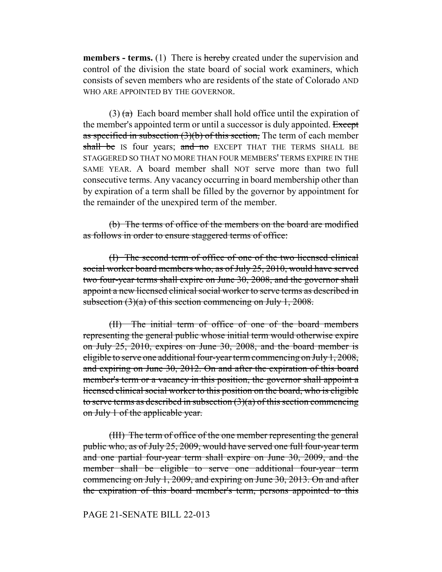**members - terms.** (1) There is hereby created under the supervision and control of the division the state board of social work examiners, which consists of seven members who are residents of the state of Colorado AND WHO ARE APPOINTED BY THE GOVERNOR.

 $(3)$  (a) Each board member shall hold office until the expiration of the member's appointed term or until a successor is duly appointed. Except as specified in subsection  $(3)(b)$  of this section, The term of each member shall be IS four years; and no EXCEPT THAT THE TERMS SHALL BE STAGGERED SO THAT NO MORE THAN FOUR MEMBERS' TERMS EXPIRE IN THE SAME YEAR. A board member shall NOT serve more than two full consecutive terms. Any vacancy occurring in board membership other than by expiration of a term shall be filled by the governor by appointment for the remainder of the unexpired term of the member.

(b) The terms of office of the members on the board are modified as follows in order to ensure staggered terms of office:

(I) The second term of office of one of the two licensed clinical social worker board members who, as of July 25, 2010, would have served two four-year terms shall expire on June 30, 2008, and the governor shall appoint a new licensed clinical social worker to serve terms as described in subsection  $(3)(a)$  of this section commencing on July 1, 2008.

(II) The initial term of office of one of the board members representing the general public whose initial term would otherwise expire on July 25, 2010, expires on June 30, 2008, and the board member is eligible to serve one additional four-year term commencing on July 1, 2008, and expiring on June 30, 2012. On and after the expiration of this board member's term or a vacancy in this position, the governor shall appoint a licensed clinical social worker to this position on the board, who is eligible to serve terms as described in subsection  $(3)(a)$  of this section commencing on July 1 of the applicable year.

(III) The term of office of the one member representing the general public who, as of July 25, 2009, would have served one full four-year term and one partial four-year term shall expire on June 30, 2009, and the member shall be eligible to serve one additional four-year term commencing on July 1, 2009, and expiring on June 30, 2013. On and after the expiration of this board member's term, persons appointed to this

### PAGE 21-SENATE BILL 22-013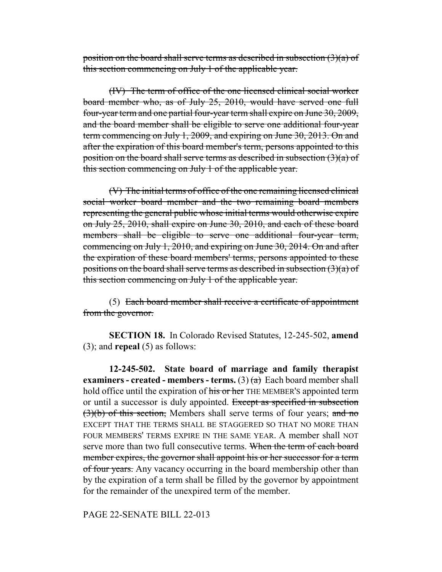position on the board shall serve terms as described in subsection  $(3)(a)$  of this section commencing on July 1 of the applicable year.

(IV) The term of office of the one licensed clinical social worker board member who, as of July 25, 2010, would have served one full four-year term and one partial four-year term shall expire on June 30, 2009, and the board member shall be eligible to serve one additional four-year term commencing on July 1, 2009, and expiring on June 30, 2013. On and after the expiration of this board member's term, persons appointed to this position on the board shall serve terms as described in subsection  $(3)(a)$  of this section commencing on July 1 of the applicable year.

(V) The initial terms of office of the one remaining licensed clinical social worker board member and the two remaining board members representing the general public whose initial terms would otherwise expire on July 25, 2010, shall expire on June 30, 2010, and each of these board members shall be eligible to serve one additional four-year term, commencing on July 1, 2010, and expiring on June 30, 2014. On and after the expiration of these board members' terms, persons appointed to these positions on the board shall serve terms as described in subsection (3)(a) of this section commencing on July 1 of the applicable year.

(5) Each board member shall receive a certificate of appointment from the governor.

**SECTION 18.** In Colorado Revised Statutes, 12-245-502, **amend** (3); and **repeal** (5) as follows:

**12-245-502. State board of marriage and family therapist examiners - created - members - terms.** (3)  $\left(\frac{a}{a}\right)$  Each board member shall hold office until the expiration of his or her THE MEMBER's appointed term or until a successor is duly appointed. Except as specified in subsection  $(3)(b)$  of this section, Members shall serve terms of four years; and no EXCEPT THAT THE TERMS SHALL BE STAGGERED SO THAT NO MORE THAN FOUR MEMBERS' TERMS EXPIRE IN THE SAME YEAR. A member shall NOT serve more than two full consecutive terms. When the term of each board member expires, the governor shall appoint his or her successor for a term of four years. Any vacancy occurring in the board membership other than by the expiration of a term shall be filled by the governor by appointment for the remainder of the unexpired term of the member.

PAGE 22-SENATE BILL 22-013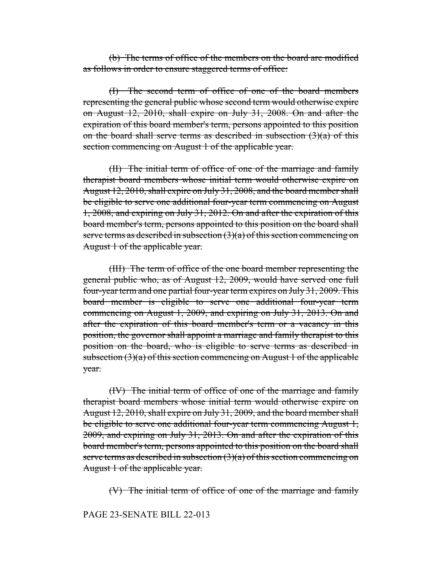(b) The terms of office of the members on the board are modified as follows in order to ensure staggered terms of office:

(I) The second term of office of one of the board members representing the general public whose second term would otherwise expire on August 12, 2010, shall expire on July 31, 2008. On and after the expiration of this board member's term, persons appointed to this position on the board shall serve terms as described in subsection  $(3)(a)$  of this section commencing on August 1 of the applicable year.

(II) The initial term of office of one of the marriage and family therapist board members whose initial term would otherwise expire on August 12, 2010, shall expire on July 31, 2008, and the board member shall be eligible to serve one additional four-year term commencing on August 1, 2008, and expiring on July 31, 2012. On and after the expiration of this board member's term, persons appointed to this position on the board shall serve terms as described in subsection  $(3)(a)$  of this section commencing on August 1 of the applicable year.

(III) The term of office of the one board member representing the general public who, as of August 12, 2009, would have served one full four-year term and one partial four-year term expires on July 31, 2009. This board member is eligible to serve one additional four-year term commencing on August 1, 2009, and expiring on July 31, 2013. On and after the expiration of this board member's term or a vacancy in this position, the governor shall appoint a marriage and family therapist to this position on the board, who is eligible to serve terms as described in subsection (3)(a) of this section commencing on August 1 of the applicable year.

(IV) The initial term of office of one of the marriage and family therapist board members whose initial term would otherwise expire on August 12, 2010, shall expire on July 31, 2009, and the board member shall be eligible to serve one additional four-year term commencing August 1, 2009, and expiring on July 31, 2013. On and after the expiration of this board member's term, persons appointed to this position on the board shall serve terms as described in subsection  $(3)(a)$  of this section commencing on August 1 of the applicable year.

(V) The initial term of office of one of the marriage and family

### PAGE 23-SENATE BILL 22-013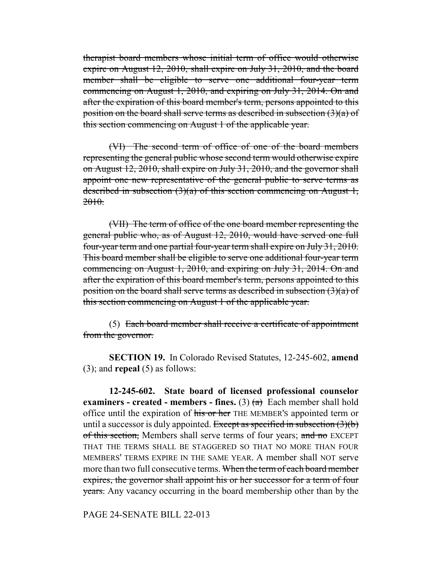therapist board members whose initial term of office would otherwise expire on August 12, 2010, shall expire on July 31, 2010, and the board member shall be eligible to serve one additional four-year term commencing on August 1, 2010, and expiring on July 31, 2014. On and after the expiration of this board member's term, persons appointed to this position on the board shall serve terms as described in subsection  $(3)(a)$  of this section commencing on August 1 of the applicable year.

(VI) The second term of office of one of the board members representing the general public whose second term would otherwise expire on August 12, 2010, shall expire on July 31, 2010, and the governor shall appoint one new representative of the general public to serve terms as described in subsection  $(3)(a)$  of this section commencing on August 1, 2010.

(VII) The term of office of the one board member representing the general public who, as of August 12, 2010, would have served one full four-year term and one partial four-year term shall expire on July 31, 2010. This board member shall be eligible to serve one additional four-year term commencing on August 1, 2010, and expiring on July 31, 2014. On and after the expiration of this board member's term, persons appointed to this position on the board shall serve terms as described in subsection  $(3)(a)$  of this section commencing on August 1 of the applicable year.

(5) Each board member shall receive a certificate of appointment from the governor.

**SECTION 19.** In Colorado Revised Statutes, 12-245-602, **amend** (3); and **repeal** (5) as follows:

**12-245-602. State board of licensed professional counselor examiners - created - members - fines.** (3)  $(a)$  Each member shall hold office until the expiration of his or her THE MEMBER's appointed term or until a successor is duly appointed. Except as specified in subsection  $(3)(b)$ of this section, Members shall serve terms of four years; and no EXCEPT THAT THE TERMS SHALL BE STAGGERED SO THAT NO MORE THAN FOUR MEMBERS' TERMS EXPIRE IN THE SAME YEAR. A member shall NOT serve more than two full consecutive terms. When the term of each board member expires, the governor shall appoint his or her successor for a term of four **years.** Any vacancy occurring in the board membership other than by the

PAGE 24-SENATE BILL 22-013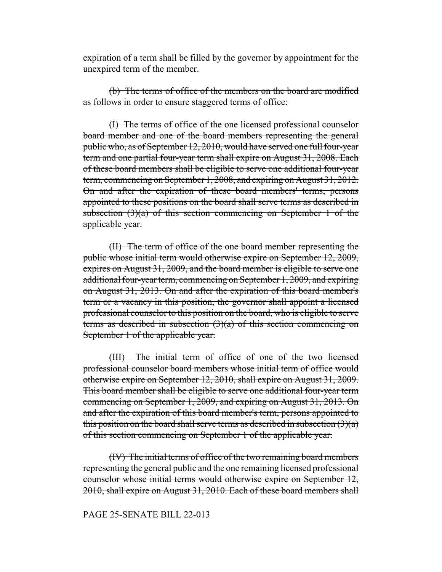expiration of a term shall be filled by the governor by appointment for the unexpired term of the member.

(b) The terms of office of the members on the board are modified as follows in order to ensure staggered terms of office:

(I) The terms of office of the one licensed professional counselor board member and one of the board members representing the general public who, as of September 12, 2010, would have served one full four-year term and one partial four-year term shall expire on August 31, 2008. Each of these board members shall be eligible to serve one additional four-year term, commencing on September 1, 2008, and expiring on August 31, 2012. On and after the expiration of these board members' terms, persons appointed to these positions on the board shall serve terms as described in subsection  $(3)(a)$  of this section commencing on September 1 of the applicable year.

(II) The term of office of the one board member representing the public whose initial term would otherwise expire on September 12, 2009, expires on August 31, 2009, and the board member is eligible to serve one additional four-year term, commencing on September 1, 2009, and expiring on August 31, 2013. On and after the expiration of this board member's term or a vacancy in this position, the governor shall appoint a licensed professional counselor to this position on the board, who is eligible to serve terms as described in subsection  $(3)(a)$  of this section commencing on September 1 of the applicable year.

(III) The initial term of office of one of the two licensed professional counselor board members whose initial term of office would otherwise expire on September 12, 2010, shall expire on August 31, 2009. This board member shall be eligible to serve one additional four-year term commencing on September 1, 2009, and expiring on August 31, 2013. On and after the expiration of this board member's term, persons appointed to this position on the board shall serve terms as described in subsection  $(3)(a)$ of this section commencing on September 1 of the applicable year.

(IV) The initial terms of office of the two remaining board members representing the general public and the one remaining licensed professional counselor whose initial terms would otherwise expire on September 12, 2010, shall expire on August 31, 2010. Each of these board members shall

### PAGE 25-SENATE BILL 22-013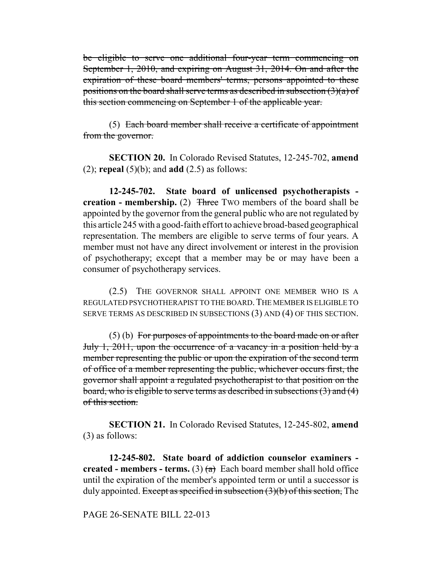be eligible to serve one additional four-year term commencing on September 1, 2010, and expiring on August 31, 2014. On and after the expiration of these board members' terms, persons appointed to these positions on the board shall serve terms as described in subsection  $(3)(a)$  of this section commencing on September 1 of the applicable year.

(5) Each board member shall receive a certificate of appointment from the governor.

**SECTION 20.** In Colorado Revised Statutes, 12-245-702, **amend** (2); **repeal** (5)(b); and **add** (2.5) as follows:

**12-245-702. State board of unlicensed psychotherapists creation - membership.** (2) Three TWO members of the board shall be appointed by the governor from the general public who are not regulated by this article 245 with a good-faith effort to achieve broad-based geographical representation. The members are eligible to serve terms of four years. A member must not have any direct involvement or interest in the provision of psychotherapy; except that a member may be or may have been a consumer of psychotherapy services.

(2.5) THE GOVERNOR SHALL APPOINT ONE MEMBER WHO IS A REGULATED PSYCHOTHERAPIST TO THE BOARD.THE MEMBER IS ELIGIBLE TO SERVE TERMS AS DESCRIBED IN SUBSECTIONS (3) AND (4) OF THIS SECTION.

 $(5)$  (b) For purposes of appointments to the board made on or after July 1, 2011, upon the occurrence of a vacancy in a position held by a member representing the public or upon the expiration of the second term of office of a member representing the public, whichever occurs first, the governor shall appoint a regulated psychotherapist to that position on the board, who is eligible to serve terms as described in subsections (3) and (4) of this section.

**SECTION 21.** In Colorado Revised Statutes, 12-245-802, **amend** (3) as follows:

**12-245-802. State board of addiction counselor examiners created - members - terms.** (3)  $(a)$  Each board member shall hold office until the expiration of the member's appointed term or until a successor is duly appointed. Except as specified in subsection  $(3)(b)$  of this section, The

PAGE 26-SENATE BILL 22-013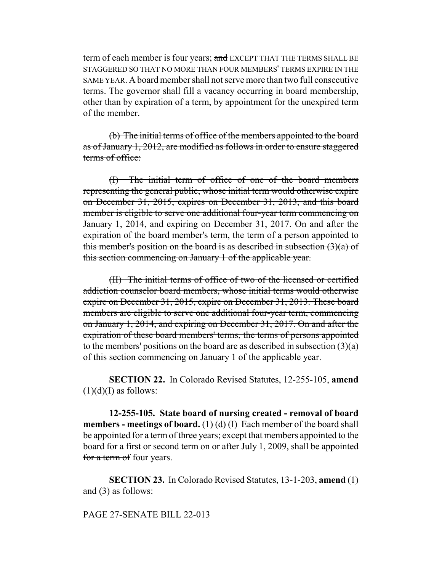term of each member is four years; and EXCEPT THAT THE TERMS SHALL BE STAGGERED SO THAT NO MORE THAN FOUR MEMBERS' TERMS EXPIRE IN THE SAME YEAR. A board member shall not serve more than two full consecutive terms. The governor shall fill a vacancy occurring in board membership, other than by expiration of a term, by appointment for the unexpired term of the member.

(b) The initial terms of office of the members appointed to the board as of January 1, 2012, are modified as follows in order to ensure staggered terms of office:

(I) The initial term of office of one of the board members representing the general public, whose initial term would otherwise expire on December 31, 2015, expires on December 31, 2013, and this board member is eligible to serve one additional four-year term commencing on January 1, 2014, and expiring on December 31, 2017. On and after the expiration of the board member's term, the term of a person appointed to this member's position on the board is as described in subsection  $(3)(a)$  of this section commencing on January 1 of the applicable year.

(II) The initial terms of office of two of the licensed or certified addiction counselor board members, whose initial terms would otherwise expire on December 31, 2015, expire on December 31, 2013. These board members are eligible to serve one additional four-year term, commencing on January 1, 2014, and expiring on December 31, 2017. On and after the expiration of these board members' terms, the terms of persons appointed to the members' positions on the board are as described in subsection  $(3)(a)$ of this section commencing on January 1 of the applicable year.

**SECTION 22.** In Colorado Revised Statutes, 12-255-105, **amend**  $(1)(d)(I)$  as follows:

**12-255-105. State board of nursing created - removal of board members - meetings of board.** (1) (d) (I) Each member of the board shall be appointed for a term of three years; except that members appointed to the board for a first or second term on or after July 1, 2009, shall be appointed for a term of four years.

**SECTION 23.** In Colorado Revised Statutes, 13-1-203, **amend** (1) and (3) as follows:

#### PAGE 27-SENATE BILL 22-013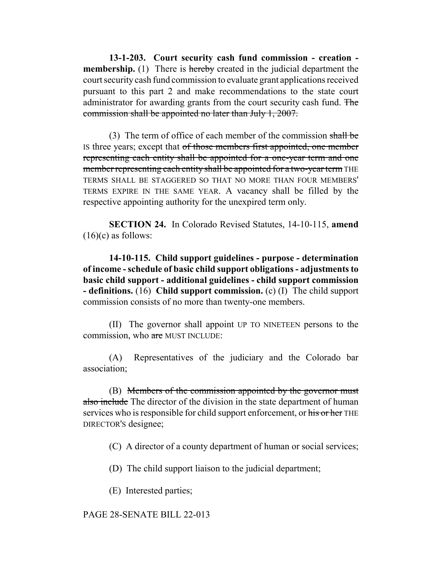**13-1-203. Court security cash fund commission - creation membership.** (1) There is hereby created in the judicial department the court security cash fund commission to evaluate grant applications received pursuant to this part 2 and make recommendations to the state court administrator for awarding grants from the court security cash fund. The commission shall be appointed no later than July 1, 2007.

(3) The term of office of each member of the commission shall be IS three years; except that of those members first appointed, one member representing each entity shall be appointed for a one-year term and one member representing each entity shall be appointed for a two-year term THE TERMS SHALL BE STAGGERED SO THAT NO MORE THAN FOUR MEMBERS' TERMS EXPIRE IN THE SAME YEAR. A vacancy shall be filled by the respective appointing authority for the unexpired term only.

**SECTION 24.** In Colorado Revised Statutes, 14-10-115, **amend**  $(16)(c)$  as follows:

**14-10-115. Child support guidelines - purpose - determination of income - schedule of basic child support obligations - adjustments to basic child support - additional guidelines - child support commission - definitions.** (16) **Child support commission.** (c) (I) The child support commission consists of no more than twenty-one members.

(II) The governor shall appoint UP TO NINETEEN persons to the commission, who are MUST INCLUDE:

(A) Representatives of the judiciary and the Colorado bar association;

(B) Members of the commission appointed by the governor must also include The director of the division in the state department of human services who is responsible for child support enforcement, or his or her THE DIRECTOR'S designee;

(C) A director of a county department of human or social services;

(D) The child support liaison to the judicial department;

(E) Interested parties;

PAGE 28-SENATE BILL 22-013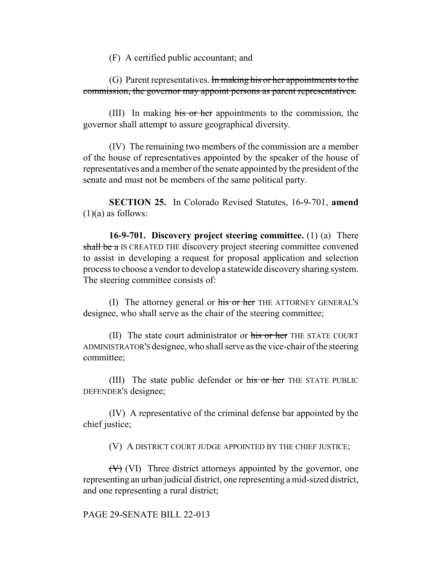(F) A certified public accountant; and

(G) Parent representatives. In making his or her appointments to the commission, the governor may appoint persons as parent representatives.

(III) In making his or her appointments to the commission, the governor shall attempt to assure geographical diversity.

(IV) The remaining two members of the commission are a member of the house of representatives appointed by the speaker of the house of representatives and a member of the senate appointed by the president of the senate and must not be members of the same political party.

**SECTION 25.** In Colorado Revised Statutes, 16-9-701, **amend**  $(1)(a)$  as follows:

**16-9-701. Discovery project steering committee.** (1) (a) There shall be a IS CREATED THE discovery project steering committee convened to assist in developing a request for proposal application and selection process to choose a vendor to develop a statewide discovery sharing system. The steering committee consists of:

(I) The attorney general or his or her THE ATTORNEY GENERAL'S designee, who shall serve as the chair of the steering committee;

(II) The state court administrator or his or her THE STATE COURT ADMINISTRATOR'S designee, who shall serve as the vice-chair of the steering committee;

(III) The state public defender or his or her THE STATE PUBLIC DEFENDER'S designee;

(IV) A representative of the criminal defense bar appointed by the chief justice;

(V) A DISTRICT COURT JUDGE APPOINTED BY THE CHIEF JUSTICE;

 $(\forall)$  (VI) Three district attorneys appointed by the governor, one representing an urban judicial district, one representing a mid-sized district, and one representing a rural district;

### PAGE 29-SENATE BILL 22-013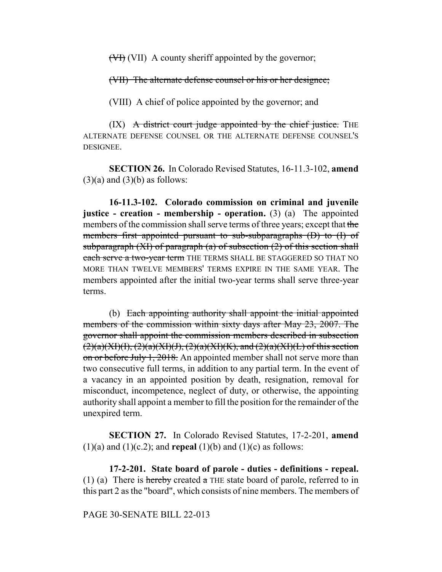(VI) (VII) A county sheriff appointed by the governor;

(VII) The alternate defense counsel or his or her designee;

(VIII) A chief of police appointed by the governor; and

 $(IX)$  A district court judge appointed by the chief justice. THE ALTERNATE DEFENSE COUNSEL OR THE ALTERNATE DEFENSE COUNSEL'S DESIGNEE.

**SECTION 26.** In Colorado Revised Statutes, 16-11.3-102, **amend**  $(3)(a)$  and  $(3)(b)$  as follows:

**16-11.3-102. Colorado commission on criminal and juvenile justice - creation - membership - operation.** (3) (a) The appointed members of the commission shall serve terms of three years; except that the members first appointed pursuant to sub-subparagraphs (D) to (I) of subparagraph  $(XI)$  of paragraph  $(a)$  of subsection  $(2)$  of this section shall each serve a two-year term THE TERMS SHALL BE STAGGERED SO THAT NO MORE THAN TWELVE MEMBERS' TERMS EXPIRE IN THE SAME YEAR. The members appointed after the initial two-year terms shall serve three-year terms.

(b) Each appointing authority shall appoint the initial appointed members of the commission within sixty days after May 23, 2007. The governor shall appoint the commission members described in subsection  $(2)(a)(XI)(I), (2)(a)(XI)(J), (2)(a)(XI)(K), and (2)(a)(XI)(L) of this section$ on or before July 1, 2018. An appointed member shall not serve more than two consecutive full terms, in addition to any partial term. In the event of a vacancy in an appointed position by death, resignation, removal for misconduct, incompetence, neglect of duty, or otherwise, the appointing authority shall appoint a member to fill the position for the remainder of the unexpired term.

**SECTION 27.** In Colorado Revised Statutes, 17-2-201, **amend**  $(1)(a)$  and  $(1)(c.2)$ ; and **repeal**  $(1)(b)$  and  $(1)(c)$  as follows:

**17-2-201. State board of parole - duties - definitions - repeal.** (1) (a) There is hereby created  $\alpha$  THE state board of parole, referred to in this part 2 as the "board", which consists of nine members. The members of

# PAGE 30-SENATE BILL 22-013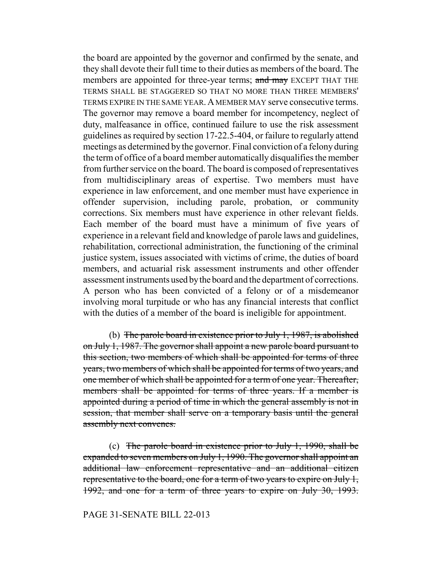the board are appointed by the governor and confirmed by the senate, and they shall devote their full time to their duties as members of the board. The members are appointed for three-year terms; and may EXCEPT THAT THE TERMS SHALL BE STAGGERED SO THAT NO MORE THAN THREE MEMBERS' TERMS EXPIRE IN THE SAME YEAR.A MEMBER MAY serve consecutive terms. The governor may remove a board member for incompetency, neglect of duty, malfeasance in office, continued failure to use the risk assessment guidelines as required by section 17-22.5-404, or failure to regularly attend meetings as determined by the governor. Final conviction of a felony during the term of office of a board member automatically disqualifies the member from further service on the board. The board is composed of representatives from multidisciplinary areas of expertise. Two members must have experience in law enforcement, and one member must have experience in offender supervision, including parole, probation, or community corrections. Six members must have experience in other relevant fields. Each member of the board must have a minimum of five years of experience in a relevant field and knowledge of parole laws and guidelines, rehabilitation, correctional administration, the functioning of the criminal justice system, issues associated with victims of crime, the duties of board members, and actuarial risk assessment instruments and other offender assessment instruments used by the board and the department of corrections. A person who has been convicted of a felony or of a misdemeanor involving moral turpitude or who has any financial interests that conflict with the duties of a member of the board is ineligible for appointment.

(b) The parole board in existence prior to July  $1, 1987$ , is abolished on July 1, 1987. The governor shall appoint a new parole board pursuant to this section, two members of which shall be appointed for terms of three years, two members of which shall be appointed for terms of two years, and one member of which shall be appointed for a term of one year. Thereafter, members shall be appointed for terms of three years. If a member is appointed during a period of time in which the general assembly is not in session, that member shall serve on a temporary basis until the general assembly next convenes.

(c) The parole board in existence prior to July 1, 1990, shall be expanded to seven members on July 1, 1990. The governor shall appoint an additional law enforcement representative and an additional citizen representative to the board, one for a term of two years to expire on July 1, 1992, and one for a term of three years to expire on July 30, 1993.

## PAGE 31-SENATE BILL 22-013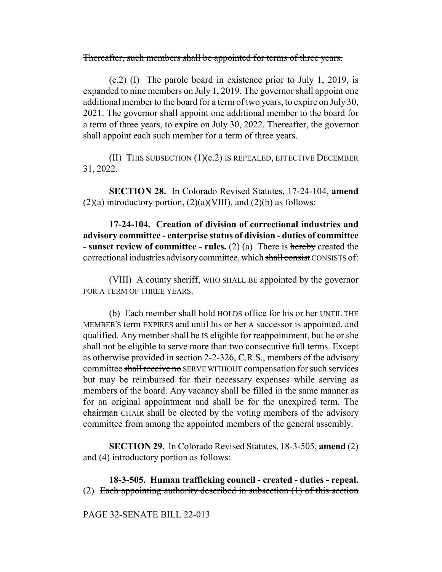## Thereafter, such members shall be appointed for terms of three years.

(c.2) (I) The parole board in existence prior to July 1, 2019, is expanded to nine members on July 1, 2019. The governor shall appoint one additional member to the board for a term of two years, to expire on July 30, 2021. The governor shall appoint one additional member to the board for a term of three years, to expire on July 30, 2022. Thereafter, the governor shall appoint each such member for a term of three years.

(II) THIS SUBSECTION  $(1)(c.2)$  IS REPEALED, EFFECTIVE DECEMBER 31, 2022.

**SECTION 28.** In Colorado Revised Statutes, 17-24-104, **amend**  $(2)(a)$  introductory portion,  $(2)(a)(VIII)$ , and  $(2)(b)$  as follows:

**17-24-104. Creation of division of correctional industries and advisory committee - enterprise status of division - duties of committee - sunset review of committee - rules.** (2) (a) There is hereby created the correctional industries advisory committee, which shall consist CONSISTS of:

(VIII) A county sheriff, WHO SHALL BE appointed by the governor FOR A TERM OF THREE YEARS.

(b) Each member shall hold HOLDS office for his or her UNTIL THE MEMBER'S term EXPIRES and until his or her A successor is appointed. and qualified. Any member shall be IS eligible for reappointment, but he or she shall not be eligible to serve more than two consecutive full terms. Except as otherwise provided in section 2-2-326, C.R.S., members of the advisory committee shall receive no SERVE WITHOUT compensation for such services but may be reimbursed for their necessary expenses while serving as members of the board. Any vacancy shall be filled in the same manner as for an original appointment and shall be for the unexpired term. The chairman CHAIR shall be elected by the voting members of the advisory committee from among the appointed members of the general assembly.

**SECTION 29.** In Colorado Revised Statutes, 18-3-505, **amend** (2) and (4) introductory portion as follows:

**18-3-505. Human trafficking council - created - duties - repeal.** (2) Each appointing authority described in subsection  $(1)$  of this section

PAGE 32-SENATE BILL 22-013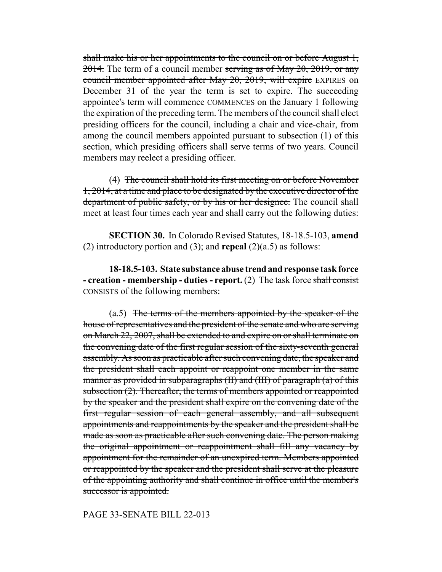shall make his or her appointments to the council on or before August 1,  $2014$ . The term of a council member serving as of May 20, 2019, or any council member appointed after May 20, 2019, will expire EXPIRES on December 31 of the year the term is set to expire. The succeeding appointee's term will commence COMMENCES on the January 1 following the expiration of the preceding term. The members of the council shall elect presiding officers for the council, including a chair and vice-chair, from among the council members appointed pursuant to subsection (1) of this section, which presiding officers shall serve terms of two years. Council members may reelect a presiding officer.

(4) The council shall hold its first meeting on or before November 1, 2014, at a time and place to be designated by the executive director of the department of public safety, or by his or her designee. The council shall meet at least four times each year and shall carry out the following duties:

**SECTION 30.** In Colorado Revised Statutes, 18-18.5-103, **amend** (2) introductory portion and (3); and **repeal** (2)(a.5) as follows:

**18-18.5-103. State substance abuse trend and response task force - creation - membership - duties - report.** (2) The task force shall consist CONSISTS of the following members:

(a.5) The terms of the members appointed by the speaker of the house of representatives and the president of the senate and who are serving on March 22, 2007, shall be extended to and expire on or shall terminate on the convening date of the first regular session of the sixty-seventh general assembly. As soon as practicable after such convening date, the speaker and the president shall each appoint or reappoint one member in the same manner as provided in subparagraphs (II) and (III) of paragraph (a) of this subsection (2). Thereafter, the terms of members appointed or reappointed by the speaker and the president shall expire on the convening date of the first regular session of each general assembly, and all subsequent appointments and reappointments by the speaker and the president shall be made as soon as practicable after such convening date. The person making the original appointment or reappointment shall fill any vacancy by appointment for the remainder of an unexpired term. Members appointed or reappointed by the speaker and the president shall serve at the pleasure of the appointing authority and shall continue in office until the member's successor is appointed.

### PAGE 33-SENATE BILL 22-013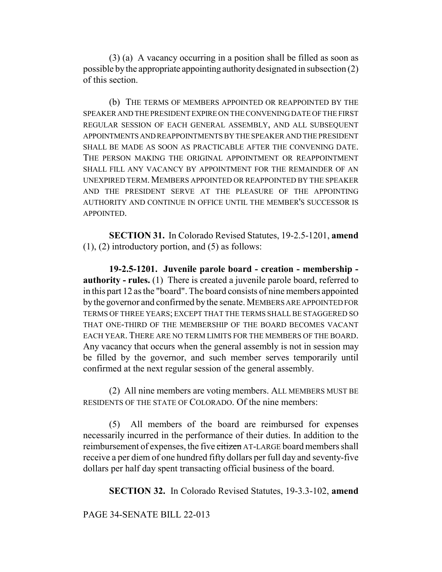(3) (a) A vacancy occurring in a position shall be filled as soon as possible by the appropriate appointing authority designated in subsection (2) of this section.

(b) THE TERMS OF MEMBERS APPOINTED OR REAPPOINTED BY THE SPEAKER AND THE PRESIDENT EXPIRE ON THE CONVENING DATE OF THE FIRST REGULAR SESSION OF EACH GENERAL ASSEMBLY, AND ALL SUBSEQUENT APPOINTMENTS AND REAPPOINTMENTS BY THE SPEAKER AND THE PRESIDENT SHALL BE MADE AS SOON AS PRACTICABLE AFTER THE CONVENING DATE. THE PERSON MAKING THE ORIGINAL APPOINTMENT OR REAPPOINTMENT SHALL FILL ANY VACANCY BY APPOINTMENT FOR THE REMAINDER OF AN UNEXPIRED TERM.MEMBERS APPOINTED OR REAPPOINTED BY THE SPEAKER AND THE PRESIDENT SERVE AT THE PLEASURE OF THE APPOINTING AUTHORITY AND CONTINUE IN OFFICE UNTIL THE MEMBER'S SUCCESSOR IS APPOINTED.

**SECTION 31.** In Colorado Revised Statutes, 19-2.5-1201, **amend** (1), (2) introductory portion, and (5) as follows:

**19-2.5-1201. Juvenile parole board - creation - membership authority - rules.** (1) There is created a juvenile parole board, referred to in this part 12 as the "board". The board consists of nine members appointed by the governor and confirmed by the senate. MEMBERS ARE APPOINTED FOR TERMS OF THREE YEARS; EXCEPT THAT THE TERMS SHALL BE STAGGERED SO THAT ONE-THIRD OF THE MEMBERSHIP OF THE BOARD BECOMES VACANT EACH YEAR. THERE ARE NO TERM LIMITS FOR THE MEMBERS OF THE BOARD. Any vacancy that occurs when the general assembly is not in session may be filled by the governor, and such member serves temporarily until confirmed at the next regular session of the general assembly.

(2) All nine members are voting members. ALL MEMBERS MUST BE RESIDENTS OF THE STATE OF COLORADO. Of the nine members:

(5) All members of the board are reimbursed for expenses necessarily incurred in the performance of their duties. In addition to the reimbursement of expenses, the five citizen AT-LARGE board members shall receive a per diem of one hundred fifty dollars per full day and seventy-five dollars per half day spent transacting official business of the board.

**SECTION 32.** In Colorado Revised Statutes, 19-3.3-102, **amend**

PAGE 34-SENATE BILL 22-013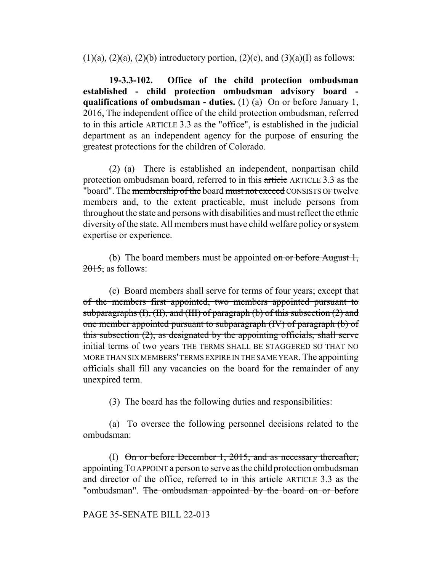$(1)(a)$ ,  $(2)(a)$ ,  $(2)(b)$  introductory portion,  $(2)(c)$ , and  $(3)(a)(I)$  as follows:

**19-3.3-102. Office of the child protection ombudsman established - child protection ombudsman advisory board qualifications of ombudsman - duties.** (1) (a)  $\Theta$ <del>n or before January 1,</del> 2016, The independent office of the child protection ombudsman, referred to in this article ARTICLE 3.3 as the "office", is established in the judicial department as an independent agency for the purpose of ensuring the greatest protections for the children of Colorado.

(2) (a) There is established an independent, nonpartisan child protection ombudsman board, referred to in this article ARTICLE 3.3 as the "board". The membership of the board must not exceed CONSISTS OF twelve members and, to the extent practicable, must include persons from throughout the state and persons with disabilities and must reflect the ethnic diversity of the state. All members must have child welfare policy or system expertise or experience.

(b) The board members must be appointed on or before August  $1$ ,  $2015$ , as follows:

(c) Board members shall serve for terms of four years; except that of the members first appointed, two members appointed pursuant to subparagraphs  $(I)$ ,  $(II)$ , and  $(III)$  of paragraph  $(b)$  of this subsection  $(2)$  and one member appointed pursuant to subparagraph (IV) of paragraph (b) of this subsection (2), as designated by the appointing officials, shall serve initial terms of two years THE TERMS SHALL BE STAGGERED SO THAT NO MORE THAN SIX MEMBERS' TERMS EXPIRE IN THE SAME YEAR. The appointing officials shall fill any vacancies on the board for the remainder of any unexpired term.

(3) The board has the following duties and responsibilities:

(a) To oversee the following personnel decisions related to the ombudsman:

(I)  $\Theta$ n or before December 1, 2015, and as necessary thereafter, appointing TO APPOINT a person to serve as the child protection ombudsman and director of the office, referred to in this article ARTICLE 3.3 as the "ombudsman". The ombudsman appointed by the board on or before

### PAGE 35-SENATE BILL 22-013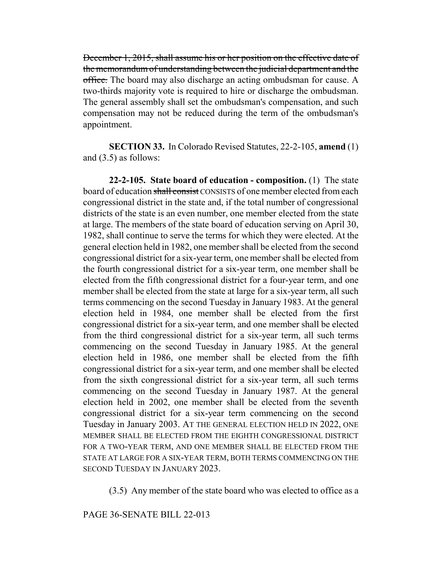December 1, 2015, shall assume his or her position on the effective date of the memorandum of understanding between the judicial department and the office. The board may also discharge an acting ombudsman for cause. A two-thirds majority vote is required to hire or discharge the ombudsman. The general assembly shall set the ombudsman's compensation, and such compensation may not be reduced during the term of the ombudsman's appointment.

**SECTION 33.** In Colorado Revised Statutes, 22-2-105, **amend** (1) and (3.5) as follows:

**22-2-105. State board of education - composition.** (1) The state board of education shall consist CONSISTS of one member elected from each congressional district in the state and, if the total number of congressional districts of the state is an even number, one member elected from the state at large. The members of the state board of education serving on April 30, 1982, shall continue to serve the terms for which they were elected. At the general election held in 1982, one member shall be elected from the second congressional district for a six-year term, one member shall be elected from the fourth congressional district for a six-year term, one member shall be elected from the fifth congressional district for a four-year term, and one member shall be elected from the state at large for a six-year term, all such terms commencing on the second Tuesday in January 1983. At the general election held in 1984, one member shall be elected from the first congressional district for a six-year term, and one member shall be elected from the third congressional district for a six-year term, all such terms commencing on the second Tuesday in January 1985. At the general election held in 1986, one member shall be elected from the fifth congressional district for a six-year term, and one member shall be elected from the sixth congressional district for a six-year term, all such terms commencing on the second Tuesday in January 1987. At the general election held in 2002, one member shall be elected from the seventh congressional district for a six-year term commencing on the second Tuesday in January 2003. AT THE GENERAL ELECTION HELD IN 2022, ONE MEMBER SHALL BE ELECTED FROM THE EIGHTH CONGRESSIONAL DISTRICT FOR A TWO-YEAR TERM, AND ONE MEMBER SHALL BE ELECTED FROM THE STATE AT LARGE FOR A SIX-YEAR TERM, BOTH TERMS COMMENCING ON THE SECOND TUESDAY IN JANUARY 2023.

(3.5) Any member of the state board who was elected to office as a

# PAGE 36-SENATE BILL 22-013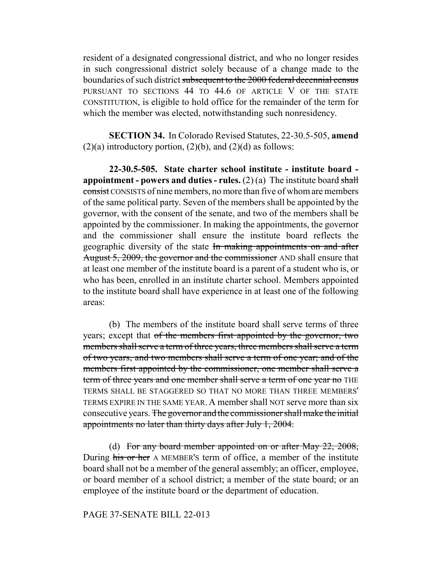resident of a designated congressional district, and who no longer resides in such congressional district solely because of a change made to the boundaries of such district subsequent to the 2000 federal decennial census PURSUANT TO SECTIONS 44 TO 44.6 OF ARTICLE V OF THE STATE CONSTITUTION, is eligible to hold office for the remainder of the term for which the member was elected, notwithstanding such nonresidency.

**SECTION 34.** In Colorado Revised Statutes, 22-30.5-505, **amend**  $(2)(a)$  introductory portion,  $(2)(b)$ , and  $(2)(d)$  as follows:

**22-30.5-505. State charter school institute - institute board appointment - powers and duties - rules.** (2) (a) The institute board  $\frac{\text{shall}}{\text{shall}}$ consist CONSISTS of nine members, no more than five of whom are members of the same political party. Seven of the members shall be appointed by the governor, with the consent of the senate, and two of the members shall be appointed by the commissioner. In making the appointments, the governor and the commissioner shall ensure the institute board reflects the geographic diversity of the state In making appointments on and after August 5, 2009, the governor and the commissioner AND shall ensure that at least one member of the institute board is a parent of a student who is, or who has been, enrolled in an institute charter school. Members appointed to the institute board shall have experience in at least one of the following areas:

(b) The members of the institute board shall serve terms of three years; except that of the members first appointed by the governor, two members shall serve a term of three years, three members shall serve a term of two years, and two members shall serve a term of one year; and of the members first appointed by the commissioner, one member shall serve a term of three years and one member shall serve a term of one year no THE TERMS SHALL BE STAGGERED SO THAT NO MORE THAN THREE MEMBERS' TERMS EXPIRE IN THE SAME YEAR. A member shall NOT serve more than six consecutive years. The governor and the commissioner shall make the initial appointments no later than thirty days after July 1, 2004.

(d) For any board member appointed on or after May  $22, 2008$ , During his or her A MEMBER's term of office, a member of the institute board shall not be a member of the general assembly; an officer, employee, or board member of a school district; a member of the state board; or an employee of the institute board or the department of education.

### PAGE 37-SENATE BILL 22-013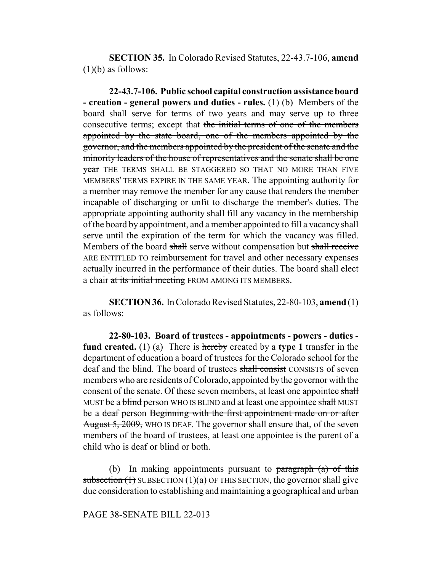**SECTION 35.** In Colorado Revised Statutes, 22-43.7-106, **amend** (1)(b) as follows:

**22-43.7-106. Public school capital construction assistance board - creation - general powers and duties - rules.** (1) (b) Members of the board shall serve for terms of two years and may serve up to three consecutive terms; except that the initial terms of one of the members appointed by the state board, one of the members appointed by the governor, and the members appointed by the president of the senate and the minority leaders of the house of representatives and the senate shall be one year THE TERMS SHALL BE STAGGERED SO THAT NO MORE THAN FIVE MEMBERS' TERMS EXPIRE IN THE SAME YEAR. The appointing authority for a member may remove the member for any cause that renders the member incapable of discharging or unfit to discharge the member's duties. The appropriate appointing authority shall fill any vacancy in the membership of the board by appointment, and a member appointed to fill a vacancy shall serve until the expiration of the term for which the vacancy was filled. Members of the board shall serve without compensation but shall receive ARE ENTITLED TO reimbursement for travel and other necessary expenses actually incurred in the performance of their duties. The board shall elect a chair at its initial meeting FROM AMONG ITS MEMBERS.

**SECTION 36.** In Colorado Revised Statutes, 22-80-103, **amend** (1) as follows:

**22-80-103. Board of trustees - appointments - powers - duties fund created.** (1) (a) There is hereby created by a **type 1** transfer in the department of education a board of trustees for the Colorado school for the deaf and the blind. The board of trustees shall consist CONSISTS of seven members who are residents of Colorado, appointed by the governor with the consent of the senate. Of these seven members, at least one appointee shall MUST be a blind person WHO IS BLIND and at least one appointee shall MUST be a <del>deaf</del> person Beginning with the first appointment made on or after August 5, 2009, WHO IS DEAF. The governor shall ensure that, of the seven members of the board of trustees, at least one appointee is the parent of a child who is deaf or blind or both.

(b) In making appointments pursuant to  $\frac{1}{2}$  paragraph  $\frac{1}{2}$  of this subsection  $(1)$  SUBSECTION  $(1)(a)$  OF THIS SECTION, the governor shall give due consideration to establishing and maintaining a geographical and urban

PAGE 38-SENATE BILL 22-013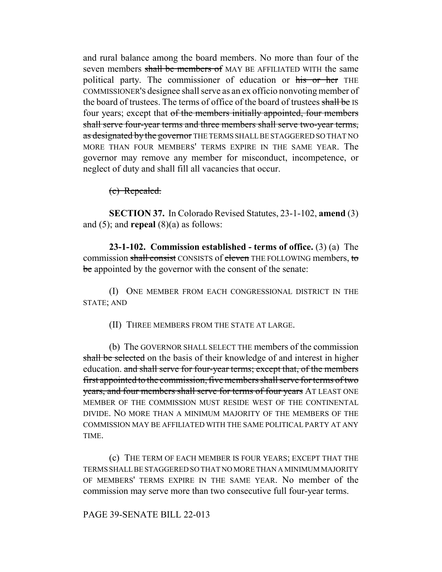and rural balance among the board members. No more than four of the seven members shall be members of MAY BE AFFILIATED WITH the same political party. The commissioner of education or his or her THE COMMISSIONER'S designee shall serve as an ex officio nonvoting member of the board of trustees. The terms of office of the board of trustees shall be IS four years; except that of the members initially appointed, four members shall serve four-year terms and three members shall serve two-year terms, as designated by the governor THE TERMS SHALL BE STAGGERED SO THAT NO MORE THAN FOUR MEMBERS' TERMS EXPIRE IN THE SAME YEAR. The governor may remove any member for misconduct, incompetence, or neglect of duty and shall fill all vacancies that occur.

(c) Repealed.

**SECTION 37.** In Colorado Revised Statutes, 23-1-102, **amend** (3) and (5); and **repeal** (8)(a) as follows:

**23-1-102. Commission established - terms of office.** (3) (a) The commission shall consist CONSISTS of eleven THE FOLLOWING members, to be appointed by the governor with the consent of the senate:

(I) ONE MEMBER FROM EACH CONGRESSIONAL DISTRICT IN THE STATE; AND

(II) THREE MEMBERS FROM THE STATE AT LARGE.

(b) The GOVERNOR SHALL SELECT THE members of the commission shall be selected on the basis of their knowledge of and interest in higher education. and shall serve for four-year terms; except that, of the members first appointed to the commission, five members shall serve for terms of two years, and four members shall serve for terms of four years AT LEAST ONE MEMBER OF THE COMMISSION MUST RESIDE WEST OF THE CONTINENTAL DIVIDE. NO MORE THAN A MINIMUM MAJORITY OF THE MEMBERS OF THE COMMISSION MAY BE AFFILIATED WITH THE SAME POLITICAL PARTY AT ANY TIME.

(c) THE TERM OF EACH MEMBER IS FOUR YEARS; EXCEPT THAT THE TERMS SHALL BE STAGGERED SO THAT NO MORE THAN A MINIMUM MAJORITY OF MEMBERS' TERMS EXPIRE IN THE SAME YEAR. No member of the commission may serve more than two consecutive full four-year terms.

PAGE 39-SENATE BILL 22-013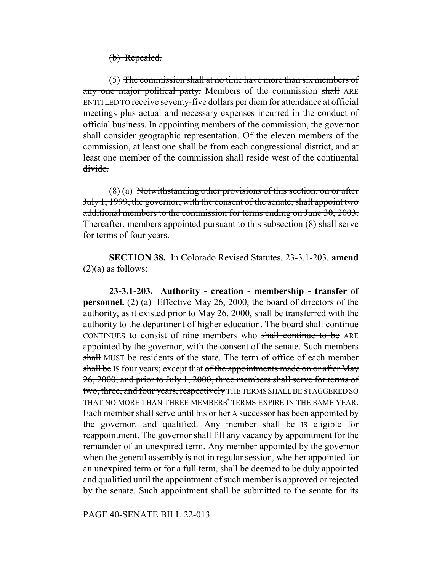(b) Repealed.

(5) The commission shall at no time have more than six members of any one major political party. Members of the commission shall ARE ENTITLED TO receive seventy-five dollars per diem for attendance at official meetings plus actual and necessary expenses incurred in the conduct of official business. In appointing members of the commission, the governor shall consider geographic representation. Of the eleven members of the commission, at least one shall be from each congressional district, and at least one member of the commission shall reside west of the continental divide.

 $(8)$  (a) Notwithstanding other provisions of this section, on or after July 1, 1999, the governor, with the consent of the senate, shall appoint two additional members to the commission for terms ending on June 30, 2003. Thereafter, members appointed pursuant to this subsection (8) shall serve for terms of four years.

**SECTION 38.** In Colorado Revised Statutes, 23-3.1-203, **amend**  $(2)(a)$  as follows:

**23-3.1-203. Authority - creation - membership - transfer of personnel.** (2) (a) Effective May 26, 2000, the board of directors of the authority, as it existed prior to May 26, 2000, shall be transferred with the authority to the department of higher education. The board shall continue CONTINUES to consist of nine members who shall continue to be ARE appointed by the governor, with the consent of the senate. Such members shall MUST be residents of the state. The term of office of each member shall be IS four years; except that of the appointments made on or after May 26, 2000, and prior to July 1, 2000, three members shall serve for terms of two, three, and four years, respectively THE TERMS SHALL BE STAGGERED SO THAT NO MORE THAN THREE MEMBERS' TERMS EXPIRE IN THE SAME YEAR. Each member shall serve until his or her A successor has been appointed by the governor. and qualified. Any member shall be IS eligible for reappointment. The governor shall fill any vacancy by appointment for the remainder of an unexpired term. Any member appointed by the governor when the general assembly is not in regular session, whether appointed for an unexpired term or for a full term, shall be deemed to be duly appointed and qualified until the appointment of such member is approved or rejected by the senate. Such appointment shall be submitted to the senate for its

PAGE 40-SENATE BILL 22-013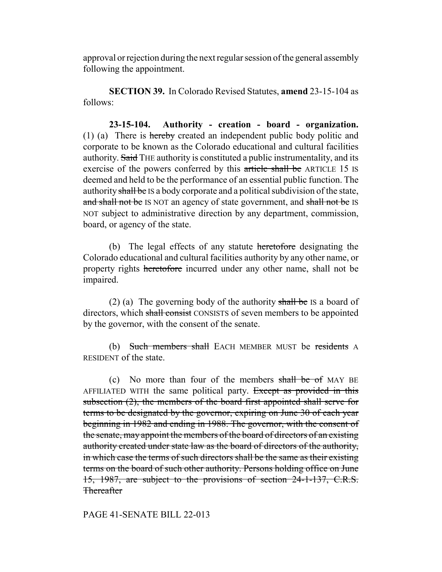approval or rejection during the next regular session of the general assembly following the appointment.

**SECTION 39.** In Colorado Revised Statutes, **amend** 23-15-104 as follows:

**23-15-104. Authority - creation - board - organization.** (1) (a) There is hereby created an independent public body politic and corporate to be known as the Colorado educational and cultural facilities authority. Said THE authority is constituted a public instrumentality, and its exercise of the powers conferred by this article shall be ARTICLE 15 IS deemed and held to be the performance of an essential public function. The authority shall be IS a body corporate and a political subdivision of the state, and shall not be IS NOT an agency of state government, and shall not be IS NOT subject to administrative direction by any department, commission, board, or agency of the state.

(b) The legal effects of any statute heretofore designating the Colorado educational and cultural facilities authority by any other name, or property rights heretofore incurred under any other name, shall not be impaired.

(2) (a) The governing body of the authority shall be IS a board of directors, which shall consist CONSISTS of seven members to be appointed by the governor, with the consent of the senate.

(b) Such members shall EACH MEMBER MUST be residents A RESIDENT of the state.

(c) No more than four of the members  $shall$  be of MAY BE AFFILIATED WITH the same political party. Except as provided in this subsection (2), the members of the board first appointed shall serve for terms to be designated by the governor, expiring on June 30 of each year beginning in 1982 and ending in 1988. The governor, with the consent of the senate, may appoint the members of the board of directors of an existing authority created under state law as the board of directors of the authority, in which case the terms of such directors shall be the same as their existing terms on the board of such other authority. Persons holding office on June 15, 1987, are subject to the provisions of section 24-1-137, C.R.S. Thereafter

## PAGE 41-SENATE BILL 22-013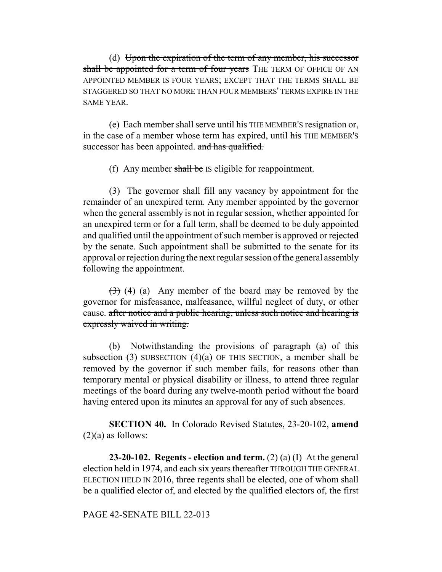(d) Upon the expiration of the term of any member, his successor shall be appointed for a term of four years THE TERM OF OFFICE OF AN APPOINTED MEMBER IS FOUR YEARS; EXCEPT THAT THE TERMS SHALL BE STAGGERED SO THAT NO MORE THAN FOUR MEMBERS' TERMS EXPIRE IN THE SAME YEAR.

(e) Each member shall serve until  $\frac{1}{n}$  THE MEMBER's resignation or, in the case of a member whose term has expired, until his THE MEMBER'S successor has been appointed. and has qualified.

(f) Any member shall be IS eligible for reappointment.

(3) The governor shall fill any vacancy by appointment for the remainder of an unexpired term. Any member appointed by the governor when the general assembly is not in regular session, whether appointed for an unexpired term or for a full term, shall be deemed to be duly appointed and qualified until the appointment of such member is approved or rejected by the senate. Such appointment shall be submitted to the senate for its approval or rejection during the next regular session of the general assembly following the appointment.

 $(3)$  (4) (a) Any member of the board may be removed by the governor for misfeasance, malfeasance, willful neglect of duty, or other cause. after notice and a public hearing, unless such notice and hearing is expressly waived in writing.

(b) Notwithstanding the provisions of  $\frac{1}{2}$  paragraph  $\frac{1}{2}$  of this subsection  $(3)$  SUBSECTION  $(4)(a)$  OF THIS SECTION, a member shall be removed by the governor if such member fails, for reasons other than temporary mental or physical disability or illness, to attend three regular meetings of the board during any twelve-month period without the board having entered upon its minutes an approval for any of such absences.

**SECTION 40.** In Colorado Revised Statutes, 23-20-102, **amend**  $(2)(a)$  as follows:

**23-20-102. Regents - election and term.** (2) (a) (I) At the general election held in 1974, and each six years thereafter THROUGH THE GENERAL ELECTION HELD IN 2016, three regents shall be elected, one of whom shall be a qualified elector of, and elected by the qualified electors of, the first

PAGE 42-SENATE BILL 22-013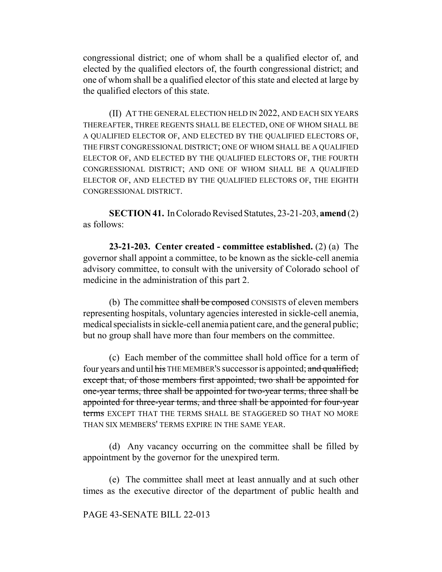congressional district; one of whom shall be a qualified elector of, and elected by the qualified electors of, the fourth congressional district; and one of whom shall be a qualified elector of this state and elected at large by the qualified electors of this state.

(II) AT THE GENERAL ELECTION HELD IN 2022, AND EACH SIX YEARS THEREAFTER, THREE REGENTS SHALL BE ELECTED, ONE OF WHOM SHALL BE A QUALIFIED ELECTOR OF, AND ELECTED BY THE QUALIFIED ELECTORS OF, THE FIRST CONGRESSIONAL DISTRICT; ONE OF WHOM SHALL BE A QUALIFIED ELECTOR OF, AND ELECTED BY THE QUALIFIED ELECTORS OF, THE FOURTH CONGRESSIONAL DISTRICT; AND ONE OF WHOM SHALL BE A QUALIFIED ELECTOR OF, AND ELECTED BY THE QUALIFIED ELECTORS OF, THE EIGHTH CONGRESSIONAL DISTRICT.

**SECTION 41.** In Colorado Revised Statutes, 23-21-203, **amend** (2) as follows:

**23-21-203. Center created - committee established.** (2) (a) The governor shall appoint a committee, to be known as the sickle-cell anemia advisory committee, to consult with the university of Colorado school of medicine in the administration of this part 2.

(b) The committee shall be composed CONSISTS of eleven members representing hospitals, voluntary agencies interested in sickle-cell anemia, medical specialists in sickle-cell anemia patient care, and the general public; but no group shall have more than four members on the committee.

(c) Each member of the committee shall hold office for a term of four years and until his THE MEMBER'S successor is appointed; and qualified; except that, of those members first appointed, two shall be appointed for one-year terms, three shall be appointed for two-year terms, three shall be appointed for three-year terms, and three shall be appointed for four-year terms EXCEPT THAT THE TERMS SHALL BE STAGGERED SO THAT NO MORE THAN SIX MEMBERS' TERMS EXPIRE IN THE SAME YEAR.

(d) Any vacancy occurring on the committee shall be filled by appointment by the governor for the unexpired term.

(e) The committee shall meet at least annually and at such other times as the executive director of the department of public health and

#### PAGE 43-SENATE BILL 22-013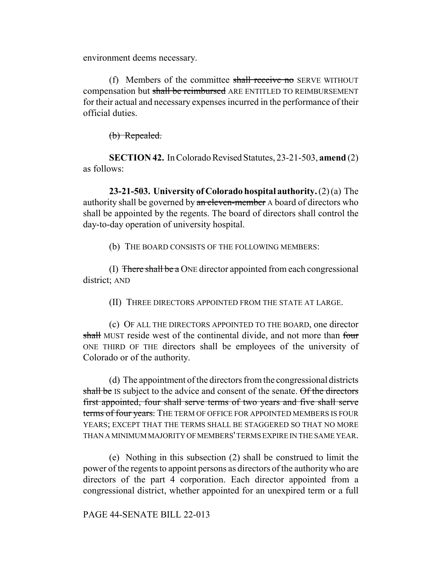environment deems necessary.

(f) Members of the committee shall receive no SERVE WITHOUT compensation but shall be reimbursed ARE ENTITLED TO REIMBURSEMENT for their actual and necessary expenses incurred in the performance of their official duties.

(b) Repealed.

**SECTION 42.** In Colorado Revised Statutes, 23-21-503, **amend** (2) as follows:

**23-21-503. University of Colorado hospital authority.** (2) (a) The authority shall be governed by an eleven-member A board of directors who shall be appointed by the regents. The board of directors shall control the day-to-day operation of university hospital.

(b) THE BOARD CONSISTS OF THE FOLLOWING MEMBERS:

(I) There shall be a ONE director appointed from each congressional district; AND

(II) THREE DIRECTORS APPOINTED FROM THE STATE AT LARGE.

(c) OF ALL THE DIRECTORS APPOINTED TO THE BOARD, one director shall MUST reside west of the continental divide, and not more than four ONE THIRD OF THE directors shall be employees of the university of Colorado or of the authority.

(d) The appointment of the directors from the congressional districts shall be IS subject to the advice and consent of the senate. Of the directors first appointed, four shall serve terms of two years and five shall serve terms of four years. THE TERM OF OFFICE FOR APPOINTED MEMBERS IS FOUR YEARS; EXCEPT THAT THE TERMS SHALL BE STAGGERED SO THAT NO MORE THAN A MINIMUM MAJORITY OF MEMBERS' TERMS EXPIRE IN THE SAME YEAR.

(e) Nothing in this subsection (2) shall be construed to limit the power of the regents to appoint persons as directors of the authority who are directors of the part 4 corporation. Each director appointed from a congressional district, whether appointed for an unexpired term or a full

## PAGE 44-SENATE BILL 22-013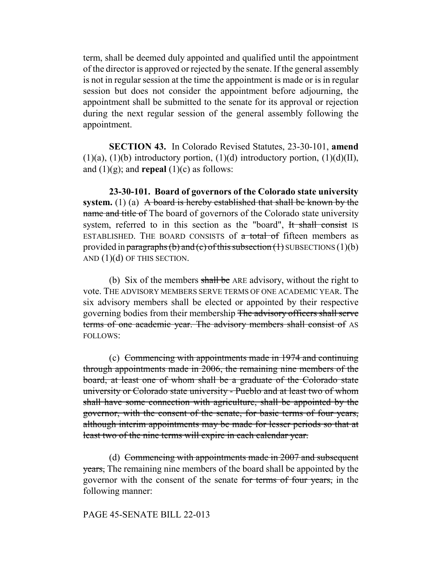term, shall be deemed duly appointed and qualified until the appointment of the director is approved or rejected by the senate. If the general assembly is not in regular session at the time the appointment is made or is in regular session but does not consider the appointment before adjourning, the appointment shall be submitted to the senate for its approval or rejection during the next regular session of the general assembly following the appointment.

**SECTION 43.** In Colorado Revised Statutes, 23-30-101, **amend**  $(1)(a)$ ,  $(1)(b)$  introductory portion,  $(1)(d)$  introductory portion,  $(1)(d)(II)$ , and  $(1)(g)$ ; and **repeal**  $(1)(c)$  as follows:

**23-30-101. Board of governors of the Colorado state university system.** (1) (a) A board is hereby established that shall be known by the name and title of The board of governors of the Colorado state university system, referred to in this section as the "board", H shall consist IS ESTABLISHED. THE BOARD CONSISTS of a total of fifteen members as provided in paragraphs (b) and (c) of this subsection  $(1)$  SUBSECTIONS  $(1)(b)$ AND  $(1)(d)$  OF THIS SECTION.

(b) Six of the members shall be ARE advisory, without the right to vote. THE ADVISORY MEMBERS SERVE TERMS OF ONE ACADEMIC YEAR. The six advisory members shall be elected or appointed by their respective governing bodies from their membership The advisory officers shall serve terms of one academic year. The advisory members shall consist of AS FOLLOWS:

(c) Commencing with appointments made in 1974 and continuing through appointments made in 2006, the remaining nine members of the board, at least one of whom shall be a graduate of the Colorado state university or Colorado state university - Pueblo and at least two of whom shall have some connection with agriculture, shall be appointed by the governor, with the consent of the senate, for basic terms of four years, although interim appointments may be made for lesser periods so that at least two of the nine terms will expire in each calendar year.

(d) Commencing with appointments made in 2007 and subsequent years, The remaining nine members of the board shall be appointed by the governor with the consent of the senate for terms of four years, in the following manner:

#### PAGE 45-SENATE BILL 22-013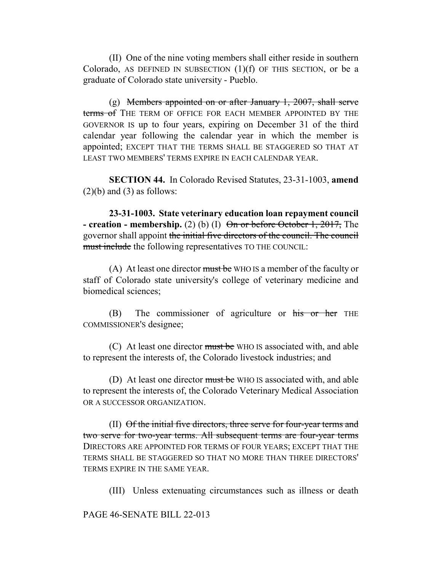(II) One of the nine voting members shall either reside in southern Colorado, AS DEFINED IN SUBSECTION  $(1)(f)$  OF THIS SECTION, or be a graduate of Colorado state university - Pueblo.

(g) Members appointed on or after January 1, 2007, shall serve terms of THE TERM OF OFFICE FOR EACH MEMBER APPOINTED BY THE GOVERNOR IS up to four years, expiring on December 31 of the third calendar year following the calendar year in which the member is appointed; EXCEPT THAT THE TERMS SHALL BE STAGGERED SO THAT AT LEAST TWO MEMBERS' TERMS EXPIRE IN EACH CALENDAR YEAR.

**SECTION 44.** In Colorado Revised Statutes, 23-31-1003, **amend**  $(2)(b)$  and  $(3)$  as follows:

**23-31-1003. State veterinary education loan repayment council - creation - membership.** (2) (b) (I)  $\Theta$ n or before October 1, 2017, The governor shall appoint the initial five directors of the council. The council must include the following representatives TO THE COUNCIL:

(A) At least one director must be WHO IS a member of the faculty or staff of Colorado state university's college of veterinary medicine and biomedical sciences;

 $(B)$  The commissioner of agriculture or his or her THE COMMISSIONER'S designee;

(C) At least one director must be WHO IS associated with, and able to represent the interests of, the Colorado livestock industries; and

(D) At least one director  $\frac{m}{dt}$  be WHO IS associated with, and able to represent the interests of, the Colorado Veterinary Medical Association OR A SUCCESSOR ORGANIZATION.

(II) Of the initial five directors, three serve for four-year terms and two serve for two-year terms. All subsequent terms are four-year terms DIRECTORS ARE APPOINTED FOR TERMS OF FOUR YEARS; EXCEPT THAT THE TERMS SHALL BE STAGGERED SO THAT NO MORE THAN THREE DIRECTORS' TERMS EXPIRE IN THE SAME YEAR.

(III) Unless extenuating circumstances such as illness or death

# PAGE 46-SENATE BILL 22-013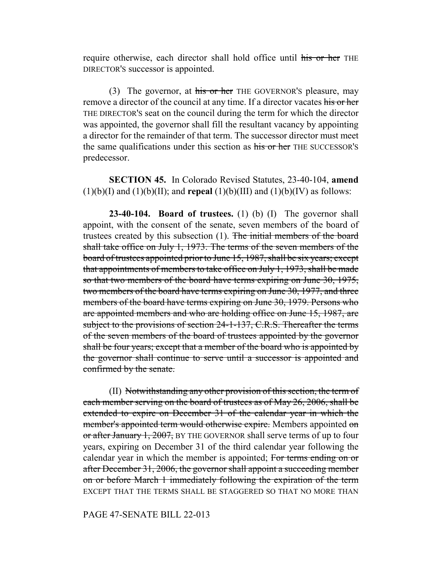require otherwise, each director shall hold office until his or her THE DIRECTOR'S successor is appointed.

(3) The governor, at his or her THE GOVERNOR's pleasure, may remove a director of the council at any time. If a director vacates his or her THE DIRECTOR'S seat on the council during the term for which the director was appointed, the governor shall fill the resultant vacancy by appointing a director for the remainder of that term. The successor director must meet the same qualifications under this section as his or her THE SUCCESSOR'S predecessor.

**SECTION 45.** In Colorado Revised Statutes, 23-40-104, **amend**  $(1)(b)(I)$  and  $(1)(b)(II)$ ; and **repeal**  $(1)(b)(III)$  and  $(1)(b)(IV)$  as follows:

**23-40-104. Board of trustees.** (1) (b) (I) The governor shall appoint, with the consent of the senate, seven members of the board of trustees created by this subsection (1). The initial members of the board shall take office on July 1, 1973. The terms of the seven members of the board of trustees appointed prior to June 15, 1987, shall be six years; except that appointments of members to take office on July 1, 1973, shall be made so that two members of the board have terms expiring on June 30, 1975, two members of the board have terms expiring on June 30, 1977, and three members of the board have terms expiring on June 30, 1979. Persons who are appointed members and who are holding office on June 15, 1987, are subject to the provisions of section 24-1-137, C.R.S. Thereafter the terms of the seven members of the board of trustees appointed by the governor shall be four years; except that a member of the board who is appointed by the governor shall continue to serve until a successor is appointed and confirmed by the senate.

(II) Notwithstanding any other provision of this section, the term of each member serving on the board of trustees as of May 26, 2006, shall be extended to expire on December 31 of the calendar year in which the member's appointed term would otherwise expire. Members appointed on or after January 1, 2007, BY THE GOVERNOR shall serve terms of up to four years, expiring on December 31 of the third calendar year following the calendar year in which the member is appointed; For terms ending on or after December 31, 2006, the governor shall appoint a succeeding member on or before March 1 immediately following the expiration of the term EXCEPT THAT THE TERMS SHALL BE STAGGERED SO THAT NO MORE THAN

PAGE 47-SENATE BILL 22-013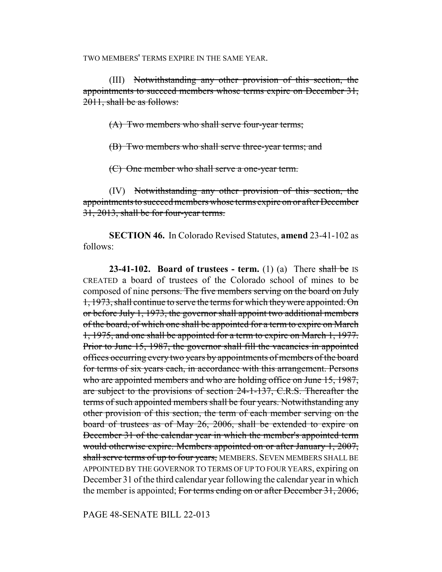TWO MEMBERS' TERMS EXPIRE IN THE SAME YEAR.

(III) Notwithstanding any other provision of this section, the appointments to succeed members whose terms expire on December 31, 2011, shall be as follows:

(A) Two members who shall serve four-year terms;

(B) Two members who shall serve three-year terms; and

(C) One member who shall serve a one-year term.

(IV) Notwithstanding any other provision of this section, the appointments to succeed members whose terms expire on or after December 31, 2013, shall be for four-year terms.

**SECTION 46.** In Colorado Revised Statutes, **amend** 23-41-102 as follows:

**23-41-102. Board of trustees - term.** (1) (a) There shall be IS CREATED a board of trustees of the Colorado school of mines to be composed of nine persons. The five members serving on the board on July 1, 1973, shall continue to serve the terms for which they were appointed. On or before July 1, 1973, the governor shall appoint two additional members of the board, of which one shall be appointed for a term to expire on March 1, 1975, and one shall be appointed for a term to expire on March 1, 1977. Prior to June 15, 1987, the governor shall fill the vacancies in appointed offices occurring every two years by appointments of members of the board for terms of six years each, in accordance with this arrangement. Persons who are appointed members and who are holding office on June 15, 1987, are subject to the provisions of section 24-1-137, C.R.S. Thereafter the terms of such appointed members shall be four years. Notwithstanding any other provision of this section, the term of each member serving on the board of trustees as of May 26, 2006, shall be extended to expire on December 31 of the calendar year in which the member's appointed term would otherwise expire. Members appointed on or after January 1, 2007, shall serve terms of up to four years, MEMBERS. SEVEN MEMBERS SHALL BE APPOINTED BY THE GOVERNOR TO TERMS OF UP TO FOUR YEARS, expiring on December 31 of the third calendar year following the calendar year in which the member is appointed; For terms ending on or after December 31, 2006,

PAGE 48-SENATE BILL 22-013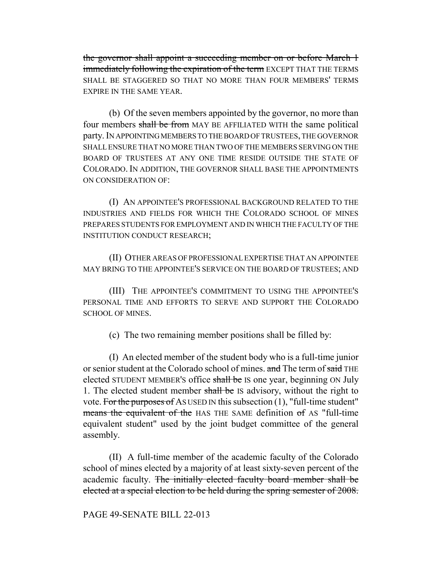the governor shall appoint a succeeding member on or before March 1 immediately following the expiration of the term EXCEPT THAT THE TERMS SHALL BE STAGGERED SO THAT NO MORE THAN FOUR MEMBERS' TERMS EXPIRE IN THE SAME YEAR.

(b) Of the seven members appointed by the governor, no more than four members shall be from MAY BE AFFILIATED WITH the same political party. IN APPOINTING MEMBERS TO THE BOARD OF TRUSTEES, THE GOVERNOR SHALL ENSURE THAT NO MORE THAN TWO OF THE MEMBERS SERVING ON THE BOARD OF TRUSTEES AT ANY ONE TIME RESIDE OUTSIDE THE STATE OF COLORADO. IN ADDITION, THE GOVERNOR SHALL BASE THE APPOINTMENTS ON CONSIDERATION OF:

(I) AN APPOINTEE'S PROFESSIONAL BACKGROUND RELATED TO THE INDUSTRIES AND FIELDS FOR WHICH THE COLORADO SCHOOL OF MINES PREPARES STUDENTS FOR EMPLOYMENT AND IN WHICH THE FACULTY OF THE INSTITUTION CONDUCT RESEARCH;

(II) OTHER AREAS OF PROFESSIONAL EXPERTISE THAT AN APPOINTEE MAY BRING TO THE APPOINTEE'S SERVICE ON THE BOARD OF TRUSTEES; AND

(III) THE APPOINTEE'S COMMITMENT TO USING THE APPOINTEE'S PERSONAL TIME AND EFFORTS TO SERVE AND SUPPORT THE COLORADO SCHOOL OF MINES.

(c) The two remaining member positions shall be filled by:

(I) An elected member of the student body who is a full-time junior or senior student at the Colorado school of mines. and The term of said THE elected STUDENT MEMBER's office shall be IS one year, beginning ON July 1. The elected student member shall be IS advisory, without the right to vote. For the purposes of As USED IN this subsection  $(1)$ , "full-time student" means the equivalent of the HAS THE SAME definition of AS "full-time equivalent student" used by the joint budget committee of the general assembly.

(II) A full-time member of the academic faculty of the Colorado school of mines elected by a majority of at least sixty-seven percent of the academic faculty. The initially elected faculty board member shall be elected at a special election to be held during the spring semester of 2008.

PAGE 49-SENATE BILL 22-013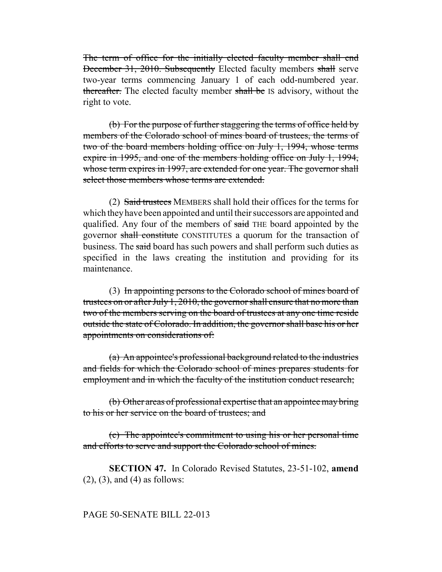The term of office for the initially elected faculty member shall end December 31, 2010. Subsequently Elected faculty members shall serve two-year terms commencing January 1 of each odd-numbered year. thereafter. The elected faculty member shall be IS advisory, without the right to vote.

(b) For the purpose of further staggering the terms of office held by members of the Colorado school of mines board of trustees, the terms of two of the board members holding office on July 1, 1994, whose terms expire in 1995, and one of the members holding office on July 1, 1994, whose term expires in 1997, are extended for one year. The governor shall select those members whose terms are extended.

(2) Said trustees MEMBERS shall hold their offices for the terms for which they have been appointed and until their successors are appointed and qualified. Any four of the members of said THE board appointed by the governor shall constitute CONSTITUTES a quorum for the transaction of business. The said board has such powers and shall perform such duties as specified in the laws creating the institution and providing for its maintenance.

(3) In appointing persons to the Colorado school of mines board of trustees on or after July 1, 2010, the governor shall ensure that no more than two of the members serving on the board of trustees at any one time reside outside the state of Colorado. In addition, the governor shall base his or her appointments on considerations of:

(a) An appointee's professional background related to the industries and fields for which the Colorado school of mines prepares students for employment and in which the faculty of the institution conduct research;

(b) Other areas of professional expertise that an appointee may bring to his or her service on the board of trustees; and

(c) The appointee's commitment to using his or her personal time and efforts to serve and support the Colorado school of mines.

**SECTION 47.** In Colorado Revised Statutes, 23-51-102, **amend**  $(2)$ ,  $(3)$ , and  $(4)$  as follows:

### PAGE 50-SENATE BILL 22-013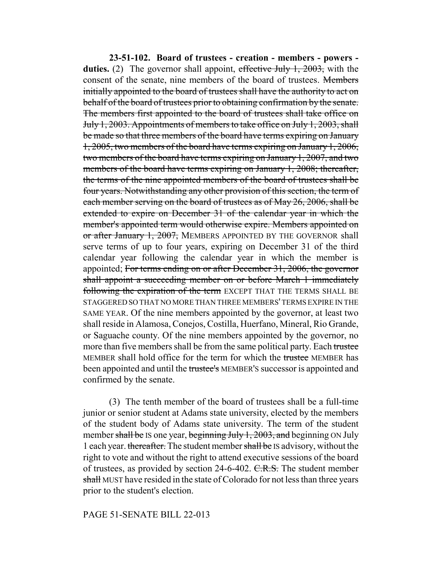**23-51-102. Board of trustees - creation - members - powers duties.** (2) The governor shall appoint, effective July 1, 2003, with the consent of the senate, nine members of the board of trustees. Members initially appointed to the board of trustees shall have the authority to act on behalf of the board of trustees prior to obtaining confirmation by the senate. The members first appointed to the board of trustees shall take office on July 1, 2003. Appointments of members to take office on July 1, 2003, shall be made so that three members of the board have terms expiring on January 1, 2005, two members of the board have terms expiring on January 1, 2006, two members of the board have terms expiring on January 1, 2007, and two members of the board have terms expiring on January 1, 2008; thereafter, the terms of the nine appointed members of the board of trustees shall be four years. Notwithstanding any other provision of this section, the term of each member serving on the board of trustees as of May 26, 2006, shall be extended to expire on December 31 of the calendar year in which the member's appointed term would otherwise expire. Members appointed on or after January 1, 2007, MEMBERS APPOINTED BY THE GOVERNOR shall serve terms of up to four years, expiring on December 31 of the third calendar year following the calendar year in which the member is appointed; For terms ending on or after December 31, 2006, the governor shall appoint a succeeding member on or before March 1 immediately following the expiration of the term EXCEPT THAT THE TERMS SHALL BE STAGGERED SO THAT NO MORE THAN THREE MEMBERS' TERMS EXPIRE IN THE SAME YEAR. Of the nine members appointed by the governor, at least two shall reside in Alamosa, Conejos, Costilla, Huerfano, Mineral, Rio Grande, or Saguache county. Of the nine members appointed by the governor, no more than five members shall be from the same political party. Each trustee MEMBER shall hold office for the term for which the trustee MEMBER has been appointed and until the trustee's MEMBER's successor is appointed and confirmed by the senate.

(3) The tenth member of the board of trustees shall be a full-time junior or senior student at Adams state university, elected by the members of the student body of Adams state university. The term of the student member shall be IS one year, beginning July 1, 2003, and beginning ON July 1 each year. thereafter. The student member shall be IS advisory, without the right to vote and without the right to attend executive sessions of the board of trustees, as provided by section 24-6-402. C.R.S. The student member shall MUST have resided in the state of Colorado for not less than three years prior to the student's election.

### PAGE 51-SENATE BILL 22-013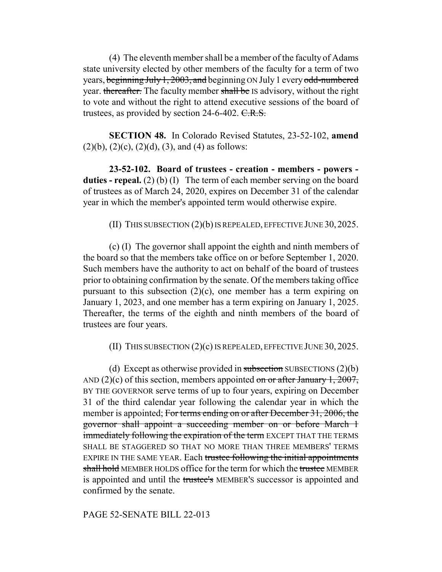(4) The eleventh member shall be a member of the faculty of Adams state university elected by other members of the faculty for a term of two years, beginning July 1, 2003, and beginning ON July 1 every odd-numbered year. thereafter. The faculty member shall be IS advisory, without the right to vote and without the right to attend executive sessions of the board of trustees, as provided by section 24-6-402. C.R.S.

**SECTION 48.** In Colorado Revised Statutes, 23-52-102, **amend**  $(2)(b)$ ,  $(2)(c)$ ,  $(2)(d)$ ,  $(3)$ , and  $(4)$  as follows:

**23-52-102. Board of trustees - creation - members - powers duties - repeal.** (2) (b) (I) The term of each member serving on the board of trustees as of March 24, 2020, expires on December 31 of the calendar year in which the member's appointed term would otherwise expire.

(II) THIS SUBSECTION (2)(b) IS REPEALED, EFFECTIVE JUNE 30, 2025.

(c) (I) The governor shall appoint the eighth and ninth members of the board so that the members take office on or before September 1, 2020. Such members have the authority to act on behalf of the board of trustees prior to obtaining confirmation by the senate. Of the members taking office pursuant to this subsection  $(2)(c)$ , one member has a term expiring on January 1, 2023, and one member has a term expiring on January 1, 2025. Thereafter, the terms of the eighth and ninth members of the board of trustees are four years.

(II) THIS SUBSECTION (2)(c) IS REPEALED, EFFECTIVE JUNE 30, 2025.

(d) Except as otherwise provided in subsection SUBSECTIONS  $(2)(b)$ AND (2)(c) of this section, members appointed on or after January 1, 2007, BY THE GOVERNOR serve terms of up to four years, expiring on December 31 of the third calendar year following the calendar year in which the member is appointed; For terms ending on or after December 31, 2006, the governor shall appoint a succeeding member on or before March 1 immediately following the expiration of the term EXCEPT THAT THE TERMS SHALL BE STAGGERED SO THAT NO MORE THAN THREE MEMBERS' TERMS EXPIRE IN THE SAME YEAR. Each trustee following the initial appointments shall hold MEMBER HOLDS office for the term for which the trustee MEMBER is appointed and until the trustee's MEMBER'S successor is appointed and confirmed by the senate.

### PAGE 52-SENATE BILL 22-013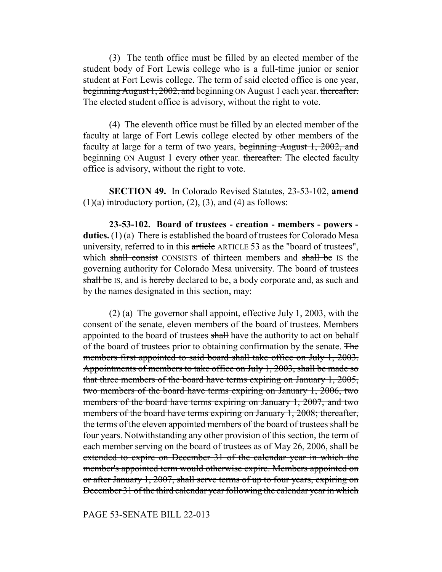(3) The tenth office must be filled by an elected member of the student body of Fort Lewis college who is a full-time junior or senior student at Fort Lewis college. The term of said elected office is one year, beginning August 1, 2002, and beginning ON August 1 each year. thereafter. The elected student office is advisory, without the right to vote.

(4) The eleventh office must be filled by an elected member of the faculty at large of Fort Lewis college elected by other members of the faculty at large for a term of two years, beginning August 1, 2002, and beginning ON August 1 every other year. thereafter. The elected faculty office is advisory, without the right to vote.

**SECTION 49.** In Colorado Revised Statutes, 23-53-102, **amend**  $(1)(a)$  introductory portion,  $(2)$ ,  $(3)$ , and  $(4)$  as follows:

**23-53-102. Board of trustees - creation - members - powers duties.** (1) (a) There is established the board of trustees for Colorado Mesa university, referred to in this article ARTICLE 53 as the "board of trustees", which shall consist CONSISTS of thirteen members and shall be IS the governing authority for Colorado Mesa university. The board of trustees shall be IS, and is hereby declared to be, a body corporate and, as such and by the names designated in this section, may:

(2) (a) The governor shall appoint, effective July 1,  $2003$ , with the consent of the senate, eleven members of the board of trustees. Members appointed to the board of trustees shall have the authority to act on behalf of the board of trustees prior to obtaining confirmation by the senate. The members first appointed to said board shall take office on July 1, 2003. Appointments of members to take office on July 1, 2003, shall be made so that three members of the board have terms expiring on January 1, 2005, two members of the board have terms expiring on January 1, 2006, two members of the board have terms expiring on January 1, 2007, and two members of the board have terms expiring on January 1, 2008; thereafter, the terms of the eleven appointed members of the board of trustees shall be four years. Notwithstanding any other provision of this section, the term of each member serving on the board of trustees as of May 26, 2006, shall be extended to expire on December 31 of the calendar year in which the member's appointed term would otherwise expire. Members appointed on or after January 1, 2007, shall serve terms of up to four years, expiring on December 31 of the third calendar year following the calendar year in which

PAGE 53-SENATE BILL 22-013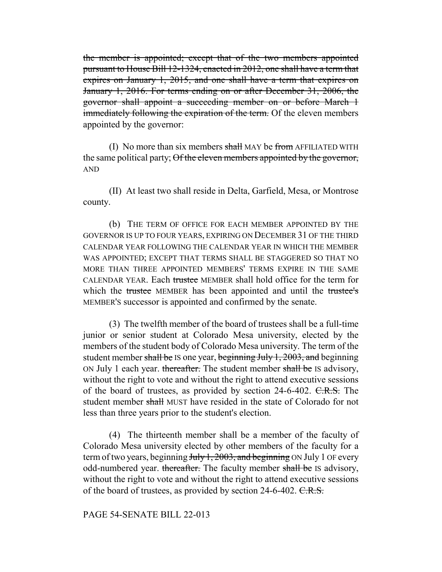the member is appointed; except that of the two members appointed pursuant to House Bill 12-1324, enacted in 2012, one shall have a term that expires on January 1, 2015, and one shall have a term that expires on January 1, 2016. For terms ending on or after December 31, 2006, the governor shall appoint a succeeding member on or before March 1 immediately following the expiration of the term. Of the eleven members appointed by the governor:

(I) No more than six members shall MAY be from AFFILIATED WITH the same political party; Of the eleven members appointed by the governor, AND

(II) At least two shall reside in Delta, Garfield, Mesa, or Montrose county.

(b) THE TERM OF OFFICE FOR EACH MEMBER APPOINTED BY THE GOVERNOR IS UP TO FOUR YEARS, EXPIRING ON DECEMBER 31 OF THE THIRD CALENDAR YEAR FOLLOWING THE CALENDAR YEAR IN WHICH THE MEMBER WAS APPOINTED; EXCEPT THAT TERMS SHALL BE STAGGERED SO THAT NO MORE THAN THREE APPOINTED MEMBERS' TERMS EXPIRE IN THE SAME CALENDAR YEAR. Each trustee MEMBER shall hold office for the term for which the trustee MEMBER has been appointed and until the trustee's MEMBER'S successor is appointed and confirmed by the senate.

(3) The twelfth member of the board of trustees shall be a full-time junior or senior student at Colorado Mesa university, elected by the members of the student body of Colorado Mesa university. The term of the student member shall be IS one year, beginning July 1,  $2003$ , and beginning ON July 1 each year. thereafter. The student member shall be IS advisory, without the right to vote and without the right to attend executive sessions of the board of trustees, as provided by section 24-6-402. C.R.S. The student member shall MUST have resided in the state of Colorado for not less than three years prior to the student's election.

(4) The thirteenth member shall be a member of the faculty of Colorado Mesa university elected by other members of the faculty for a term of two years, beginning  $July 1, 2003$ , and beginning ON July 1 OF every odd-numbered year. thereafter. The faculty member shall be IS advisory, without the right to vote and without the right to attend executive sessions of the board of trustees, as provided by section 24-6-402. C.R.S.

## PAGE 54-SENATE BILL 22-013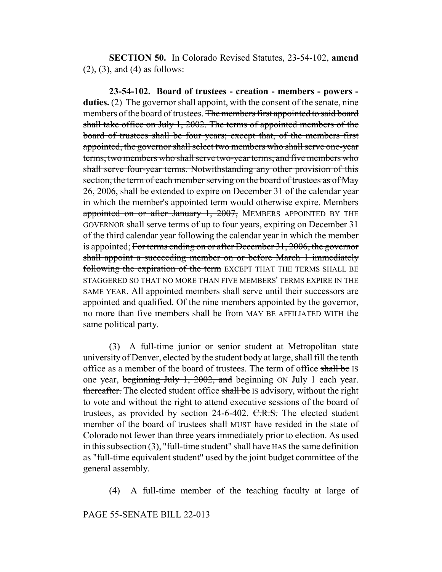**SECTION 50.** In Colorado Revised Statutes, 23-54-102, **amend**  $(2)$ ,  $(3)$ , and  $(4)$  as follows:

**23-54-102. Board of trustees - creation - members - powers duties.** (2) The governor shall appoint, with the consent of the senate, nine members of the board of trustees. The members first appointed to said board shall take office on July 1, 2002. The terms of appointed members of the board of trustees shall be four years; except that, of the members first appointed, the governor shall select two members who shall serve one-year terms, two members who shall serve two-year terms, and five members who shall serve four-year terms. Notwithstanding any other provision of this section, the term of each member serving on the board of trustees as of May 26, 2006, shall be extended to expire on December 31 of the calendar year in which the member's appointed term would otherwise expire. Members appointed on or after January 1, 2007, MEMBERS APPOINTED BY THE GOVERNOR shall serve terms of up to four years, expiring on December 31 of the third calendar year following the calendar year in which the member is appointed; For terms ending on or after December 31, 2006, the governor shall appoint a succeeding member on or before March 1 immediately following the expiration of the term EXCEPT THAT THE TERMS SHALL BE STAGGERED SO THAT NO MORE THAN FIVE MEMBERS' TERMS EXPIRE IN THE SAME YEAR. All appointed members shall serve until their successors are appointed and qualified. Of the nine members appointed by the governor, no more than five members shall be from MAY BE AFFILIATED WITH the same political party.

(3) A full-time junior or senior student at Metropolitan state university of Denver, elected by the student body at large, shall fill the tenth office as a member of the board of trustees. The term of office shall be IS one year, beginning July 1, 2002, and beginning ON July 1 each year. thereafter. The elected student office shall be IS advisory, without the right to vote and without the right to attend executive sessions of the board of trustees, as provided by section 24-6-402. C.R.S. The elected student member of the board of trustees shall MUST have resided in the state of Colorado not fewer than three years immediately prior to election. As used in this subsection  $(3)$ , "full-time student" shall have HAS the same definition as "full-time equivalent student" used by the joint budget committee of the general assembly.

(4) A full-time member of the teaching faculty at large of

PAGE 55-SENATE BILL 22-013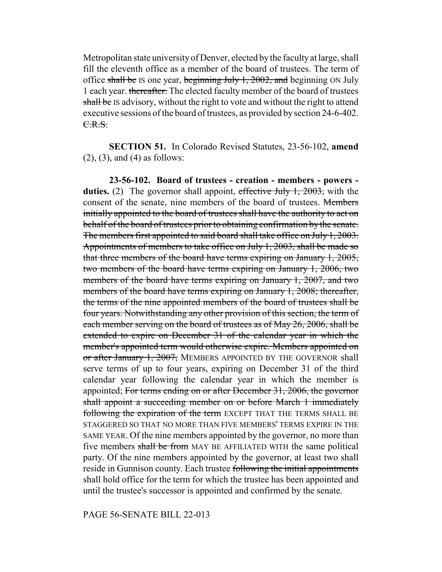Metropolitan state university of Denver, elected by the faculty at large, shall fill the eleventh office as a member of the board of trustees. The term of office shall be IS one year, beginning July 1, 2002, and beginning ON July 1 each year. thereafter. The elected faculty member of the board of trustees shall be IS advisory, without the right to vote and without the right to attend executive sessions of the board of trustees, as provided by section 24-6-402. C.R.S.

**SECTION 51.** In Colorado Revised Statutes, 23-56-102, **amend** (2), (3), and (4) as follows:

**23-56-102. Board of trustees - creation - members - powers duties.** (2) The governor shall appoint, effective July 1, 2003, with the consent of the senate, nine members of the board of trustees. Members initially appointed to the board of trustees shall have the authority to act on behalf of the board of trustees prior to obtaining confirmation by the senate. The members first appointed to said board shall take office on July 1, 2003. Appointments of members to take office on July 1, 2003, shall be made so that three members of the board have terms expiring on January 1, 2005, two members of the board have terms expiring on January 1, 2006, two members of the board have terms expiring on January 1, 2007, and two members of the board have terms expiring on January 1, 2008; thereafter, the terms of the nine appointed members of the board of trustees shall be four years. Notwithstanding any other provision of this section, the term of each member serving on the board of trustees as of May 26, 2006, shall be extended to expire on December 31 of the calendar year in which the member's appointed term would otherwise expire. Members appointed on or after January 1, 2007, MEMBERS APPOINTED BY THE GOVERNOR shall serve terms of up to four years, expiring on December 31 of the third calendar year following the calendar year in which the member is appointed; For terms ending on or after December 31, 2006, the governor shall appoint a succeeding member on or before March 1 immediately following the expiration of the term EXCEPT THAT THE TERMS SHALL BE STAGGERED SO THAT NO MORE THAN FIVE MEMBERS' TERMS EXPIRE IN THE SAME YEAR. Of the nine members appointed by the governor, no more than five members shall be from MAY BE AFFILIATED WITH the same political party. Of the nine members appointed by the governor, at least two shall reside in Gunnison county. Each trustee following the initial appointments shall hold office for the term for which the trustee has been appointed and until the trustee's successor is appointed and confirmed by the senate.

### PAGE 56-SENATE BILL 22-013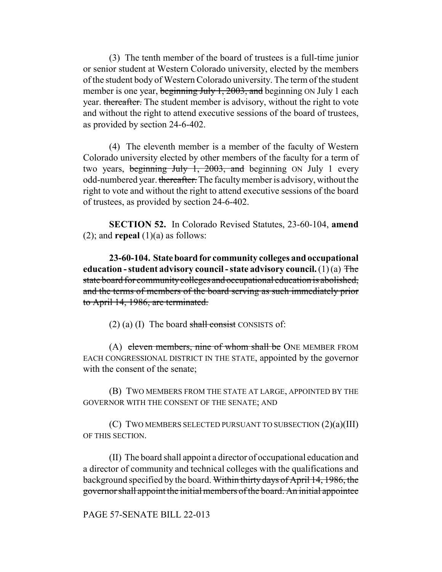(3) The tenth member of the board of trustees is a full-time junior or senior student at Western Colorado university, elected by the members of the student body of Western Colorado university. The term of the student member is one year, beginning July 1, 2003, and beginning ON July 1 each year. thereafter. The student member is advisory, without the right to vote and without the right to attend executive sessions of the board of trustees, as provided by section 24-6-402.

(4) The eleventh member is a member of the faculty of Western Colorado university elected by other members of the faculty for a term of two years, beginning July 1, 2003, and beginning ON July 1 every odd-numbered year. thereafter. The faculty member is advisory, without the right to vote and without the right to attend executive sessions of the board of trustees, as provided by section 24-6-402.

**SECTION 52.** In Colorado Revised Statutes, 23-60-104, **amend** (2); and **repeal**  $(1)(a)$  as follows:

**23-60-104. State board for community colleges and occupational education - student advisory council - state advisory council.** (1) (a) The state board for community colleges and occupational education is abolished, and the terms of members of the board serving as such immediately prior to April 14, 1986, are terminated.

 $(2)$  (a) (I) The board shall consist CONSISTS of:

(A) eleven members, nine of whom shall be ONE MEMBER FROM EACH CONGRESSIONAL DISTRICT IN THE STATE, appointed by the governor with the consent of the senate;

(B) TWO MEMBERS FROM THE STATE AT LARGE, APPOINTED BY THE GOVERNOR WITH THE CONSENT OF THE SENATE; AND

(C) TWO MEMBERS SELECTED PURSUANT TO SUBSECTION (2)(a)(III) OF THIS SECTION.

(II) The board shall appoint a director of occupational education and a director of community and technical colleges with the qualifications and background specified by the board. Within thirty days of April 14, 1986, the governor shall appoint the initial members of the board. An initial appointee

PAGE 57-SENATE BILL 22-013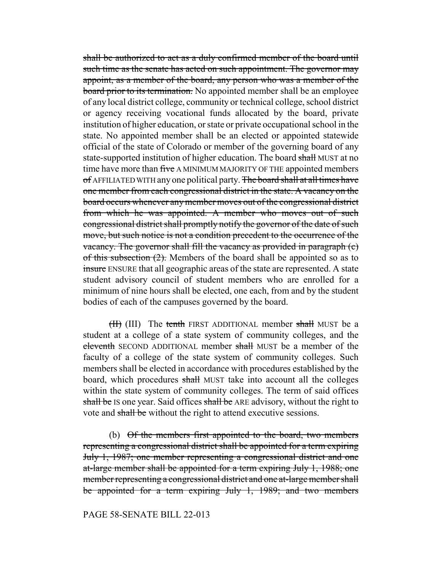shall be authorized to act as a duly confirmed member of the board until such time as the senate has acted on such appointment. The governor may appoint, as a member of the board, any person who was a member of the board prior to its termination. No appointed member shall be an employee of any local district college, community or technical college, school district or agency receiving vocational funds allocated by the board, private institution of higher education, or state or private occupational school in the state. No appointed member shall be an elected or appointed statewide official of the state of Colorado or member of the governing board of any state-supported institution of higher education. The board shall MUST at no time have more than five A MINIMUM MAJORITY OF THE appointed members of AFFILIATED WITH any one political party. The board shall at all times have one member from each congressional district in the state. A vacancy on the board occurs whenever any member moves out of the congressional district from which he was appointed. A member who moves out of such congressional district shall promptly notify the governor of the date of such move, but such notice is not a condition precedent to the occurrence of the vacancy. The governor shall fill the vacancy as provided in paragraph (c) of this subsection  $(2)$ . Members of the board shall be appointed so as to insure ENSURE that all geographic areas of the state are represented. A state student advisory council of student members who are enrolled for a minimum of nine hours shall be elected, one each, from and by the student bodies of each of the campuses governed by the board.

(III) The tenth FIRST ADDITIONAL member shall MUST be a student at a college of a state system of community colleges, and the eleventh SECOND ADDITIONAL member shall MUST be a member of the faculty of a college of the state system of community colleges. Such members shall be elected in accordance with procedures established by the board, which procedures shall MUST take into account all the colleges within the state system of community colleges. The term of said offices shall be IS one year. Said offices shall be ARE advisory, without the right to vote and shall be without the right to attend executive sessions.

(b)  $\Theta$ f the members first appointed to the board, two members representing a congressional district shall be appointed for a term expiring July 1, 1987; one member representing a congressional district and one at-large member shall be appointed for a term expiring July 1, 1988; one member representing a congressional district and one at-large member shall be appointed for a term expiring July 1, 1989; and two members

## PAGE 58-SENATE BILL 22-013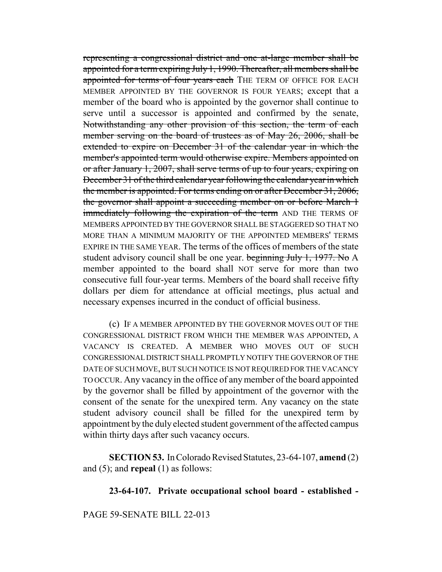representing a congressional district and one at-large member shall be appointed for a term expiring July 1, 1990. Thereafter, all members shall be appointed for terms of four years each THE TERM OF OFFICE FOR EACH MEMBER APPOINTED BY THE GOVERNOR IS FOUR YEARS; except that a member of the board who is appointed by the governor shall continue to serve until a successor is appointed and confirmed by the senate, Notwithstanding any other provision of this section, the term of each member serving on the board of trustees as of May 26, 2006, shall be extended to expire on December 31 of the calendar year in which the member's appointed term would otherwise expire. Members appointed on or after January 1, 2007, shall serve terms of up to four years, expiring on December 31 of the third calendar year following the calendar year in which the member is appointed. For terms ending on or after December 31, 2006, the governor shall appoint a succeeding member on or before March 1 immediately following the expiration of the term AND THE TERMS OF MEMBERS APPOINTED BY THE GOVERNOR SHALL BE STAGGERED SO THAT NO MORE THAN A MINIMUM MAJORITY OF THE APPOINTED MEMBERS' TERMS EXPIRE IN THE SAME YEAR. The terms of the offices of members of the state student advisory council shall be one year. beginning July 1, 1977. No A member appointed to the board shall NOT serve for more than two consecutive full four-year terms. Members of the board shall receive fifty dollars per diem for attendance at official meetings, plus actual and necessary expenses incurred in the conduct of official business.

(c) IF A MEMBER APPOINTED BY THE GOVERNOR MOVES OUT OF THE CONGRESSIONAL DISTRICT FROM WHICH THE MEMBER WAS APPOINTED, A VACANCY IS CREATED. A MEMBER WHO MOVES OUT OF SUCH CONGRESSIONAL DISTRICT SHALL PROMPTLY NOTIFY THE GOVERNOR OF THE DATE OF SUCH MOVE, BUT SUCH NOTICE IS NOT REQUIRED FOR THE VACANCY TO OCCUR. Any vacancy in the office of any member of the board appointed by the governor shall be filled by appointment of the governor with the consent of the senate for the unexpired term. Any vacancy on the state student advisory council shall be filled for the unexpired term by appointment by the duly elected student government of the affected campus within thirty days after such vacancy occurs.

**SECTION 53.** In Colorado Revised Statutes, 23-64-107, **amend** (2) and (5); and **repeal** (1) as follows:

# **23-64-107. Private occupational school board - established -**

PAGE 59-SENATE BILL 22-013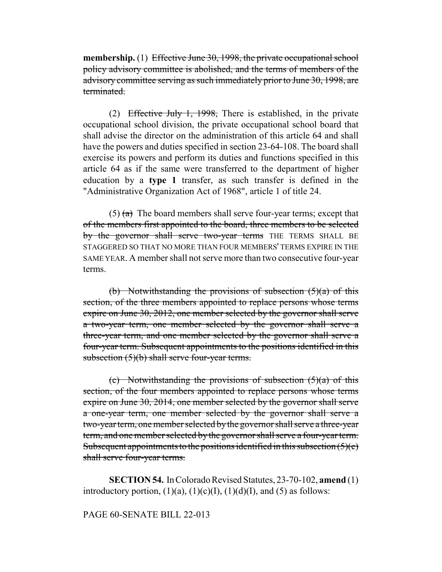membership. (1) Effective June 30, 1998, the private occupational school policy advisory committee is abolished, and the terms of members of the advisory committee serving as such immediately prior to June 30, 1998, are terminated.

(2) Effective July 1, 1998, There is established, in the private occupational school division, the private occupational school board that shall advise the director on the administration of this article 64 and shall have the powers and duties specified in section 23-64-108. The board shall exercise its powers and perform its duties and functions specified in this article 64 as if the same were transferred to the department of higher education by a **type 1** transfer, as such transfer is defined in the "Administrative Organization Act of 1968", article 1 of title 24.

 $(5)$  (a) The board members shall serve four-year terms; except that of the members first appointed to the board, three members to be selected by the governor shall serve two-year terms THE TERMS SHALL BE STAGGERED SO THAT NO MORE THAN FOUR MEMBERS' TERMS EXPIRE IN THE SAME YEAR. A member shall not serve more than two consecutive four-year terms.

(b) Notwithstanding the provisions of subsection  $(5)(a)$  of this section, of the three members appointed to replace persons whose terms expire on June 30, 2012, one member selected by the governor shall serve a two-year term, one member selected by the governor shall serve a three-year term, and one member selected by the governor shall serve a four-year term. Subsequent appointments to the positions identified in this subsection (5)(b) shall serve four-year terms.

(c) Notwithstanding the provisions of subsection  $(5)(a)$  of this section, of the four members appointed to replace persons whose terms expire on June 30, 2014, one member selected by the governor shall serve a one-year term, one member selected by the governor shall serve a two-year term, one member selected by the governor shall serve a three-year term, and one member selected by the governor shall serve a four-year term. Subsequent appointments to the positions identified in this subsection  $(5)(c)$ shall serve four-year terms.

**SECTION 54.** In Colorado Revised Statutes, 23-70-102, **amend** (1) introductory portion,  $(1)(a)$ ,  $(1)(c)(I)$ ,  $(1)(d)(I)$ , and  $(5)$  as follows:

## PAGE 60-SENATE BILL 22-013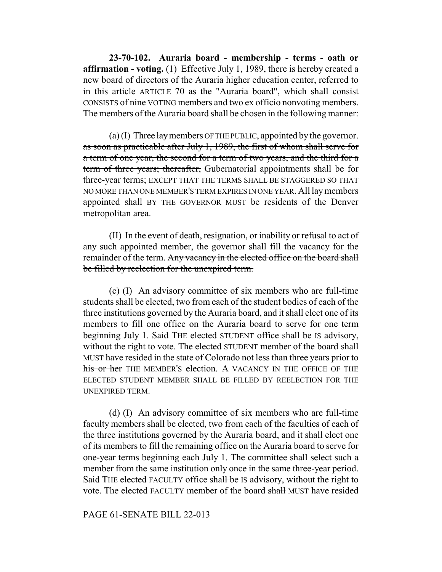**23-70-102. Auraria board - membership - terms - oath or affirmation - voting.** (1) Effective July 1, 1989, there is hereby created a new board of directors of the Auraria higher education center, referred to in this article ARTICLE 70 as the "Auraria board", which shall consist CONSISTS of nine VOTING members and two ex officio nonvoting members. The members of the Auraria board shall be chosen in the following manner:

(a) (I) Three  $\frac{1}{xy}$  members OF THE PUBLIC, appointed by the governor. as soon as practicable after July 1, 1989, the first of whom shall serve for a term of one year, the second for a term of two years, and the third for a term of three years; thereafter, Gubernatorial appointments shall be for three-year terms; EXCEPT THAT THE TERMS SHALL BE STAGGERED SO THAT NO MORE THAN ONE MEMBER'S TERM EXPIRES IN ONE YEAR. All  $\frac{1}{2}$  members appointed shall BY THE GOVERNOR MUST be residents of the Denver metropolitan area.

(II) In the event of death, resignation, or inability or refusal to act of any such appointed member, the governor shall fill the vacancy for the remainder of the term. Any vacancy in the elected office on the board shall be filled by reelection for the unexpired term.

(c) (I) An advisory committee of six members who are full-time students shall be elected, two from each of the student bodies of each of the three institutions governed by the Auraria board, and it shall elect one of its members to fill one office on the Auraria board to serve for one term beginning July 1. Said THE elected STUDENT office shall be IS advisory, without the right to vote. The elected STUDENT member of the board shall MUST have resided in the state of Colorado not less than three years prior to his or her THE MEMBER's election. A VACANCY IN THE OFFICE OF THE ELECTED STUDENT MEMBER SHALL BE FILLED BY REELECTION FOR THE UNEXPIRED TERM.

(d) (I) An advisory committee of six members who are full-time faculty members shall be elected, two from each of the faculties of each of the three institutions governed by the Auraria board, and it shall elect one of its members to fill the remaining office on the Auraria board to serve for one-year terms beginning each July 1. The committee shall select such a member from the same institution only once in the same three-year period. Said THE elected FACULTY office shall be IS advisory, without the right to vote. The elected FACULTY member of the board shall MUST have resided

# PAGE 61-SENATE BILL 22-013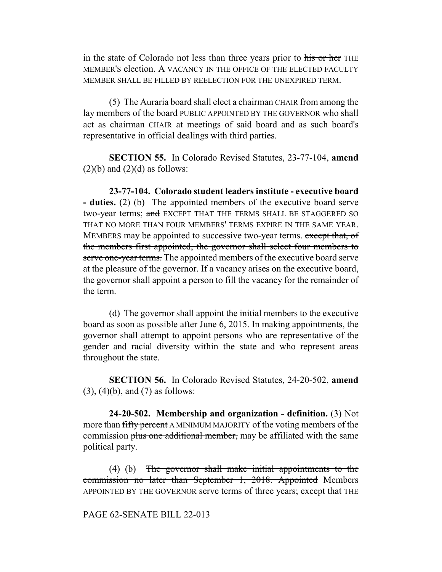in the state of Colorado not less than three years prior to his or her THE MEMBER'S election. A VACANCY IN THE OFFICE OF THE ELECTED FACULTY MEMBER SHALL BE FILLED BY REELECTION FOR THE UNEXPIRED TERM.

(5) The Auraria board shall elect a chairman CHAIR from among the lay members of the board PUBLIC APPOINTED BY THE GOVERNOR who shall act as chairman CHAIR at meetings of said board and as such board's representative in official dealings with third parties.

**SECTION 55.** In Colorado Revised Statutes, 23-77-104, **amend**  $(2)(b)$  and  $(2)(d)$  as follows:

**23-77-104. Colorado student leaders institute - executive board - duties.** (2) (b) The appointed members of the executive board serve two-year terms; and EXCEPT THAT THE TERMS SHALL BE STAGGERED SO THAT NO MORE THAN FOUR MEMBERS' TERMS EXPIRE IN THE SAME YEAR. MEMBERS may be appointed to successive two-year terms. except that, of the members first appointed, the governor shall select four members to serve one-year terms. The appointed members of the executive board serve at the pleasure of the governor. If a vacancy arises on the executive board, the governor shall appoint a person to fill the vacancy for the remainder of the term.

(d) The governor shall appoint the initial members to the executive board as soon as possible after June 6, 2015. In making appointments, the governor shall attempt to appoint persons who are representative of the gender and racial diversity within the state and who represent areas throughout the state.

**SECTION 56.** In Colorado Revised Statutes, 24-20-502, **amend**  $(3)$ ,  $(4)$  $(b)$ , and  $(7)$  as follows:

**24-20-502. Membership and organization - definition.** (3) Not more than fifty percent A MINIMUM MAJORITY of the voting members of the commission plus one additional member, may be affiliated with the same political party.

(4) (b) The governor shall make initial appointments to the commission no later than September 1, 2018. Appointed Members APPOINTED BY THE GOVERNOR serve terms of three years; except that THE

PAGE 62-SENATE BILL 22-013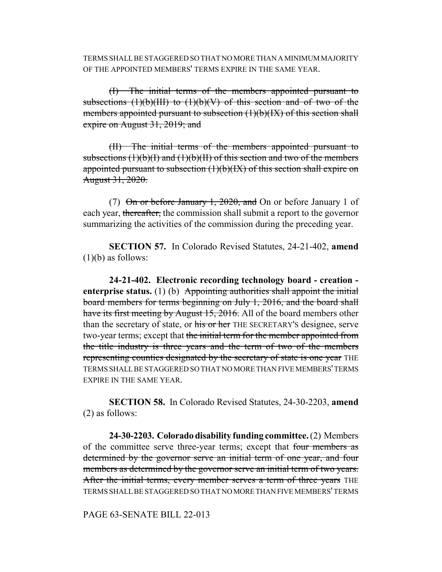TERMS SHALL BE STAGGERED SO THAT NO MORE THAN A MINIMUM MAJORITY OF THE APPOINTED MEMBERS' TERMS EXPIRE IN THE SAME YEAR.

(I) The initial terms of the members appointed pursuant to subsections  $(1)(b)(III)$  to  $(1)(b)(V)$  of this section and of two of the members appointed pursuant to subsection  $(1)(b)(IX)$  of this section shall expire on August 31, 2019; and

(II) The initial terms of the members appointed pursuant to subsections  $(1)(b)(I)$  and  $(1)(b)(II)$  of this section and two of the members appointed pursuant to subsection  $(1)(b)(IX)$  of this section shall expire on August 31, 2020.

(7)  $\Theta$ n or before January 1, 2020, and On or before January 1 of each year, thereafter, the commission shall submit a report to the governor summarizing the activities of the commission during the preceding year.

**SECTION 57.** In Colorado Revised Statutes, 24-21-402, **amend**  $(1)(b)$  as follows:

**24-21-402. Electronic recording technology board - creation enterprise status.** (1) (b) Appointing authorities shall appoint the initial board members for terms beginning on July 1, 2016, and the board shall have its first meeting by August 15, 2016. All of the board members other than the secretary of state, or his or her THE SECRETARY'S designee, serve two-year terms; except that the initial term for the member appointed from the title industry is three years and the term of two of the members representing counties designated by the secretary of state is one year THE TERMS SHALL BE STAGGERED SO THAT NO MORE THAN FIVE MEMBERS' TERMS EXPIRE IN THE SAME YEAR.

**SECTION 58.** In Colorado Revised Statutes, 24-30-2203, **amend** (2) as follows:

**24-30-2203. Colorado disability funding committee.** (2) Members of the committee serve three-year terms; except that four members as determined by the governor serve an initial term of one year, and four members as determined by the governor serve an initial term of two years. After the initial terms, every member serves a term of three years THE TERMS SHALL BE STAGGERED SO THAT NO MORE THAN FIVE MEMBERS' TERMS

PAGE 63-SENATE BILL 22-013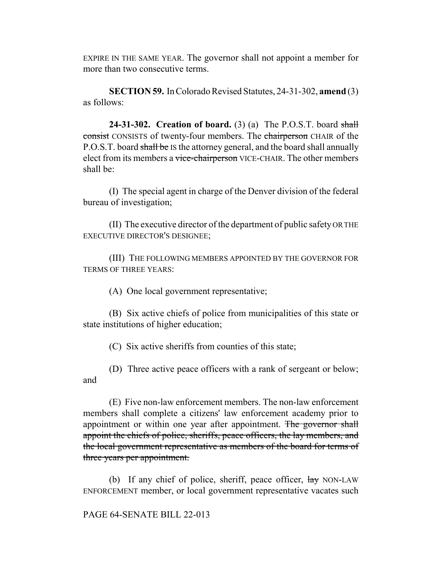EXPIRE IN THE SAME YEAR. The governor shall not appoint a member for more than two consecutive terms.

**SECTION 59.** In Colorado Revised Statutes, 24-31-302, **amend** (3) as follows:

**24-31-302.** Creation of board. (3) (a) The P.O.S.T. board shall consist CONSISTS of twenty-four members. The chairperson CHAIR of the P.O.S.T. board shall be IS the attorney general, and the board shall annually elect from its members a vice-chairperson VICE-CHAIR. The other members shall be:

(I) The special agent in charge of the Denver division of the federal bureau of investigation;

(II) The executive director of the department of public safety OR THE EXECUTIVE DIRECTOR'S DESIGNEE;

(III) THE FOLLOWING MEMBERS APPOINTED BY THE GOVERNOR FOR TERMS OF THREE YEARS:

(A) One local government representative;

(B) Six active chiefs of police from municipalities of this state or state institutions of higher education;

(C) Six active sheriffs from counties of this state;

(D) Three active peace officers with a rank of sergeant or below; and

(E) Five non-law enforcement members. The non-law enforcement members shall complete a citizens' law enforcement academy prior to appointment or within one year after appointment. The governor shall appoint the chiefs of police, sheriffs, peace officers, the lay members, and the local government representative as members of the board for terms of three years per appointment.

(b) If any chief of police, sheriff, peace officer,  $\frac{1}{\sqrt{2}}$  NON-LAW ENFORCEMENT member, or local government representative vacates such

PAGE 64-SENATE BILL 22-013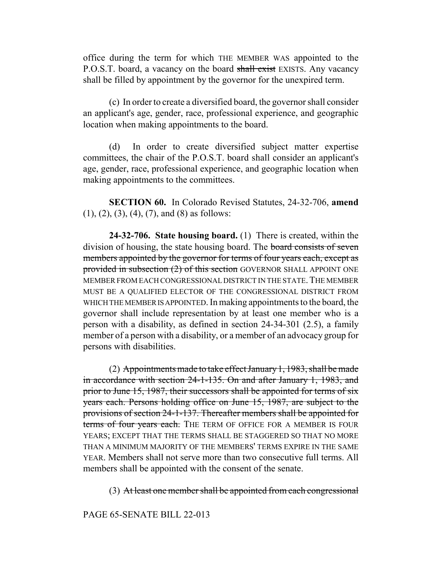office during the term for which THE MEMBER WAS appointed to the P.O.S.T. board, a vacancy on the board shall exist EXISTS. Any vacancy shall be filled by appointment by the governor for the unexpired term.

(c) In order to create a diversified board, the governor shall consider an applicant's age, gender, race, professional experience, and geographic location when making appointments to the board.

(d) In order to create diversified subject matter expertise committees, the chair of the P.O.S.T. board shall consider an applicant's age, gender, race, professional experience, and geographic location when making appointments to the committees.

**SECTION 60.** In Colorado Revised Statutes, 24-32-706, **amend**  $(1), (2), (3), (4), (7),$  and  $(8)$  as follows:

**24-32-706. State housing board.** (1) There is created, within the division of housing, the state housing board. The board consists of seven members appointed by the governor for terms of four years each, except as provided in subsection (2) of this section GOVERNOR SHALL APPOINT ONE MEMBER FROM EACH CONGRESSIONAL DISTRICT IN THE STATE. THE MEMBER MUST BE A QUALIFIED ELECTOR OF THE CONGRESSIONAL DISTRICT FROM WHICH THE MEMBER IS APPOINTED. In making appointments to the board, the governor shall include representation by at least one member who is a person with a disability, as defined in section 24-34-301 (2.5), a family member of a person with a disability, or a member of an advocacy group for persons with disabilities.

(2) Appointments made to take effect January  $1, 1983$ , shall be made in accordance with section 24-1-135. On and after January 1, 1983, and prior to June 15, 1987, their successors shall be appointed for terms of six years each. Persons holding office on June 15, 1987, are subject to the provisions of section 24-1-137. Thereafter members shall be appointed for terms of four years each. THE TERM OF OFFICE FOR A MEMBER IS FOUR YEARS; EXCEPT THAT THE TERMS SHALL BE STAGGERED SO THAT NO MORE THAN A MINIMUM MAJORITY OF THE MEMBERS' TERMS EXPIRE IN THE SAME YEAR. Members shall not serve more than two consecutive full terms. All members shall be appointed with the consent of the senate.

(3) At least one member shall be appointed from each congressional

### PAGE 65-SENATE BILL 22-013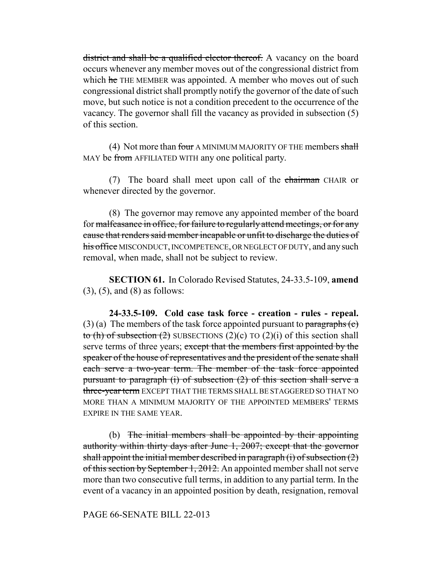district and shall be a qualified elector thereof. A vacancy on the board occurs whenever any member moves out of the congressional district from which he THE MEMBER was appointed. A member who moves out of such congressional district shall promptly notify the governor of the date of such move, but such notice is not a condition precedent to the occurrence of the vacancy. The governor shall fill the vacancy as provided in subsection (5) of this section.

(4) Not more than four A MINIMUM MAJORITY OF THE members shall MAY be from AFFILIATED WITH any one political party.

(7) The board shall meet upon call of the chairman CHAIR or whenever directed by the governor.

(8) The governor may remove any appointed member of the board for malfeasance in office, for failure to regularly attend meetings, or for any cause that renders said member incapable or unfit to discharge the duties of his office MISCONDUCT, INCOMPETENCE, OR NEGLECT OF DUTY, and any such removal, when made, shall not be subject to review.

**SECTION 61.** In Colorado Revised Statutes, 24-33.5-109, **amend** (3), (5), and (8) as follows:

**24-33.5-109. Cold case task force - creation - rules - repeal.** (3) (a) The members of the task force appointed pursuant to paragraphs  $(c)$ to (h) of subsection  $(2)$  SUBSECTIONS  $(2)(c)$  TO  $(2)(i)$  of this section shall serve terms of three years; except that the members first appointed by the speaker of the house of representatives and the president of the senate shall each serve a two-year term. The member of the task force appointed pursuant to paragraph (i) of subsection (2) of this section shall serve a three-year term EXCEPT THAT THE TERMS SHALL BE STAGGERED SO THAT NO MORE THAN A MINIMUM MAJORITY OF THE APPOINTED MEMBERS' TERMS EXPIRE IN THE SAME YEAR.

(b) The initial members shall be appointed by their appointing authority within thirty days after June 1, 2007; except that the governor shall appoint the initial member described in paragraph (i) of subsection  $(2)$ of this section by September 1, 2012. An appointed member shall not serve more than two consecutive full terms, in addition to any partial term. In the event of a vacancy in an appointed position by death, resignation, removal

## PAGE 66-SENATE BILL 22-013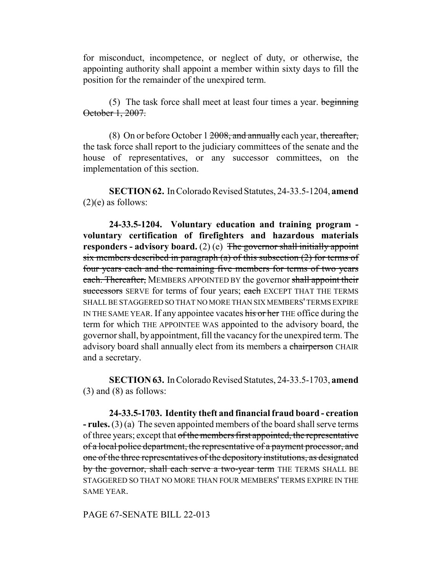for misconduct, incompetence, or neglect of duty, or otherwise, the appointing authority shall appoint a member within sixty days to fill the position for the remainder of the unexpired term.

(5) The task force shall meet at least four times a year. **beginning** October 1, 2007.

(8) On or before October 1  $2008$ , and annually each year, thereafter, the task force shall report to the judiciary committees of the senate and the house of representatives, or any successor committees, on the implementation of this section.

**SECTION 62.** In Colorado Revised Statutes, 24-33.5-1204, **amend**  $(2)(e)$  as follows:

**24-33.5-1204. Voluntary education and training program voluntary certification of firefighters and hazardous materials responders - advisory board.** (2) (e) The governor shall initially appoint six members described in paragraph (a) of this subsection  $(2)$  for terms of four years each and the remaining five members for terms of two years each. Thereafter, MEMBERS APPOINTED BY the governor shall appoint their successors SERVE for terms of four years; each EXCEPT THAT THE TERMS SHALL BE STAGGERED SO THAT NO MORE THAN SIX MEMBERS' TERMS EXPIRE IN THE SAME YEAR. If any appointee vacates his or her THE office during the term for which THE APPOINTEE WAS appointed to the advisory board, the governor shall, by appointment, fill the vacancy for the unexpired term. The advisory board shall annually elect from its members a chairperson CHAIR and a secretary.

**SECTION 63.** In Colorado Revised Statutes, 24-33.5-1703, **amend** (3) and (8) as follows:

**24-33.5-1703. Identity theft and financial fraud board - creation - rules.** (3) (a) The seven appointed members of the board shall serve terms of three years; except that of the members first appointed, the representative of a local police department, the representative of a payment processor, and one of the three representatives of the depository institutions, as designated by the governor, shall each serve a two-year term THE TERMS SHALL BE STAGGERED SO THAT NO MORE THAN FOUR MEMBERS' TERMS EXPIRE IN THE SAME YEAR.

### PAGE 67-SENATE BILL 22-013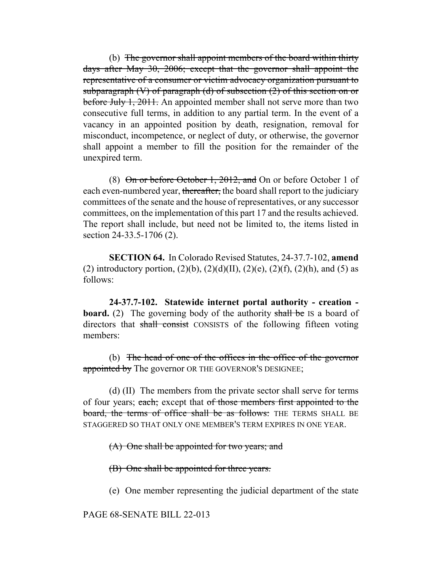(b) The governor shall appoint members of the board within thirty days after May 30, 2006; except that the governor shall appoint the representative of a consumer or victim advocacy organization pursuant to subparagraph  $(V)$  of paragraph  $(d)$  of subsection  $(2)$  of this section on or before July 1, 2011. An appointed member shall not serve more than two consecutive full terms, in addition to any partial term. In the event of a vacancy in an appointed position by death, resignation, removal for misconduct, incompetence, or neglect of duty, or otherwise, the governor shall appoint a member to fill the position for the remainder of the unexpired term.

(8)  $\Theta$ n or before October 1, 2012, and On or before October 1 of each even-numbered year, thereafter, the board shall report to the judiciary committees of the senate and the house of representatives, or any successor committees, on the implementation of this part 17 and the results achieved. The report shall include, but need not be limited to, the items listed in section 24-33.5-1706 (2).

**SECTION 64.** In Colorado Revised Statutes, 24-37.7-102, **amend** (2) introductory portion,  $(2)(b)$ ,  $(2)(d)(II)$ ,  $(2)(e)$ ,  $(2)(f)$ ,  $(2)(h)$ , and  $(5)$  as follows:

**24-37.7-102. Statewide internet portal authority - creation board.** (2) The governing body of the authority shall be IS a board of directors that shall consist CONSISTS of the following fifteen voting members:

(b) The head of one of the offices in the office of the governor appointed by The governor OR THE GOVERNOR'S DESIGNEE;

(d) (II) The members from the private sector shall serve for terms of four years; each; except that of those members first appointed to the board, the terms of office shall be as follows: THE TERMS SHALL BE STAGGERED SO THAT ONLY ONE MEMBER'S TERM EXPIRES IN ONE YEAR.

(A) One shall be appointed for two years; and

(B) One shall be appointed for three years.

(e) One member representing the judicial department of the state

PAGE 68-SENATE BILL 22-013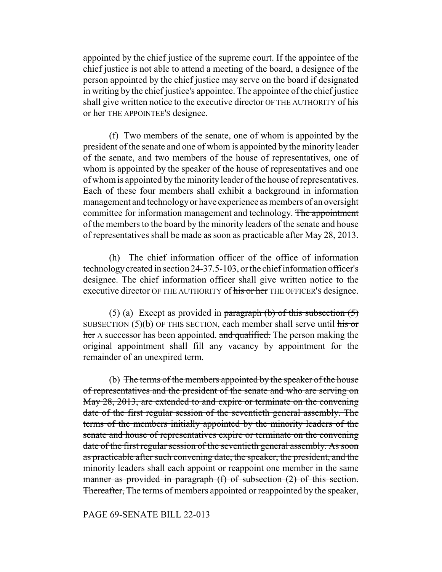appointed by the chief justice of the supreme court. If the appointee of the chief justice is not able to attend a meeting of the board, a designee of the person appointed by the chief justice may serve on the board if designated in writing by the chief justice's appointee. The appointee of the chief justice shall give written notice to the executive director OF THE AUTHORITY of his or her THE APPOINTEE's designee.

(f) Two members of the senate, one of whom is appointed by the president of the senate and one of whom is appointed by the minority leader of the senate, and two members of the house of representatives, one of whom is appointed by the speaker of the house of representatives and one of whom is appointed by the minority leader of the house of representatives. Each of these four members shall exhibit a background in information management and technology or have experience as members of an oversight committee for information management and technology. The appointment of the members to the board by the minority leaders of the senate and house of representatives shall be made as soon as practicable after May 28, 2013.

(h) The chief information officer of the office of information technology created in section 24-37.5-103, or the chief information officer's designee. The chief information officer shall give written notice to the executive director OF THE AUTHORITY of his or her THE OFFICER's designee.

(5) (a) Except as provided in paragraph (b) of this subsection  $(5)$ SUBSECTION  $(5)(b)$  OF THIS SECTION, each member shall serve until his or her A successor has been appointed. and qualified. The person making the original appointment shall fill any vacancy by appointment for the remainder of an unexpired term.

(b) The terms of the members appointed by the speaker of the house of representatives and the president of the senate and who are serving on May 28, 2013, are extended to and expire or terminate on the convening date of the first regular session of the seventieth general assembly. The terms of the members initially appointed by the minority leaders of the senate and house of representatives expire or terminate on the convening date of the first regular session of the seventieth general assembly. As soon as practicable after such convening date, the speaker, the president, and the minority leaders shall each appoint or reappoint one member in the same manner as provided in paragraph (f) of subsection (2) of this section. Thereafter, The terms of members appointed or reappointed by the speaker,

### PAGE 69-SENATE BILL 22-013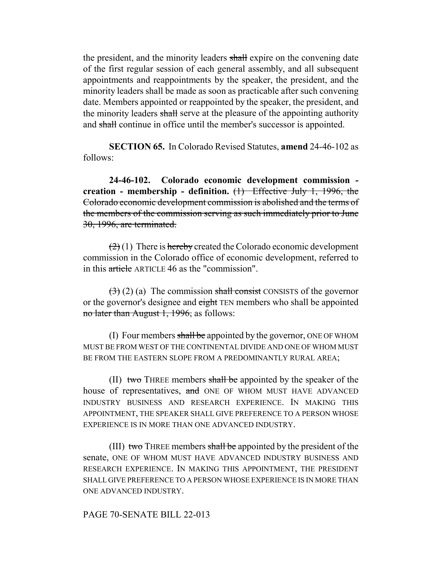the president, and the minority leaders shall expire on the convening date of the first regular session of each general assembly, and all subsequent appointments and reappointments by the speaker, the president, and the minority leaders shall be made as soon as practicable after such convening date. Members appointed or reappointed by the speaker, the president, and the minority leaders shall serve at the pleasure of the appointing authority and shall continue in office until the member's successor is appointed.

**SECTION 65.** In Colorado Revised Statutes, **amend** 24-46-102 as follows:

**24-46-102. Colorado economic development commission creation - membership - definition.** (1) Effective July 1, 1996, the Colorado economic development commission is abolished and the terms of the members of the commission serving as such immediately prior to June 30, 1996, are terminated.

 $\left(\frac{2}{2}\right)(1)$  There is hereby created the Colorado economic development commission in the Colorado office of economic development, referred to in this article ARTICLE 46 as the "commission".

 $\left(\frac{1}{2}\right)$  (2) (a) The commission shall consist CONSISTS of the governor or the governor's designee and eight TEN members who shall be appointed no later than August 1, 1996, as follows:

(I) Four members shall be appointed by the governor, ONE OF WHOM MUST BE FROM WEST OF THE CONTINENTAL DIVIDE AND ONE OF WHOM MUST BE FROM THE EASTERN SLOPE FROM A PREDOMINANTLY RURAL AREA;

(II) two THREE members shall be appointed by the speaker of the house of representatives, and ONE OF WHOM MUST HAVE ADVANCED INDUSTRY BUSINESS AND RESEARCH EXPERIENCE. IN MAKING THIS APPOINTMENT, THE SPEAKER SHALL GIVE PREFERENCE TO A PERSON WHOSE EXPERIENCE IS IN MORE THAN ONE ADVANCED INDUSTRY.

(III) two THREE members shall be appointed by the president of the senate, ONE OF WHOM MUST HAVE ADVANCED INDUSTRY BUSINESS AND RESEARCH EXPERIENCE. IN MAKING THIS APPOINTMENT, THE PRESIDENT SHALL GIVE PREFERENCE TO A PERSON WHOSE EXPERIENCE IS IN MORE THAN ONE ADVANCED INDUSTRY.

## PAGE 70-SENATE BILL 22-013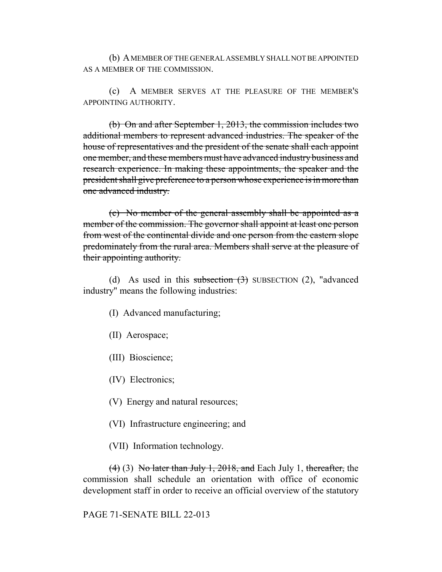(b) A MEMBER OF THE GENERAL ASSEMBLY SHALL NOT BE APPOINTED AS A MEMBER OF THE COMMISSION.

(c) A MEMBER SERVES AT THE PLEASURE OF THE MEMBER'S APPOINTING AUTHORITY.

(b) On and after September 1, 2013, the commission includes two additional members to represent advanced industries. The speaker of the house of representatives and the president of the senate shall each appoint one member, and these members must have advanced industry business and research experience. In making these appointments, the speaker and the president shall give preference to a person whose experience is in more than one advanced industry.

(c) No member of the general assembly shall be appointed as a member of the commission. The governor shall appoint at least one person from west of the continental divide and one person from the eastern slope predominately from the rural area. Members shall serve at the pleasure of their appointing authority.

(d) As used in this subsection  $(3)$  SUBSECTION  $(2)$ , "advanced industry" means the following industries:

- (I) Advanced manufacturing;
- (II) Aerospace;
- (III) Bioscience;
- (IV) Electronics;
- (V) Energy and natural resources;
- (VI) Infrastructure engineering; and
- (VII) Information technology.

 $(4)$  (3) No later than July 1, 2018, and Each July 1, thereafter, the commission shall schedule an orientation with office of economic development staff in order to receive an official overview of the statutory

### PAGE 71-SENATE BILL 22-013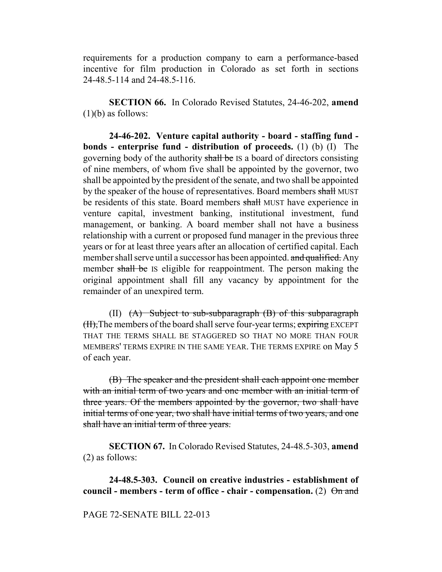requirements for a production company to earn a performance-based incentive for film production in Colorado as set forth in sections 24-48.5-114 and 24-48.5-116.

**SECTION 66.** In Colorado Revised Statutes, 24-46-202, **amend** (1)(b) as follows:

**24-46-202. Venture capital authority - board - staffing fund bonds - enterprise fund - distribution of proceeds.** (1) (b) (I) The governing body of the authority shall be IS a board of directors consisting of nine members, of whom five shall be appointed by the governor, two shall be appointed by the president of the senate, and two shall be appointed by the speaker of the house of representatives. Board members shall MUST be residents of this state. Board members shall MUST have experience in venture capital, investment banking, institutional investment, fund management, or banking. A board member shall not have a business relationship with a current or proposed fund manager in the previous three years or for at least three years after an allocation of certified capital. Each member shall serve until a successor has been appointed. and qualified. Any member shall be IS eligible for reappointment. The person making the original appointment shall fill any vacancy by appointment for the remainder of an unexpired term.

(II)  $(A)$  Subject to sub-subparagraph  $(B)$  of this subparagraph (II), The members of the board shall serve four-year terms; expiring EXCEPT THAT THE TERMS SHALL BE STAGGERED SO THAT NO MORE THAN FOUR MEMBERS' TERMS EXPIRE IN THE SAME YEAR. THE TERMS EXPIRE on May 5 of each year.

(B) The speaker and the president shall each appoint one member with an initial term of two years and one member with an initial term of three years. Of the members appointed by the governor, two shall have initial terms of one year, two shall have initial terms of two years, and one shall have an initial term of three years.

**SECTION 67.** In Colorado Revised Statutes, 24-48.5-303, **amend** (2) as follows:

**24-48.5-303. Council on creative industries - establishment of council - members - term of office - chair - compensation.** (2)  $\Theta$  and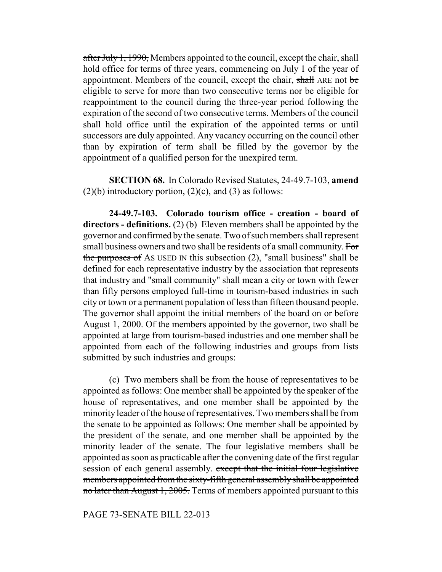after July 1, 1990, Members appointed to the council, except the chair, shall hold office for terms of three years, commencing on July 1 of the year of appointment. Members of the council, except the chair, shall ARE not be eligible to serve for more than two consecutive terms nor be eligible for reappointment to the council during the three-year period following the expiration of the second of two consecutive terms. Members of the council shall hold office until the expiration of the appointed terms or until successors are duly appointed. Any vacancy occurring on the council other than by expiration of term shall be filled by the governor by the appointment of a qualified person for the unexpired term.

**SECTION 68.** In Colorado Revised Statutes, 24-49.7-103, **amend**  $(2)(b)$  introductory portion,  $(2)(c)$ , and  $(3)$  as follows:

**24-49.7-103. Colorado tourism office - creation - board of directors - definitions.** (2) (b) Eleven members shall be appointed by the governor and confirmed by the senate. Two of such members shall represent small business owners and two shall be residents of a small community. For the purposes of AS USED IN this subsection (2), "small business" shall be defined for each representative industry by the association that represents that industry and "small community" shall mean a city or town with fewer than fifty persons employed full-time in tourism-based industries in such city or town or a permanent population of less than fifteen thousand people. The governor shall appoint the initial members of the board on or before August 1, 2000. Of the members appointed by the governor, two shall be appointed at large from tourism-based industries and one member shall be appointed from each of the following industries and groups from lists submitted by such industries and groups:

(c) Two members shall be from the house of representatives to be appointed as follows: One member shall be appointed by the speaker of the house of representatives, and one member shall be appointed by the minority leader of the house of representatives. Two members shall be from the senate to be appointed as follows: One member shall be appointed by the president of the senate, and one member shall be appointed by the minority leader of the senate. The four legislative members shall be appointed as soon as practicable after the convening date of the first regular session of each general assembly. except that the initial four legislative members appointed from the sixty-fifth general assembly shall be appointed no later than August 1, 2005. Terms of members appointed pursuant to this

#### PAGE 73-SENATE BILL 22-013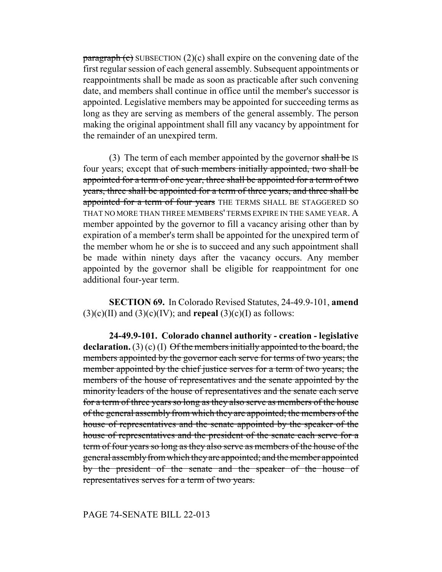$\frac{\text{parameter of}}{\text{energy of the}}$  SUBSECTION (2)(c) shall expire on the convening date of the first regular session of each general assembly. Subsequent appointments or reappointments shall be made as soon as practicable after such convening date, and members shall continue in office until the member's successor is appointed. Legislative members may be appointed for succeeding terms as long as they are serving as members of the general assembly. The person making the original appointment shall fill any vacancy by appointment for the remainder of an unexpired term.

(3) The term of each member appointed by the governor shall be IS four years; except that of such members initially appointed, two shall be appointed for a term of one year, three shall be appointed for a term of two years, three shall be appointed for a term of three years, and three shall be appointed for a term of four years THE TERMS SHALL BE STAGGERED SO THAT NO MORE THAN THREE MEMBERS' TERMS EXPIRE IN THE SAME YEAR. A member appointed by the governor to fill a vacancy arising other than by expiration of a member's term shall be appointed for the unexpired term of the member whom he or she is to succeed and any such appointment shall be made within ninety days after the vacancy occurs. Any member appointed by the governor shall be eligible for reappointment for one additional four-year term.

**SECTION 69.** In Colorado Revised Statutes, 24-49.9-101, **amend**  $(3)(c)(II)$  and  $(3)(c)(IV)$ ; and **repeal**  $(3)(c)(I)$  as follows:

**24-49.9-101. Colorado channel authority - creation - legislative** declaration. (3) (c) (I) Of the members initially appointed to the board, the members appointed by the governor each serve for terms of two years; the member appointed by the chief justice serves for a term of two years; the members of the house of representatives and the senate appointed by the minority leaders of the house of representatives and the senate each serve for a term of three years so long as they also serve as members of the house of the general assembly from which they are appointed; the members of the house of representatives and the senate appointed by the speaker of the house of representatives and the president of the senate each serve for a term of four years so long as they also serve as members of the house of the general assembly from which they are appointed; and the member appointed by the president of the senate and the speaker of the house of representatives serves for a term of two years.

#### PAGE 74-SENATE BILL 22-013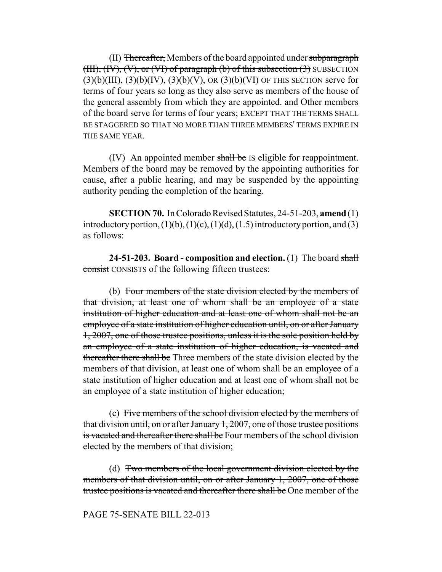(II) Thereafter, Members of the board appointed under subparagraph (III),  $(W)$ ,  $(V)$ , or  $(VI)$  of paragraph (b) of this subsection  $(3)$  SUBSECTION  $(3)(b)(III)$ ,  $(3)(b)(IV)$ ,  $(3)(b)(V)$ , OR  $(3)(b)(VI)$  OF THIS SECTION serve for terms of four years so long as they also serve as members of the house of the general assembly from which they are appointed. and Other members of the board serve for terms of four years; EXCEPT THAT THE TERMS SHALL BE STAGGERED SO THAT NO MORE THAN THREE MEMBERS' TERMS EXPIRE IN THE SAME YEAR.

(IV) An appointed member shall be Is eligible for reappointment. Members of the board may be removed by the appointing authorities for cause, after a public hearing, and may be suspended by the appointing authority pending the completion of the hearing.

**SECTION 70.** In Colorado Revised Statutes, 24-51-203, **amend** (1) introductory portion,  $(1)(b)$ ,  $(1)(c)$ ,  $(1)(d)$ ,  $(1.5)$  introductory portion, and  $(3)$ as follows:

**24-51-203. Board - composition and election.** (1) The board shall consist CONSISTS of the following fifteen trustees:

(b) Four members of the state division elected by the members of that division, at least one of whom shall be an employee of a state institution of higher education and at least one of whom shall not be an employee of a state institution of higher education until, on or after January 1, 2007, one of those trustee positions, unless it is the sole position held by an employee of a state institution of higher education, is vacated and thereafter there shall be Three members of the state division elected by the members of that division, at least one of whom shall be an employee of a state institution of higher education and at least one of whom shall not be an employee of a state institution of higher education;

(c) Five members of the school division elected by the members of that division until, on or after January 1, 2007, one of those trustee positions is vacated and thereafter there shall be Four members of the school division elected by the members of that division;

(d) Two members of the local government division elected by the members of that division until, on or after January 1, 2007, one of those trustee positions is vacated and thereafter there shall be One member of the

#### PAGE 75-SENATE BILL 22-013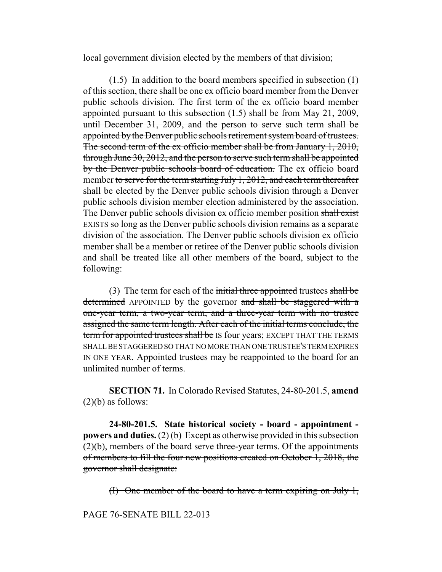local government division elected by the members of that division;

(1.5) In addition to the board members specified in subsection (1) of this section, there shall be one ex officio board member from the Denver public schools division. The first term of the ex officio board member appointed pursuant to this subsection (1.5) shall be from May 21, 2009, until December 31, 2009, and the person to serve such term shall be appointed by the Denver public schools retirement system board of trustees. The second term of the ex officio member shall be from January 1, 2010, through June 30, 2012, and the person to serve such term shall be appointed by the Denver public schools board of education. The ex officio board member to serve for the term starting July 1, 2012, and each term thereafter shall be elected by the Denver public schools division through a Denver public schools division member election administered by the association. The Denver public schools division ex officio member position shall exist EXISTS so long as the Denver public schools division remains as a separate division of the association. The Denver public schools division ex officio member shall be a member or retiree of the Denver public schools division and shall be treated like all other members of the board, subject to the following:

(3) The term for each of the initial three appointed trustees shall be determined APPOINTED by the governor and shall be staggered with a one-year term, a two-year term, and a three-year term with no trustee assigned the same term length. After each of the initial terms conclude, the term for appointed trustees shall be IS four years; EXCEPT THAT THE TERMS SHALL BE STAGGERED SO THAT NO MORE THAN ONE TRUSTEE'S TERM EXPIRES IN ONE YEAR. Appointed trustees may be reappointed to the board for an unlimited number of terms.

**SECTION 71.** In Colorado Revised Statutes, 24-80-201.5, **amend**  $(2)(b)$  as follows:

**24-80-201.5. State historical society - board - appointment powers and duties.** (2) (b) Except as otherwise provided in this subsection  $(2)(b)$ , members of the board serve three-year terms. Of the appointments of members to fill the four new positions created on October 1, 2018, the governor shall designate:

(I) One member of the board to have a term expiring on July 1,

PAGE 76-SENATE BILL 22-013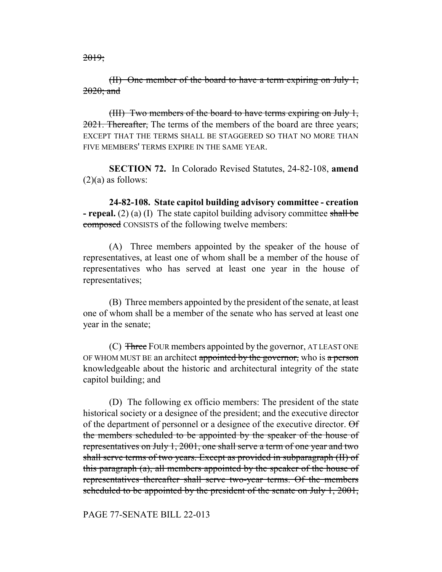2019;

(II) One member of the board to have a term expiring on July 1,  $2020$ ; and

(III) Two members of the board to have terms expiring on July 1, 2021. Thereafter, The terms of the members of the board are three years; EXCEPT THAT THE TERMS SHALL BE STAGGERED SO THAT NO MORE THAN FIVE MEMBERS' TERMS EXPIRE IN THE SAME YEAR.

**SECTION 72.** In Colorado Revised Statutes, 24-82-108, **amend**  $(2)(a)$  as follows:

**24-82-108. State capitol building advisory committee - creation - repeal.** (2) (a) (I) The state capitol building advisory committee shall be composed CONSISTS of the following twelve members:

(A) Three members appointed by the speaker of the house of representatives, at least one of whom shall be a member of the house of representatives who has served at least one year in the house of representatives;

(B) Three members appointed by the president of the senate, at least one of whom shall be a member of the senate who has served at least one year in the senate;

(C) Three FOUR members appointed by the governor, AT LEAST ONE OF WHOM MUST BE an architect appointed by the governor, who is a person knowledgeable about the historic and architectural integrity of the state capitol building; and

(D) The following ex officio members: The president of the state historical society or a designee of the president; and the executive director of the department of personnel or a designee of the executive director.  $\Theta f$ the members scheduled to be appointed by the speaker of the house of representatives on July 1, 2001, one shall serve a term of one year and two shall serve terms of two years. Except as provided in subparagraph (II) of this paragraph (a), all members appointed by the speaker of the house of representatives thereafter shall serve two-year terms. Of the members scheduled to be appointed by the president of the senate on July 1, 2001,

PAGE 77-SENATE BILL 22-013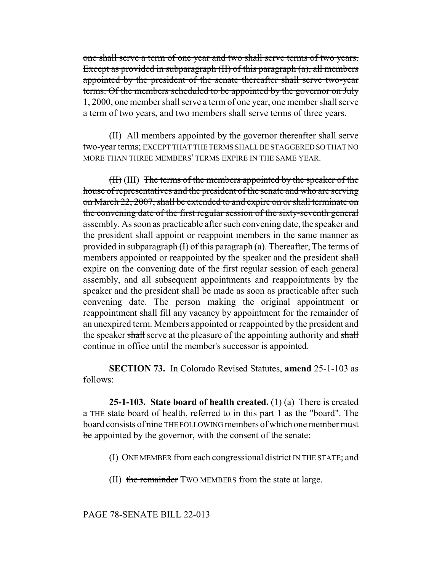one shall serve a term of one year and two shall serve terms of two years. Except as provided in subparagraph (II) of this paragraph (a), all members appointed by the president of the senate thereafter shall serve two-year terms. Of the members scheduled to be appointed by the governor on July 1, 2000, one member shall serve a term of one year, one member shall serve a term of two years, and two members shall serve terms of three years.

(II) All members appointed by the governor thereafter shall serve two-year terms; EXCEPT THAT THE TERMS SHALL BE STAGGERED SO THAT NO MORE THAN THREE MEMBERS' TERMS EXPIRE IN THE SAME YEAR.

 $(H)$  (III) The terms of the members appointed by the speaker of the house of representatives and the president of the senate and who are serving on March 22, 2007, shall be extended to and expire on or shall terminate on the convening date of the first regular session of the sixty-seventh general assembly. As soon as practicable after such convening date, the speaker and the president shall appoint or reappoint members in the same manner as provided in subparagraph  $(I)$  of this paragraph  $(a)$ . Thereafter, The terms of members appointed or reappointed by the speaker and the president shall expire on the convening date of the first regular session of each general assembly, and all subsequent appointments and reappointments by the speaker and the president shall be made as soon as practicable after such convening date. The person making the original appointment or reappointment shall fill any vacancy by appointment for the remainder of an unexpired term. Members appointed or reappointed by the president and the speaker shall serve at the pleasure of the appointing authority and shall continue in office until the member's successor is appointed.

**SECTION 73.** In Colorado Revised Statutes, **amend** 25-1-103 as follows:

**25-1-103. State board of health created.** (1) (a) There is created a THE state board of health, referred to in this part 1 as the "board". The board consists of nine THE FOLLOWING members of which one member must be appointed by the governor, with the consent of the senate:

(I) ONE MEMBER from each congressional district IN THE STATE; and

(II) the remainder TWO MEMBERS from the state at large.

PAGE 78-SENATE BILL 22-013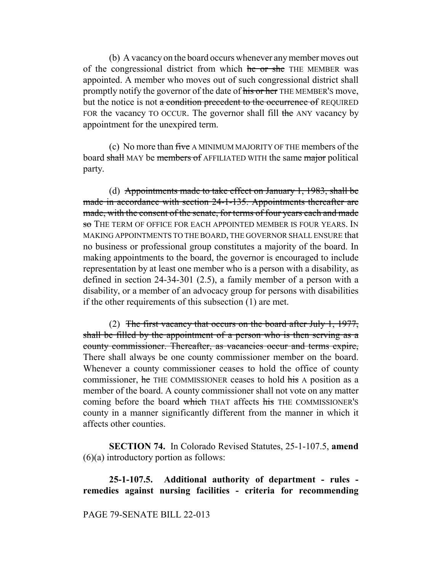(b) A vacancy on the board occurs whenever any member moves out of the congressional district from which he or she THE MEMBER was appointed. A member who moves out of such congressional district shall promptly notify the governor of the date of his or her THE MEMBER's move, but the notice is not a condition precedent to the occurrence of REQUIRED FOR the vacancy TO OCCUR. The governor shall fill the ANY vacancy by appointment for the unexpired term.

(c) No more than five A MINIMUM MAJORITY OF THE members of the board shall MAY be members of AFFILIATED WITH the same major political party.

(d) Appointments made to take effect on January 1, 1983, shall be made in accordance with section 24-1-135. Appointments thereafter are made, with the consent of the senate, for terms of four years each and made so THE TERM OF OFFICE FOR EACH APPOINTED MEMBER IS FOUR YEARS. IN MAKING APPOINTMENTS TO THE BOARD, THE GOVERNOR SHALL ENSURE that no business or professional group constitutes a majority of the board. In making appointments to the board, the governor is encouraged to include representation by at least one member who is a person with a disability, as defined in section 24-34-301 (2.5), a family member of a person with a disability, or a member of an advocacy group for persons with disabilities if the other requirements of this subsection (1) are met.

(2) The first vacancy that occurs on the board after July 1, 1977, shall be filled by the appointment of a person who is then serving as a county commissioner. Thereafter, as vacancies occur and terms expire, There shall always be one county commissioner member on the board. Whenever a county commissioner ceases to hold the office of county commissioner, he THE COMMISSIONER ceases to hold his A position as a member of the board. A county commissioner shall not vote on any matter coming before the board which THAT affects his THE COMMISSIONER'S county in a manner significantly different from the manner in which it affects other counties.

**SECTION 74.** In Colorado Revised Statutes, 25-1-107.5, **amend** (6)(a) introductory portion as follows:

**25-1-107.5. Additional authority of department - rules remedies against nursing facilities - criteria for recommending**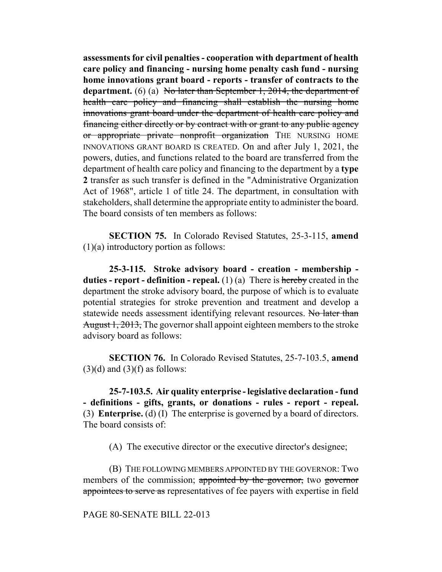**assessments for civil penalties - cooperation with department of health care policy and financing - nursing home penalty cash fund - nursing home innovations grant board - reports - transfer of contracts to the** department. (6) (a) No later than September 1, 2014, the department of health care policy and financing shall establish the nursing home innovations grant board under the department of health care policy and financing either directly or by contract with or grant to any public agency or appropriate private nonprofit organization THE NURSING HOME INNOVATIONS GRANT BOARD IS CREATED. On and after July 1, 2021, the powers, duties, and functions related to the board are transferred from the department of health care policy and financing to the department by a **type 2** transfer as such transfer is defined in the "Administrative Organization Act of 1968", article 1 of title 24. The department, in consultation with stakeholders, shall determine the appropriate entity to administer the board. The board consists of ten members as follows:

**SECTION 75.** In Colorado Revised Statutes, 25-3-115, **amend** (1)(a) introductory portion as follows:

**25-3-115. Stroke advisory board - creation - membership duties - report - definition - repeal.** (1) (a) There is hereby created in the department the stroke advisory board, the purpose of which is to evaluate potential strategies for stroke prevention and treatment and develop a statewide needs assessment identifying relevant resources. No later than August 1, 2013, The governor shall appoint eighteen members to the stroke advisory board as follows:

**SECTION 76.** In Colorado Revised Statutes, 25-7-103.5, **amend**  $(3)(d)$  and  $(3)(f)$  as follows:

**25-7-103.5. Air quality enterprise - legislative declaration - fund - definitions - gifts, grants, or donations - rules - report - repeal.** (3) **Enterprise.** (d) (I) The enterprise is governed by a board of directors. The board consists of:

(A) The executive director or the executive director's designee;

(B) THE FOLLOWING MEMBERS APPOINTED BY THE GOVERNOR: Two members of the commission; appointed by the governor, two governor appointees to serve as representatives of fee payers with expertise in field

## PAGE 80-SENATE BILL 22-013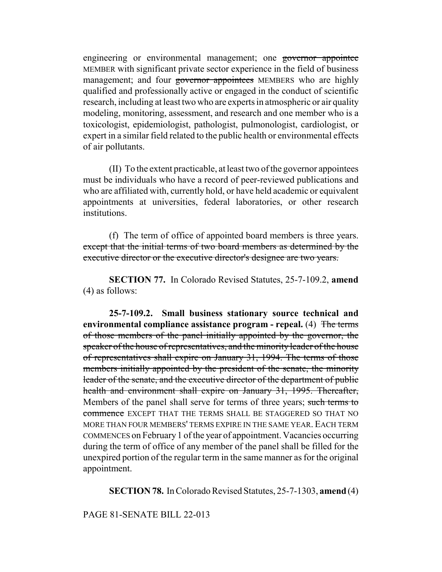engineering or environmental management; one governor appointee MEMBER with significant private sector experience in the field of business management; and four governor appointees MEMBERS who are highly qualified and professionally active or engaged in the conduct of scientific research, including at least two who are experts in atmospheric or air quality modeling, monitoring, assessment, and research and one member who is a toxicologist, epidemiologist, pathologist, pulmonologist, cardiologist, or expert in a similar field related to the public health or environmental effects of air pollutants.

(II) To the extent practicable, at least two of the governor appointees must be individuals who have a record of peer-reviewed publications and who are affiliated with, currently hold, or have held academic or equivalent appointments at universities, federal laboratories, or other research institutions.

(f) The term of office of appointed board members is three years. except that the initial terms of two board members as determined by the executive director or the executive director's designee are two years.

**SECTION 77.** In Colorado Revised Statutes, 25-7-109.2, **amend** (4) as follows:

**25-7-109.2. Small business stationary source technical and environmental compliance assistance program - repeal.** (4) The terms of those members of the panel initially appointed by the governor, the speaker of the house of representatives, and the minority leader of the house of representatives shall expire on January 31, 1994. The terms of those members initially appointed by the president of the senate, the minority leader of the senate, and the executive director of the department of public health and environment shall expire on January 31, 1995. Thereafter, Members of the panel shall serve for terms of three years; such terms to commence EXCEPT THAT THE TERMS SHALL BE STAGGERED SO THAT NO MORE THAN FOUR MEMBERS' TERMS EXPIRE IN THE SAME YEAR. EACH TERM COMMENCES on February 1 of the year of appointment. Vacancies occurring during the term of office of any member of the panel shall be filled for the unexpired portion of the regular term in the same manner as for the original appointment.

**SECTION 78.** In Colorado Revised Statutes, 25-7-1303, **amend** (4)

PAGE 81-SENATE BILL 22-013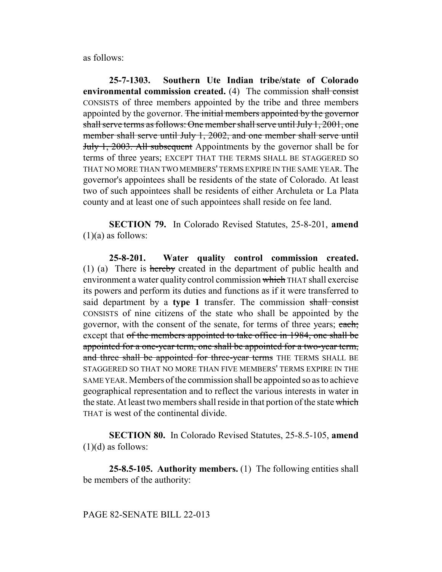as follows:

**25-7-1303. Southern Ute Indian tribe/state of Colorado environmental commission created.** (4) The commission shall consist CONSISTS of three members appointed by the tribe and three members appointed by the governor. The initial members appointed by the governor shall serve terms as follows: One member shall serve until July 1, 2001, one member shall serve until July 1, 2002, and one member shall serve until July 1, 2003. All subsequent Appointments by the governor shall be for terms of three years; EXCEPT THAT THE TERMS SHALL BE STAGGERED SO THAT NO MORE THAN TWO MEMBERS' TERMS EXPIRE IN THE SAME YEAR. The governor's appointees shall be residents of the state of Colorado. At least two of such appointees shall be residents of either Archuleta or La Plata county and at least one of such appointees shall reside on fee land.

**SECTION 79.** In Colorado Revised Statutes, 25-8-201, **amend**  $(1)(a)$  as follows:

**25-8-201. Water quality control commission created.** (1) (a) There is hereby created in the department of public health and environment a water quality control commission which THAT shall exercise its powers and perform its duties and functions as if it were transferred to said department by a **type 1** transfer. The commission shall consist CONSISTS of nine citizens of the state who shall be appointed by the governor, with the consent of the senate, for terms of three years; each; except that of the members appointed to take office in 1984, one shall be appointed for a one-year term, one shall be appointed for a two-year term, and three shall be appointed for three-year terms THE TERMS SHALL BE STAGGERED SO THAT NO MORE THAN FIVE MEMBERS' TERMS EXPIRE IN THE SAME YEAR. Members of the commission shall be appointed so as to achieve geographical representation and to reflect the various interests in water in the state. At least two members shall reside in that portion of the state which THAT is west of the continental divide.

**SECTION 80.** In Colorado Revised Statutes, 25-8.5-105, **amend**  $(1)(d)$  as follows:

**25-8.5-105. Authority members.** (1) The following entities shall be members of the authority:

PAGE 82-SENATE BILL 22-013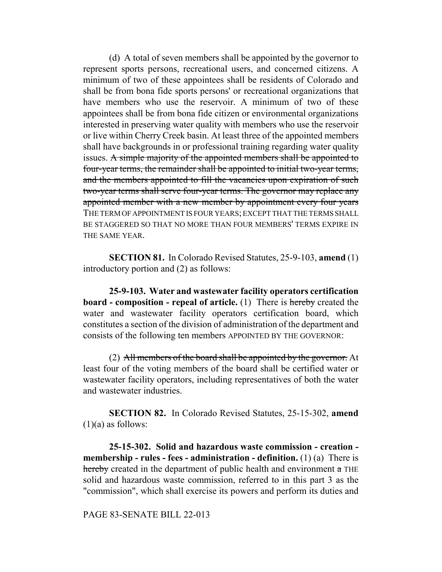(d) A total of seven members shall be appointed by the governor to represent sports persons, recreational users, and concerned citizens. A minimum of two of these appointees shall be residents of Colorado and shall be from bona fide sports persons' or recreational organizations that have members who use the reservoir. A minimum of two of these appointees shall be from bona fide citizen or environmental organizations interested in preserving water quality with members who use the reservoir or live within Cherry Creek basin. At least three of the appointed members shall have backgrounds in or professional training regarding water quality issues. A simple majority of the appointed members shall be appointed to four-year terms, the remainder shall be appointed to initial two-year terms, and the members appointed to fill the vacancies upon expiration of such two-year terms shall serve four-year terms. The governor may replace any appointed member with a new member by appointment every four years THE TERM OF APPOINTMENT IS FOUR YEARS; EXCEPT THAT THE TERMS SHALL BE STAGGERED SO THAT NO MORE THAN FOUR MEMBERS' TERMS EXPIRE IN THE SAME YEAR.

**SECTION 81.** In Colorado Revised Statutes, 25-9-103, **amend** (1) introductory portion and (2) as follows:

**25-9-103. Water and wastewater facility operators certification board - composition - repeal of article.** (1) There is hereby created the water and wastewater facility operators certification board, which constitutes a section of the division of administration of the department and consists of the following ten members APPOINTED BY THE GOVERNOR:

(2) All members of the board shall be appointed by the governor. At least four of the voting members of the board shall be certified water or wastewater facility operators, including representatives of both the water and wastewater industries.

**SECTION 82.** In Colorado Revised Statutes, 25-15-302, **amend**  $(1)(a)$  as follows:

**25-15-302. Solid and hazardous waste commission - creation membership - rules - fees - administration - definition.** (1) (a) There is hereby created in the department of public health and environment  $\alpha$  THE solid and hazardous waste commission, referred to in this part 3 as the "commission", which shall exercise its powers and perform its duties and

PAGE 83-SENATE BILL 22-013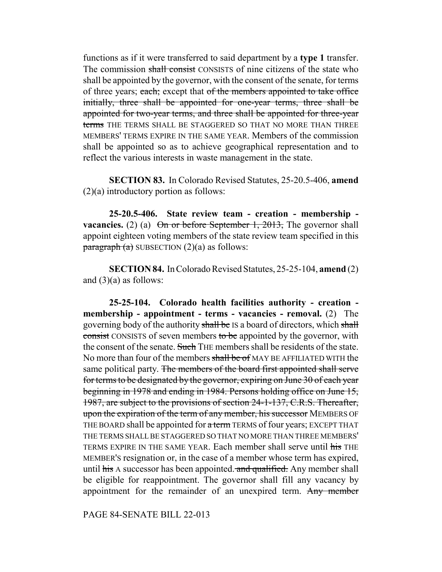functions as if it were transferred to said department by a **type 1** transfer. The commission shall consist CONSISTS of nine citizens of the state who shall be appointed by the governor, with the consent of the senate, for terms of three years; each; except that of the members appointed to take office initially, three shall be appointed for one-year terms, three shall be appointed for two-year terms, and three shall be appointed for three-year terms THE TERMS SHALL BE STAGGERED SO THAT NO MORE THAN THREE MEMBERS' TERMS EXPIRE IN THE SAME YEAR. Members of the commission shall be appointed so as to achieve geographical representation and to reflect the various interests in waste management in the state.

**SECTION 83.** In Colorado Revised Statutes, 25-20.5-406, **amend** (2)(a) introductory portion as follows:

**25-20.5-406. State review team - creation - membership vacancies.** (2) (a)  $\Theta$ n or before September 1, 2013, The governor shall appoint eighteen voting members of the state review team specified in this  $\frac{\text{pargraph (a)}}{\text{supsection (2)(a)}}$  as follows:

**SECTION 84.** In Colorado Revised Statutes, 25-25-104, **amend** (2) and  $(3)(a)$  as follows:

**25-25-104. Colorado health facilities authority - creation membership - appointment - terms - vacancies - removal.** (2) The governing body of the authority shall be IS a board of directors, which shall consist CONSISTS of seven members to be appointed by the governor, with the consent of the senate. Such THE members shall be residents of the state. No more than four of the members shall be of MAY BE AFFILIATED WITH the same political party. The members of the board first appointed shall serve for terms to be designated by the governor, expiring on June 30 of each year beginning in 1978 and ending in 1984. Persons holding office on June 15, 1987, are subject to the provisions of section 24-1-137, C.R.S. Thereafter, upon the expiration of the term of any member, his successor MEMBERS OF THE BOARD shall be appointed for a term TERMS of four years; EXCEPT THAT THE TERMS SHALL BE STAGGERED SO THAT NO MORE THAN THREE MEMBERS' TERMS EXPIRE IN THE SAME YEAR. Each member shall serve until his THE MEMBER'S resignation or, in the case of a member whose term has expired, until his A successor has been appointed. and qualified. Any member shall be eligible for reappointment. The governor shall fill any vacancy by appointment for the remainder of an unexpired term. Any member

PAGE 84-SENATE BILL 22-013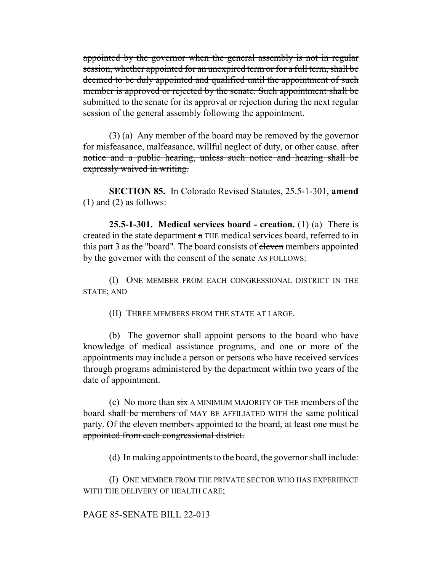appointed by the governor when the general assembly is not in regular session, whether appointed for an unexpired term or for a full term, shall be deemed to be duly appointed and qualified until the appointment of such member is approved or rejected by the senate. Such appointment shall be submitted to the senate for its approval or rejection during the next regular session of the general assembly following the appointment.

(3) (a) Any member of the board may be removed by the governor for misfeasance, malfeasance, willful neglect of duty, or other cause. after notice and a public hearing, unless such notice and hearing shall be expressly waived in writing.

**SECTION 85.** In Colorado Revised Statutes, 25.5-1-301, **amend** (1) and (2) as follows:

**25.5-1-301. Medical services board - creation.** (1) (a) There is created in the state department a THE medical services board, referred to in this part 3 as the "board". The board consists of eleven members appointed by the governor with the consent of the senate AS FOLLOWS:

(I) ONE MEMBER FROM EACH CONGRESSIONAL DISTRICT IN THE STATE; AND

(II) THREE MEMBERS FROM THE STATE AT LARGE.

(b) The governor shall appoint persons to the board who have knowledge of medical assistance programs, and one or more of the appointments may include a person or persons who have received services through programs administered by the department within two years of the date of appointment.

(c) No more than  $s\overline{t}x$  A MINIMUM MAJORITY OF THE members of the board shall be members of MAY BE AFFILIATED WITH the same political party. Of the eleven members appointed to the board, at least one must be appointed from each congressional district.

(d) In making appointments to the board, the governor shall include:

(I) ONE MEMBER FROM THE PRIVATE SECTOR WHO HAS EXPERIENCE WITH THE DELIVERY OF HEALTH CARE;

# PAGE 85-SENATE BILL 22-013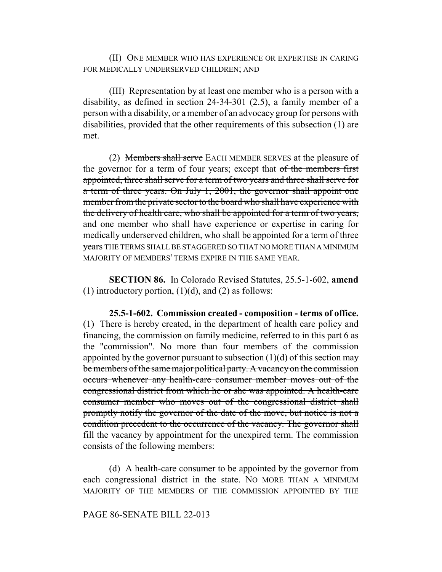(II) ONE MEMBER WHO HAS EXPERIENCE OR EXPERTISE IN CARING FOR MEDICALLY UNDERSERVED CHILDREN; AND

(III) Representation by at least one member who is a person with a disability, as defined in section 24-34-301 (2.5), a family member of a person with a disability, or a member of an advocacy group for persons with disabilities, provided that the other requirements of this subsection (1) are met.

(2) Members shall serve EACH MEMBER SERVES at the pleasure of the governor for a term of four years; except that of the members first appointed, three shall serve for a term of two years and three shall serve for a term of three years. On July 1, 2001, the governor shall appoint one member from the private sector to the board who shall have experience with the delivery of health care, who shall be appointed for a term of two years, and one member who shall have experience or expertise in caring for medically underserved children, who shall be appointed for a term of three years THE TERMS SHALL BE STAGGERED SO THAT NO MORE THAN A MINIMUM MAJORITY OF MEMBERS' TERMS EXPIRE IN THE SAME YEAR.

**SECTION 86.** In Colorado Revised Statutes, 25.5-1-602, **amend** (1) introductory portion,  $(1)(d)$ , and  $(2)$  as follows:

**25.5-1-602. Commission created - composition - terms of office.** (1) There is hereby created, in the department of health care policy and financing, the commission on family medicine, referred to in this part 6 as the "commission". No more than four members of the commission appointed by the governor pursuant to subsection  $(1)(d)$  of this section may be members of the same major political party. A vacancy on the commission occurs whenever any health-care consumer member moves out of the congressional district from which he or she was appointed. A health-care consumer member who moves out of the congressional district shall promptly notify the governor of the date of the move, but notice is not a condition precedent to the occurrence of the vacancy. The governor shall fill the vacancy by appointment for the unexpired term. The commission consists of the following members:

(d) A health-care consumer to be appointed by the governor from each congressional district in the state. NO MORE THAN A MINIMUM MAJORITY OF THE MEMBERS OF THE COMMISSION APPOINTED BY THE

PAGE 86-SENATE BILL 22-013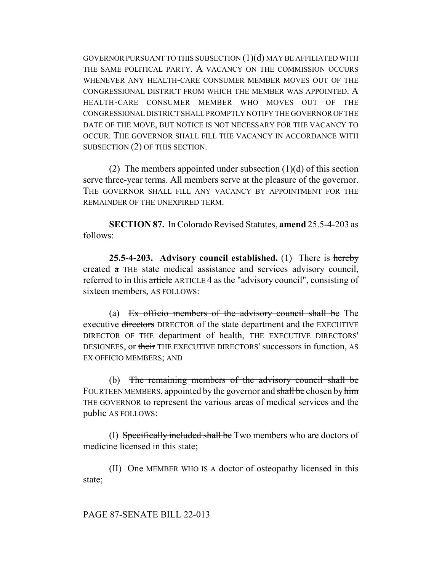GOVERNOR PURSUANT TO THIS SUBSECTION (1)(d) MAY BE AFFILIATED WITH THE SAME POLITICAL PARTY. A VACANCY ON THE COMMISSION OCCURS WHENEVER ANY HEALTH-CARE CONSUMER MEMBER MOVES OUT OF THE CONGRESSIONAL DISTRICT FROM WHICH THE MEMBER WAS APPOINTED. A HEALTH-CARE CONSUMER MEMBER WHO MOVES OUT OF THE CONGRESSIONAL DISTRICT SHALL PROMPTLY NOTIFY THE GOVERNOR OF THE DATE OF THE MOVE, BUT NOTICE IS NOT NECESSARY FOR THE VACANCY TO OCCUR. THE GOVERNOR SHALL FILL THE VACANCY IN ACCORDANCE WITH SUBSECTION (2) OF THIS SECTION.

(2) The members appointed under subsection  $(1)(d)$  of this section serve three-year terms. All members serve at the pleasure of the governor. THE GOVERNOR SHALL FILL ANY VACANCY BY APPOINTMENT FOR THE REMAINDER OF THE UNEXPIRED TERM.

**SECTION 87.** In Colorado Revised Statutes, **amend** 25.5-4-203 as follows:

**25.5-4-203. Advisory council established.** (1) There is hereby created a THE state medical assistance and services advisory council, referred to in this article ARTICLE 4 as the "advisory council", consisting of sixteen members, AS FOLLOWS:

(a) Ex officio members of the advisory council shall be The executive directors DIRECTOR of the state department and the EXECUTIVE DIRECTOR OF THE department of health, THE EXECUTIVE DIRECTORS' DESIGNEES, or their THE EXECUTIVE DIRECTORS' successors in function, AS EX OFFICIO MEMBERS; AND

(b) The remaining members of the advisory council shall be FOURTEEN MEMBERS, appointed by the governor and shall be chosen by him THE GOVERNOR to represent the various areas of medical services and the public AS FOLLOWS:

(I) Specifically included shall be Two members who are doctors of medicine licensed in this state;

(II) One MEMBER WHO IS A doctor of osteopathy licensed in this state;

## PAGE 87-SENATE BILL 22-013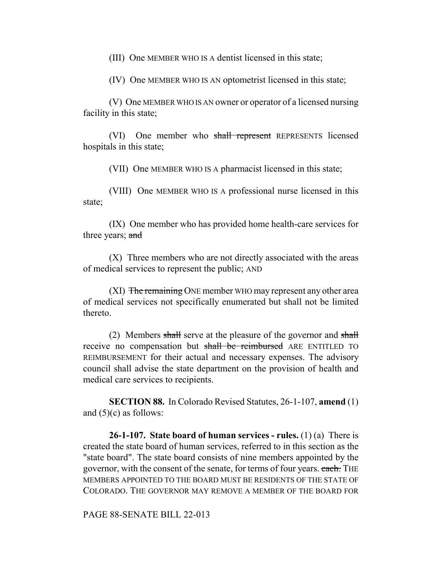(III) One MEMBER WHO IS A dentist licensed in this state;

(IV) One MEMBER WHO IS AN optometrist licensed in this state;

(V) One MEMBER WHO IS AN owner or operator of a licensed nursing facility in this state;

(VI) One member who shall represent REPRESENTS licensed hospitals in this state;

(VII) One MEMBER WHO IS A pharmacist licensed in this state;

(VIII) One MEMBER WHO IS A professional nurse licensed in this state;

(IX) One member who has provided home health-care services for three years; and

(X) Three members who are not directly associated with the areas of medical services to represent the public; AND

(XI) The remaining ONE member WHO may represent any other area of medical services not specifically enumerated but shall not be limited thereto.

(2) Members shall serve at the pleasure of the governor and shall receive no compensation but shall be reimbursed ARE ENTITLED TO REIMBURSEMENT for their actual and necessary expenses. The advisory council shall advise the state department on the provision of health and medical care services to recipients.

**SECTION 88.** In Colorado Revised Statutes, 26-1-107, **amend** (1) and  $(5)(c)$  as follows:

**26-1-107. State board of human services - rules.** (1) (a) There is created the state board of human services, referred to in this section as the "state board". The state board consists of nine members appointed by the governor, with the consent of the senate, for terms of four years. each. THE MEMBERS APPOINTED TO THE BOARD MUST BE RESIDENTS OF THE STATE OF COLORADO. THE GOVERNOR MAY REMOVE A MEMBER OF THE BOARD FOR

PAGE 88-SENATE BILL 22-013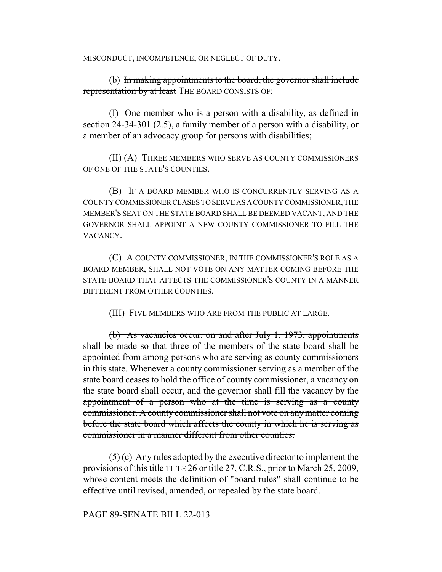MISCONDUCT, INCOMPETENCE, OR NEGLECT OF DUTY.

(b) In making appointments to the board, the governor shall include representation by at least THE BOARD CONSISTS OF:

(I) One member who is a person with a disability, as defined in section 24-34-301 (2.5), a family member of a person with a disability, or a member of an advocacy group for persons with disabilities;

(II) (A) THREE MEMBERS WHO SERVE AS COUNTY COMMISSIONERS OF ONE OF THE STATE'S COUNTIES.

(B) IF A BOARD MEMBER WHO IS CONCURRENTLY SERVING AS A COUNTY COMMISSIONER CEASES TO SERVE AS A COUNTY COMMISSIONER, THE MEMBER'S SEAT ON THE STATE BOARD SHALL BE DEEMED VACANT, AND THE GOVERNOR SHALL APPOINT A NEW COUNTY COMMISSIONER TO FILL THE VACANCY.

(C) A COUNTY COMMISSIONER, IN THE COMMISSIONER'S ROLE AS A BOARD MEMBER, SHALL NOT VOTE ON ANY MATTER COMING BEFORE THE STATE BOARD THAT AFFECTS THE COMMISSIONER'S COUNTY IN A MANNER DIFFERENT FROM OTHER COUNTIES.

(III) FIVE MEMBERS WHO ARE FROM THE PUBLIC AT LARGE.

(b) As vacancies occur, on and after July 1, 1973, appointments shall be made so that three of the members of the state board shall be appointed from among persons who are serving as county commissioners in this state. Whenever a county commissioner serving as a member of the state board ceases to hold the office of county commissioner, a vacancy on the state board shall occur, and the governor shall fill the vacancy by the appointment of a person who at the time is serving as a county commissioner. A county commissioner shall not vote on any matter coming before the state board which affects the county in which he is serving as commissioner in a manner different from other counties.

(5) (c) Any rules adopted by the executive director to implement the provisions of this title TITLE 26 or title 27,  $C.R.S.,$  prior to March 25, 2009, whose content meets the definition of "board rules" shall continue to be effective until revised, amended, or repealed by the state board.

PAGE 89-SENATE BILL 22-013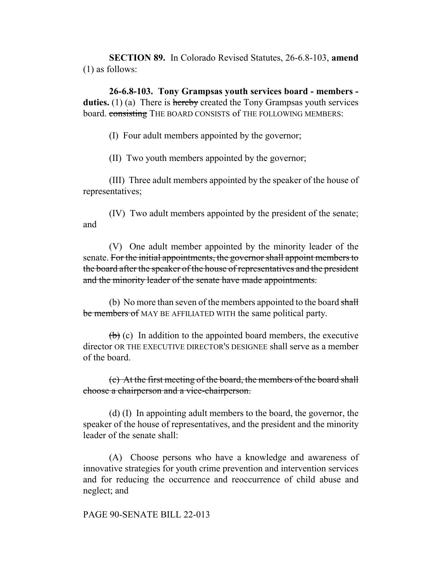**SECTION 89.** In Colorado Revised Statutes, 26-6.8-103, **amend** (1) as follows:

**26-6.8-103. Tony Grampsas youth services board - members duties.** (1) (a) There is hereby created the Tony Grampsas youth services board. consisting THE BOARD CONSISTS of THE FOLLOWING MEMBERS:

(I) Four adult members appointed by the governor;

(II) Two youth members appointed by the governor;

(III) Three adult members appointed by the speaker of the house of representatives;

(IV) Two adult members appointed by the president of the senate; and

(V) One adult member appointed by the minority leader of the senate. For the initial appointments, the governor shall appoint members to the board after the speaker of the house of representatives and the president and the minority leader of the senate have made appointments.

(b) No more than seven of the members appointed to the board shall be members of MAY BE AFFILIATED WITH the same political party.

 $(b)$  (c) In addition to the appointed board members, the executive director OR THE EXECUTIVE DIRECTOR'S DESIGNEE shall serve as a member of the board.

(c) At the first meeting of the board, the members of the board shall choose a chairperson and a vice-chairperson.

(d) (I) In appointing adult members to the board, the governor, the speaker of the house of representatives, and the president and the minority leader of the senate shall:

(A) Choose persons who have a knowledge and awareness of innovative strategies for youth crime prevention and intervention services and for reducing the occurrence and reoccurrence of child abuse and neglect; and

PAGE 90-SENATE BILL 22-013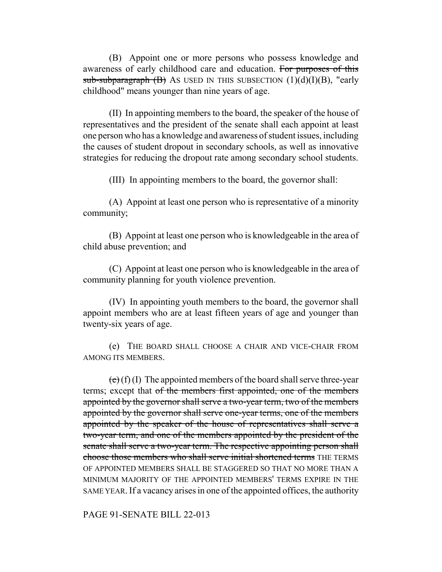(B) Appoint one or more persons who possess knowledge and awareness of early childhood care and education. For purposes of this sub-subparagraph  $(B)$  As USED IN THIS SUBSECTION  $(1)(d)(I)(B)$ , "early childhood" means younger than nine years of age.

(II) In appointing members to the board, the speaker of the house of representatives and the president of the senate shall each appoint at least one person who has a knowledge and awareness of student issues, including the causes of student dropout in secondary schools, as well as innovative strategies for reducing the dropout rate among secondary school students.

(III) In appointing members to the board, the governor shall:

(A) Appoint at least one person who is representative of a minority community;

(B) Appoint at least one person who is knowledgeable in the area of child abuse prevention; and

(C) Appoint at least one person who is knowledgeable in the area of community planning for youth violence prevention.

(IV) In appointing youth members to the board, the governor shall appoint members who are at least fifteen years of age and younger than twenty-six years of age.

(e) THE BOARD SHALL CHOOSE A CHAIR AND VICE-CHAIR FROM AMONG ITS MEMBERS.

 $(e)$  (f) (I) The appointed members of the board shall serve three-year terms; except that of the members first appointed, one of the members appointed by the governor shall serve a two-year term, two of the members appointed by the governor shall serve one-year terms, one of the members appointed by the speaker of the house of representatives shall serve a two-year term, and one of the members appointed by the president of the senate shall serve a two-year term. The respective appointing person shall choose those members who shall serve initial shortened terms THE TERMS OF APPOINTED MEMBERS SHALL BE STAGGERED SO THAT NO MORE THAN A MINIMUM MAJORITY OF THE APPOINTED MEMBERS' TERMS EXPIRE IN THE SAME YEAR. If a vacancy arises in one of the appointed offices, the authority

PAGE 91-SENATE BILL 22-013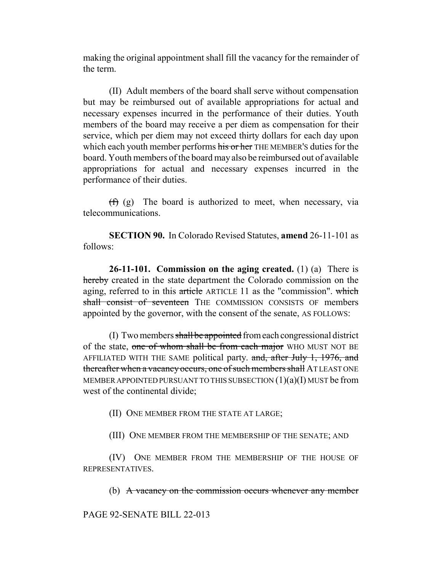making the original appointment shall fill the vacancy for the remainder of the term.

(II) Adult members of the board shall serve without compensation but may be reimbursed out of available appropriations for actual and necessary expenses incurred in the performance of their duties. Youth members of the board may receive a per diem as compensation for their service, which per diem may not exceed thirty dollars for each day upon which each youth member performs his or her THE MEMBER'S duties for the board. Youth members of the board may also be reimbursed out of available appropriations for actual and necessary expenses incurred in the performance of their duties.

 $(f)$  (g) The board is authorized to meet, when necessary, via telecommunications.

**SECTION 90.** In Colorado Revised Statutes, **amend** 26-11-101 as follows:

**26-11-101. Commission on the aging created.** (1) (a) There is hereby created in the state department the Colorado commission on the aging, referred to in this article ARTICLE 11 as the "commission". which shall consist of seventeen THE COMMISSION CONSISTS OF members appointed by the governor, with the consent of the senate, AS FOLLOWS:

(I) Two members shall be appointed from each congressional district of the state, one of whom shall be from each major WHO MUST NOT BE AFFILIATED WITH THE SAME political party. and, after July 1, 1976, and thereafter when a vacancy occurs, one of such members shall AT LEAST ONE MEMBER APPOINTED PURSUANT TO THIS SUBSECTION  $(1)(a)(I)$  MUST be from west of the continental divide;

(II) ONE MEMBER FROM THE STATE AT LARGE;

(III) ONE MEMBER FROM THE MEMBERSHIP OF THE SENATE; AND

(IV) ONE MEMBER FROM THE MEMBERSHIP OF THE HOUSE OF REPRESENTATIVES.

(b) A vacancy on the commission occurs whenever any member

PAGE 92-SENATE BILL 22-013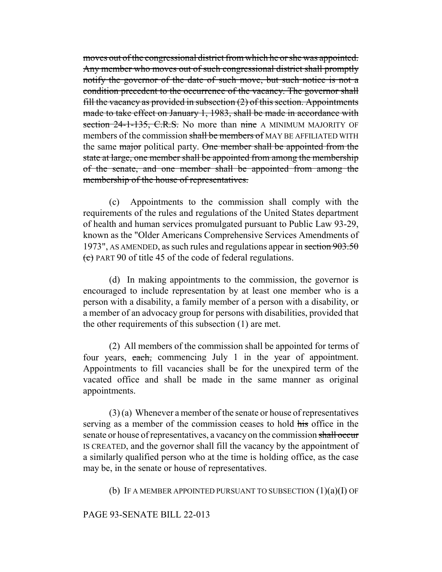moves out of the congressional district from which he or she was appointed. Any member who moves out of such congressional district shall promptly notify the governor of the date of such move, but such notice is not a condition precedent to the occurrence of the vacancy. The governor shall fill the vacancy as provided in subsection (2) of this section. Appointments made to take effect on January 1, 1983, shall be made in accordance with section 24-1-135, C.R.S. No more than nine A MINIMUM MAJORITY OF members of the commission shall be members of MAY BE AFFILIATED WITH the same major political party. One member shall be appointed from the state at large, one member shall be appointed from among the membership of the senate, and one member shall be appointed from among the membership of the house of representatives.

(c) Appointments to the commission shall comply with the requirements of the rules and regulations of the United States department of health and human services promulgated pursuant to Public Law 93-29, known as the "Older Americans Comprehensive Services Amendments of 1973", AS AMENDED, as such rules and regulations appear in section 903.50 (c) PART 90 of title 45 of the code of federal regulations.

(d) In making appointments to the commission, the governor is encouraged to include representation by at least one member who is a person with a disability, a family member of a person with a disability, or a member of an advocacy group for persons with disabilities, provided that the other requirements of this subsection (1) are met.

(2) All members of the commission shall be appointed for terms of four years, each, commencing July 1 in the year of appointment. Appointments to fill vacancies shall be for the unexpired term of the vacated office and shall be made in the same manner as original appointments.

 $(3)$  (a) Whenever a member of the senate or house of representatives serving as a member of the commission ceases to hold his office in the senate or house of representatives, a vacancy on the commission shall occur IS CREATED, and the governor shall fill the vacancy by the appointment of a similarly qualified person who at the time is holding office, as the case may be, in the senate or house of representatives.

(b) IF A MEMBER APPOINTED PURSUANT TO SUBSECTION  $(1)(a)(I)$  OF

## PAGE 93-SENATE BILL 22-013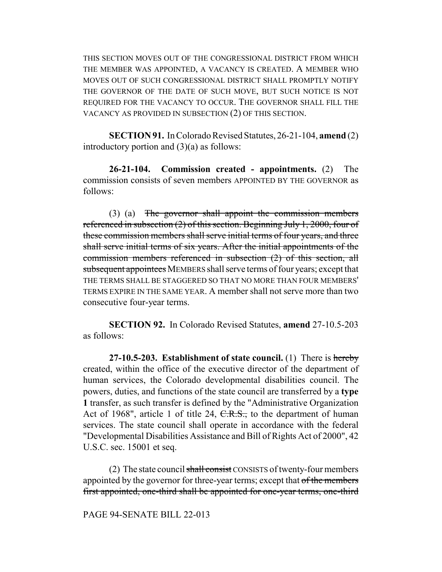THIS SECTION MOVES OUT OF THE CONGRESSIONAL DISTRICT FROM WHICH THE MEMBER WAS APPOINTED, A VACANCY IS CREATED. A MEMBER WHO MOVES OUT OF SUCH CONGRESSIONAL DISTRICT SHALL PROMPTLY NOTIFY THE GOVERNOR OF THE DATE OF SUCH MOVE, BUT SUCH NOTICE IS NOT REQUIRED FOR THE VACANCY TO OCCUR. THE GOVERNOR SHALL FILL THE VACANCY AS PROVIDED IN SUBSECTION (2) OF THIS SECTION.

**SECTION 91.** In Colorado Revised Statutes, 26-21-104, **amend** (2) introductory portion and (3)(a) as follows:

**26-21-104. Commission created - appointments.** (2) The commission consists of seven members APPOINTED BY THE GOVERNOR as follows:

(3) (a) The governor shall appoint the commission members referenced in subsection (2) of this section. Beginning July 1, 2000, four of these commission members shall serve initial terms of four years, and three shall serve initial terms of six years. After the initial appointments of the commission members referenced in subsection (2) of this section, all subsequent appointees MEMBERS shall serve terms of four years; except that THE TERMS SHALL BE STAGGERED SO THAT NO MORE THAN FOUR MEMBERS' TERMS EXPIRE IN THE SAME YEAR. A member shall not serve more than two consecutive four-year terms.

**SECTION 92.** In Colorado Revised Statutes, **amend** 27-10.5-203 as follows:

**27-10.5-203. Establishment of state council.** (1) There is hereby created, within the office of the executive director of the department of human services, the Colorado developmental disabilities council. The powers, duties, and functions of the state council are transferred by a **type 1** transfer, as such transfer is defined by the "Administrative Organization Act of 1968", article 1 of title 24, C.R.S., to the department of human services. The state council shall operate in accordance with the federal "Developmental Disabilities Assistance and Bill of Rights Act of 2000", 42 U.S.C. sec. 15001 et seq.

(2) The state council shall consist CONSISTS of twenty-four members appointed by the governor for three-year terms; except that of the members first appointed, one-third shall be appointed for one-year terms, one-third

PAGE 94-SENATE BILL 22-013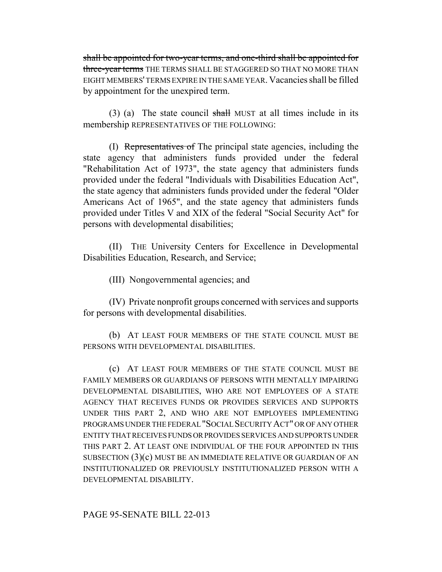shall be appointed for two-year terms, and one-third shall be appointed for three-year terms THE TERMS SHALL BE STAGGERED SO THAT NO MORE THAN EIGHT MEMBERS' TERMS EXPIRE IN THE SAME YEAR. Vacancies shall be filled by appointment for the unexpired term.

(3) (a) The state council shall MUST at all times include in its membership REPRESENTATIVES OF THE FOLLOWING:

(I) Representatives of The principal state agencies, including the state agency that administers funds provided under the federal "Rehabilitation Act of 1973", the state agency that administers funds provided under the federal "Individuals with Disabilities Education Act", the state agency that administers funds provided under the federal "Older Americans Act of 1965", and the state agency that administers funds provided under Titles V and XIX of the federal "Social Security Act" for persons with developmental disabilities;

(II) THE University Centers for Excellence in Developmental Disabilities Education, Research, and Service;

(III) Nongovernmental agencies; and

(IV) Private nonprofit groups concerned with services and supports for persons with developmental disabilities.

(b) AT LEAST FOUR MEMBERS OF THE STATE COUNCIL MUST BE PERSONS WITH DEVELOPMENTAL DISABILITIES.

(c) AT LEAST FOUR MEMBERS OF THE STATE COUNCIL MUST BE FAMILY MEMBERS OR GUARDIANS OF PERSONS WITH MENTALLY IMPAIRING DEVELOPMENTAL DISABILITIES, WHO ARE NOT EMPLOYEES OF A STATE AGENCY THAT RECEIVES FUNDS OR PROVIDES SERVICES AND SUPPORTS UNDER THIS PART 2, AND WHO ARE NOT EMPLOYEES IMPLEMENTING PROGRAMS UNDER THE FEDERAL "SOCIAL SECURITY ACT" OR OF ANY OTHER ENTITY THAT RECEIVES FUNDS OR PROVIDES SERVICES AND SUPPORTS UNDER THIS PART 2. AT LEAST ONE INDIVIDUAL OF THE FOUR APPOINTED IN THIS SUBSECTION  $(3)(c)$  MUST BE AN IMMEDIATE RELATIVE OR GUARDIAN OF AN INSTITUTIONALIZED OR PREVIOUSLY INSTITUTIONALIZED PERSON WITH A DEVELOPMENTAL DISABILITY.

## PAGE 95-SENATE BILL 22-013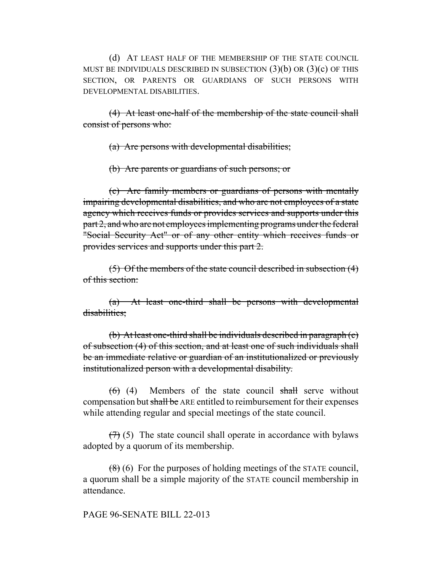(d) AT LEAST HALF OF THE MEMBERSHIP OF THE STATE COUNCIL MUST BE INDIVIDUALS DESCRIBED IN SUBSECTION  $(3)(b)$  OR  $(3)(c)$  OF THIS SECTION, OR PARENTS OR GUARDIANS OF SUCH PERSONS WITH DEVELOPMENTAL DISABILITIES.

(4) At least one-half of the membership of the state council shall consist of persons who:

(a) Are persons with developmental disabilities;

(b) Are parents or guardians of such persons; or

(c) Are family members or guardians of persons with mentally impairing developmental disabilities, and who are not employees of a state agency which receives funds or provides services and supports under this part 2, and who are not employees implementing programs under the federal "Social Security Act" or of any other entity which receives funds or provides services and supports under this part 2.

(5) Of the members of the state council described in subsection (4) of this section:

(a) At least one-third shall be persons with developmental disabilities:

(b) At least one-third shall be individuals described in paragraph (c) of subsection (4) of this section, and at least one of such individuals shall be an immediate relative or guardian of an institutionalized or previously institutionalized person with a developmental disability.

 $(6)$  (4) Members of the state council shall serve without compensation but shall be ARE entitled to reimbursement for their expenses while attending regular and special meetings of the state council.

 $(7)$  (5) The state council shall operate in accordance with bylaws adopted by a quorum of its membership.

 $(8)$  (6) For the purposes of holding meetings of the STATE council, a quorum shall be a simple majority of the STATE council membership in attendance.

PAGE 96-SENATE BILL 22-013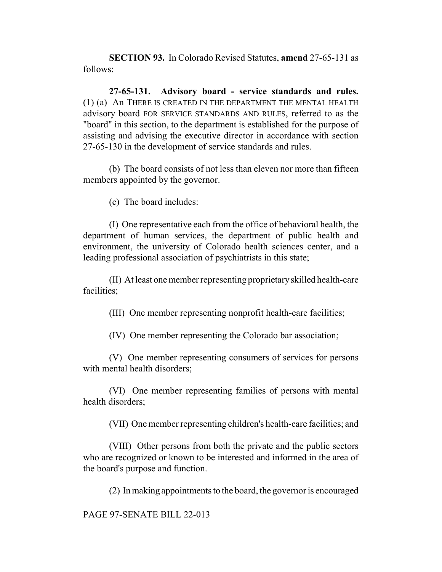**SECTION 93.** In Colorado Revised Statutes, **amend** 27-65-131 as follows:

**27-65-131. Advisory board - service standards and rules.** (1) (a)  $\overline{An}$  THERE IS CREATED IN THE DEPARTMENT THE MENTAL HEALTH advisory board FOR SERVICE STANDARDS AND RULES, referred to as the "board" in this section, to the department is established for the purpose of assisting and advising the executive director in accordance with section 27-65-130 in the development of service standards and rules.

(b) The board consists of not less than eleven nor more than fifteen members appointed by the governor.

(c) The board includes:

(I) One representative each from the office of behavioral health, the department of human services, the department of public health and environment, the university of Colorado health sciences center, and a leading professional association of psychiatrists in this state;

(II) At least one member representing proprietary skilled health-care facilities;

(III) One member representing nonprofit health-care facilities;

(IV) One member representing the Colorado bar association;

(V) One member representing consumers of services for persons with mental health disorders;

(VI) One member representing families of persons with mental health disorders;

(VII) One member representing children's health-care facilities; and

(VIII) Other persons from both the private and the public sectors who are recognized or known to be interested and informed in the area of the board's purpose and function.

(2) In making appointments to the board, the governor is encouraged

PAGE 97-SENATE BILL 22-013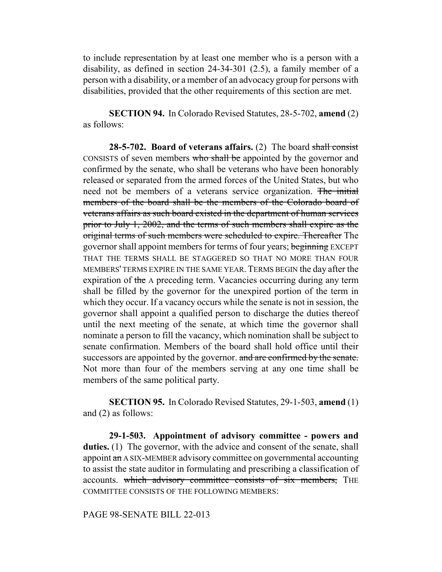to include representation by at least one member who is a person with a disability, as defined in section 24-34-301 (2.5), a family member of a person with a disability, or a member of an advocacy group for persons with disabilities, provided that the other requirements of this section are met.

**SECTION 94.** In Colorado Revised Statutes, 28-5-702, **amend** (2) as follows:

**28-5-702. Board of veterans affairs.** (2) The board shall consist CONSISTS of seven members who shall be appointed by the governor and confirmed by the senate, who shall be veterans who have been honorably released or separated from the armed forces of the United States, but who need not be members of a veterans service organization. The initial members of the board shall be the members of the Colorado board of veterans affairs as such board existed in the department of human services prior to July 1, 2002, and the terms of such members shall expire as the original terms of such members were scheduled to expire. Thereafter The governor shall appoint members for terms of four years; beginning EXCEPT THAT THE TERMS SHALL BE STAGGERED SO THAT NO MORE THAN FOUR MEMBERS' TERMS EXPIRE IN THE SAME YEAR.TERMS BEGIN the day after the expiration of the A preceding term. Vacancies occurring during any term shall be filled by the governor for the unexpired portion of the term in which they occur. If a vacancy occurs while the senate is not in session, the governor shall appoint a qualified person to discharge the duties thereof until the next meeting of the senate, at which time the governor shall nominate a person to fill the vacancy, which nomination shall be subject to senate confirmation. Members of the board shall hold office until their successors are appointed by the governor. and are confirmed by the senate. Not more than four of the members serving at any one time shall be members of the same political party.

**SECTION 95.** In Colorado Revised Statutes, 29-1-503, **amend** (1) and (2) as follows:

**29-1-503. Appointment of advisory committee - powers and duties.** (1) The governor, with the advice and consent of the senate, shall appoint an A SIX-MEMBER advisory committee on governmental accounting to assist the state auditor in formulating and prescribing a classification of accounts. which advisory committee consists of six members, THE COMMITTEE CONSISTS OF THE FOLLOWING MEMBERS:

PAGE 98-SENATE BILL 22-013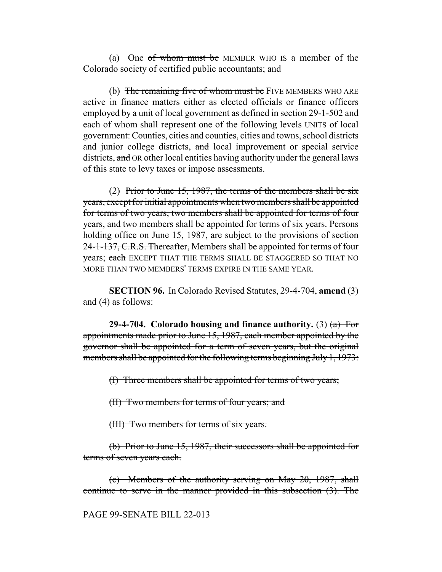(a) One of whom must be MEMBER WHO IS a member of the Colorado society of certified public accountants; and

(b) The remaining five of whom must be FIVE MEMBERS WHO ARE active in finance matters either as elected officials or finance officers employed by a unit of local government as defined in section 29-1-502 and each of whom shall represent one of the following levels UNITS of local government: Counties, cities and counties, cities and towns, school districts and junior college districts, and local improvement or special service districts, and OR other local entities having authority under the general laws of this state to levy taxes or impose assessments.

(2) Prior to June 15, 1987, the terms of the members shall be  $s\dot{x}$ years, except for initial appointments when two members shall be appointed for terms of two years, two members shall be appointed for terms of four years, and two members shall be appointed for terms of six years. Persons holding office on June 15, 1987, are subject to the provisions of section 24-1-137, C.R.S. Thereafter, Members shall be appointed for terms of four years; each EXCEPT THAT THE TERMS SHALL BE STAGGERED SO THAT NO MORE THAN TWO MEMBERS' TERMS EXPIRE IN THE SAME YEAR.

**SECTION 96.** In Colorado Revised Statutes, 29-4-704, **amend** (3) and (4) as follows:

**29-4-704.** Colorado housing and finance authority. (3)  $(a)$  For appointments made prior to June 15, 1987, each member appointed by the governor shall be appointed for a term of seven years, but the original members shall be appointed for the following terms beginning July 1, 1973:

(I) Three members shall be appointed for terms of two years;

(II) Two members for terms of four years; and

(III) Two members for terms of six years.

(b) Prior to June 15, 1987, their successors shall be appointed for terms of seven years each.

(c) Members of the authority serving on May 20, 1987, shall continue to serve in the manner provided in this subsection (3). The

PAGE 99-SENATE BILL 22-013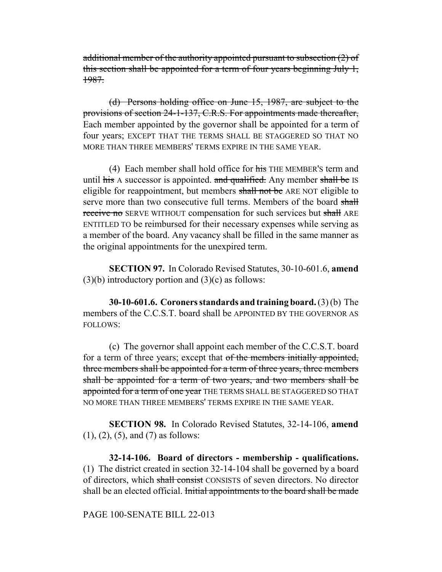additional member of the authority appointed pursuant to subsection  $(2)$  of this section shall be appointed for a term of four years beginning July 1, 1987.

(d) Persons holding office on June 15, 1987, are subject to the provisions of section 24-1-137, C.R.S. For appointments made thereafter, Each member appointed by the governor shall be appointed for a term of four years; EXCEPT THAT THE TERMS SHALL BE STAGGERED SO THAT NO MORE THAN THREE MEMBERS' TERMS EXPIRE IN THE SAME YEAR.

(4) Each member shall hold office for  $\frac{1}{115}$  THE MEMBER's term and until his A successor is appointed. and qualified. Any member shall be IS eligible for reappointment, but members shall not be ARE NOT eligible to serve more than two consecutive full terms. Members of the board shall receive no SERVE WITHOUT compensation for such services but shall ARE ENTITLED TO be reimbursed for their necessary expenses while serving as a member of the board. Any vacancy shall be filled in the same manner as the original appointments for the unexpired term.

**SECTION 97.** In Colorado Revised Statutes, 30-10-601.6, **amend**  $(3)(b)$  introductory portion and  $(3)(c)$  as follows:

**30-10-601.6. Coroners standards and training board.** (3) (b) The members of the C.C.S.T. board shall be APPOINTED BY THE GOVERNOR AS FOLLOWS:

(c) The governor shall appoint each member of the C.C.S.T. board for a term of three years; except that of the members initially appointed, three members shall be appointed for a term of three years, three members shall be appointed for a term of two years, and two members shall be appointed for a term of one year THE TERMS SHALL BE STAGGERED SO THAT NO MORE THAN THREE MEMBERS' TERMS EXPIRE IN THE SAME YEAR.

**SECTION 98.** In Colorado Revised Statutes, 32-14-106, **amend**  $(1), (2), (5),$  and  $(7)$  as follows:

**32-14-106. Board of directors - membership - qualifications.** (1) The district created in section 32-14-104 shall be governed by a board of directors, which shall consist CONSISTS of seven directors. No director shall be an elected official. Initial appointments to the board shall be made

PAGE 100-SENATE BILL 22-013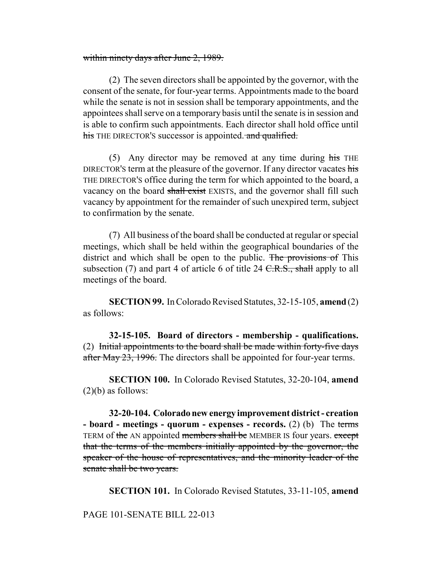## within ninety days after June 2, 1989.

(2) The seven directors shall be appointed by the governor, with the consent of the senate, for four-year terms. Appointments made to the board while the senate is not in session shall be temporary appointments, and the appointees shall serve on a temporary basis until the senate is in session and is able to confirm such appointments. Each director shall hold office until his THE DIRECTOR'S successor is appointed. and qualified.

(5) Any director may be removed at any time during  $\overline{h}$  is THE DIRECTOR'S term at the pleasure of the governor. If any director vacates his THE DIRECTOR'S office during the term for which appointed to the board, a vacancy on the board shall exist EXISTS, and the governor shall fill such vacancy by appointment for the remainder of such unexpired term, subject to confirmation by the senate.

(7) All business of the board shall be conducted at regular or special meetings, which shall be held within the geographical boundaries of the district and which shall be open to the public. The provisions of This subsection (7) and part 4 of article 6 of title 24  $C.R.S.,$  shall apply to all meetings of the board.

**SECTION 99.** In Colorado Revised Statutes, 32-15-105, **amend** (2) as follows:

**32-15-105. Board of directors - membership - qualifications.** (2) Initial appointments to the board shall be made within forty-five days after May 23, 1996. The directors shall be appointed for four-year terms.

**SECTION 100.** In Colorado Revised Statutes, 32-20-104, **amend**  $(2)(b)$  as follows:

**32-20-104. Colorado new energy improvement district - creation - board - meetings - quorum - expenses - records.** (2) (b) The terms TERM of the AN appointed members shall be MEMBER IS four years. except that the terms of the members initially appointed by the governor, the speaker of the house of representatives, and the minority leader of the senate shall be two years.

**SECTION 101.** In Colorado Revised Statutes, 33-11-105, **amend**

PAGE 101-SENATE BILL 22-013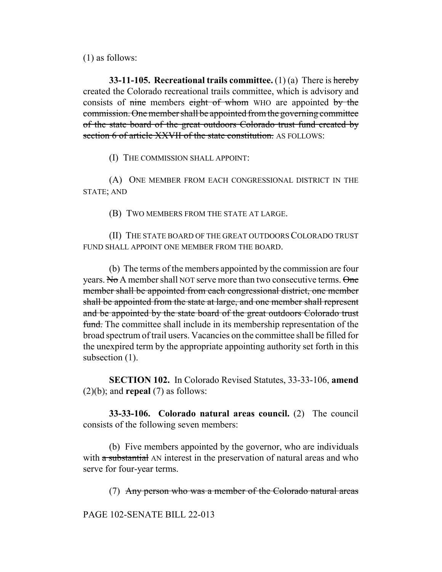(1) as follows:

**33-11-105. Recreational trails committee.** (1) (a) There is hereby created the Colorado recreational trails committee, which is advisory and consists of nine members eight of whom WHO are appointed by the commission. One member shall be appointed from the governing committee of the state board of the great outdoors Colorado trust fund created by section 6 of article XXVII of the state constitution. AS FOLLOWS:

(I) THE COMMISSION SHALL APPOINT:

(A) ONE MEMBER FROM EACH CONGRESSIONAL DISTRICT IN THE STATE; AND

(B) TWO MEMBERS FROM THE STATE AT LARGE.

(II) THE STATE BOARD OF THE GREAT OUTDOORS COLORADO TRUST FUND SHALL APPOINT ONE MEMBER FROM THE BOARD.

(b) The terms of the members appointed by the commission are four years. No A member shall NOT serve more than two consecutive terms. One member shall be appointed from each congressional district, one member shall be appointed from the state at large, and one member shall represent and be appointed by the state board of the great outdoors Colorado trust fund. The committee shall include in its membership representation of the broad spectrum of trail users. Vacancies on the committee shall be filled for the unexpired term by the appropriate appointing authority set forth in this subsection (1).

**SECTION 102.** In Colorado Revised Statutes, 33-33-106, **amend** (2)(b); and **repeal** (7) as follows:

**33-33-106. Colorado natural areas council.** (2) The council consists of the following seven members:

(b) Five members appointed by the governor, who are individuals with a substantial AN interest in the preservation of natural areas and who serve for four-year terms.

(7) Any person who was a member of the Colorado natural areas

PAGE 102-SENATE BILL 22-013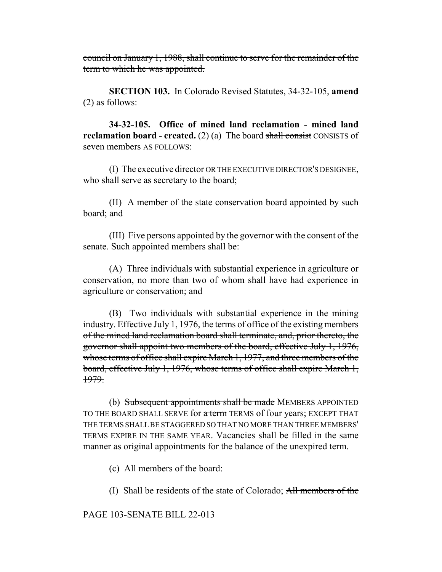council on January 1, 1988, shall continue to serve for the remainder of the term to which he was appointed.

**SECTION 103.** In Colorado Revised Statutes, 34-32-105, **amend** (2) as follows:

**34-32-105. Office of mined land reclamation - mined land reclamation board - created.** (2) (a) The board shall consist CONSISTS of seven members AS FOLLOWS:

(I) The executive director OR THE EXECUTIVE DIRECTOR'S DESIGNEE, who shall serve as secretary to the board;

(II) A member of the state conservation board appointed by such board; and

(III) Five persons appointed by the governor with the consent of the senate. Such appointed members shall be:

(A) Three individuals with substantial experience in agriculture or conservation, no more than two of whom shall have had experience in agriculture or conservation; and

(B) Two individuals with substantial experience in the mining industry. Effective July 1, 1976, the terms of office of the existing members of the mined land reclamation board shall terminate, and, prior thereto, the governor shall appoint two members of the board, effective July 1, 1976, whose terms of office shall expire March 1, 1977, and three members of the board, effective July 1, 1976, whose terms of office shall expire March 1, 1979.

(b) Subsequent appointments shall be made MEMBERS APPOINTED TO THE BOARD SHALL SERVE for a term TERMS of four years; EXCEPT THAT THE TERMS SHALL BE STAGGERED SO THAT NO MORE THAN THREE MEMBERS' TERMS EXPIRE IN THE SAME YEAR. Vacancies shall be filled in the same manner as original appointments for the balance of the unexpired term.

(c) All members of the board:

(I) Shall be residents of the state of Colorado; All members of the

## PAGE 103-SENATE BILL 22-013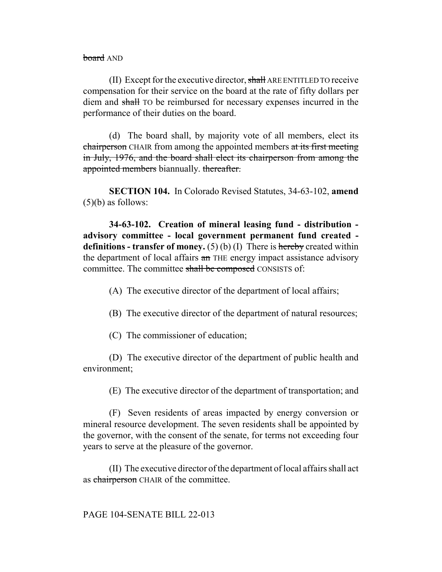board AND

(II) Except for the executive director,  $\frac{1}{2}$  are ENTITLED TO receive compensation for their service on the board at the rate of fifty dollars per diem and shall TO be reimbursed for necessary expenses incurred in the performance of their duties on the board.

(d) The board shall, by majority vote of all members, elect its chairperson CHAIR from among the appointed members at its first meeting in July, 1976, and the board shall elect its chairperson from among the appointed members biannually. thereafter.

**SECTION 104.** In Colorado Revised Statutes, 34-63-102, **amend**  $(5)(b)$  as follows:

**34-63-102. Creation of mineral leasing fund - distribution advisory committee - local government permanent fund created definitions - transfer of money.** (5) (b) (I) There is hereby created within the department of local affairs an THE energy impact assistance advisory committee. The committee shall be composed CONSISTS of:

- (A) The executive director of the department of local affairs;
- (B) The executive director of the department of natural resources;
- (C) The commissioner of education;

(D) The executive director of the department of public health and environment;

(E) The executive director of the department of transportation; and

(F) Seven residents of areas impacted by energy conversion or mineral resource development. The seven residents shall be appointed by the governor, with the consent of the senate, for terms not exceeding four years to serve at the pleasure of the governor.

(II) The executive director of the department of local affairs shall act as chairperson CHAIR of the committee.

## PAGE 104-SENATE BILL 22-013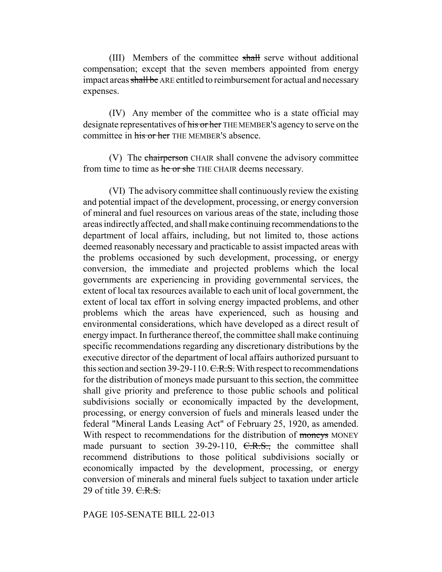(III) Members of the committee shall serve without additional compensation; except that the seven members appointed from energy impact areas shall be ARE entitled to reimbursement for actual and necessary expenses.

(IV) Any member of the committee who is a state official may designate representatives of his or her THE MEMBER's agency to serve on the committee in his or her THE MEMBER's absence.

(V) The chairperson CHAIR shall convene the advisory committee from time to time as he or she THE CHAIR deems necessary.

(VI) The advisory committee shall continuously review the existing and potential impact of the development, processing, or energy conversion of mineral and fuel resources on various areas of the state, including those areas indirectly affected, and shall make continuing recommendations to the department of local affairs, including, but not limited to, those actions deemed reasonably necessary and practicable to assist impacted areas with the problems occasioned by such development, processing, or energy conversion, the immediate and projected problems which the local governments are experiencing in providing governmental services, the extent of local tax resources available to each unit of local government, the extent of local tax effort in solving energy impacted problems, and other problems which the areas have experienced, such as housing and environmental considerations, which have developed as a direct result of energy impact. In furtherance thereof, the committee shall make continuing specific recommendations regarding any discretionary distributions by the executive director of the department of local affairs authorized pursuant to this section and section 39-29-110.  $C.R.S.$  With respect to recommendations for the distribution of moneys made pursuant to this section, the committee shall give priority and preference to those public schools and political subdivisions socially or economically impacted by the development, processing, or energy conversion of fuels and minerals leased under the federal "Mineral Lands Leasing Act" of February 25, 1920, as amended. With respect to recommendations for the distribution of moneys MONEY made pursuant to section  $39-29-110$ ,  $C.R.S.,$  the committee shall recommend distributions to those political subdivisions socially or economically impacted by the development, processing, or energy conversion of minerals and mineral fuels subject to taxation under article 29 of title 39. C.R.S.

## PAGE 105-SENATE BILL 22-013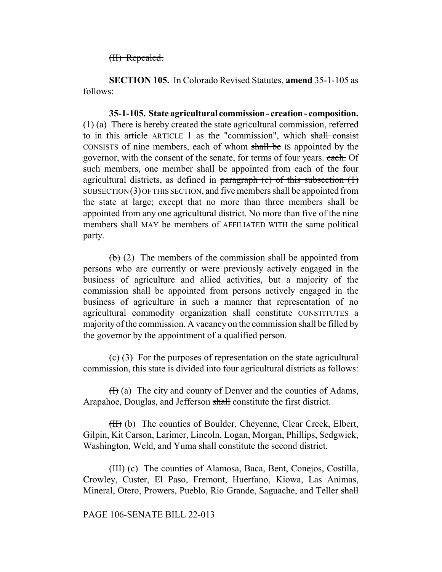(II) Repealed.

**SECTION 105.** In Colorado Revised Statutes, **amend** 35-1-105 as follows:

**35-1-105. State agricultural commission - creation - composition.** (1)  $(a)$  There is hereby created the state agricultural commission, referred to in this article ARTICLE 1 as the "commission", which shall consist CONSISTS of nine members, each of whom shall be IS appointed by the governor, with the consent of the senate, for terms of four years. each. Of such members, one member shall be appointed from each of the four agricultural districts, as defined in paragraph  $(c)$  of this subsection  $(1)$  $SUBSECTION (3)$  OF THIS SECTION, and five members shall be appointed from the state at large; except that no more than three members shall be appointed from any one agricultural district. No more than five of the nine members shall MAY be members of AFFILIATED WITH the same political party.

 $(b)$  (2) The members of the commission shall be appointed from persons who are currently or were previously actively engaged in the business of agriculture and allied activities, but a majority of the commission shall be appointed from persons actively engaged in the business of agriculture in such a manner that representation of no agricultural commodity organization shall constitute CONSTITUTES a majority of the commission. A vacancy on the commission shall be filled by the governor by the appointment of a qualified person.

 $(e)$  (3) For the purposes of representation on the state agricultural commission, this state is divided into four agricultural districts as follows:

 $(H)$  (a) The city and county of Denver and the counties of Adams, Arapahoe, Douglas, and Jefferson shall constitute the first district.

(II) (b) The counties of Boulder, Cheyenne, Clear Creek, Elbert, Gilpin, Kit Carson, Larimer, Lincoln, Logan, Morgan, Phillips, Sedgwick, Washington, Weld, and Yuma shall constitute the second district.

(III) (c) The counties of Alamosa, Baca, Bent, Conejos, Costilla, Crowley, Custer, El Paso, Fremont, Huerfano, Kiowa, Las Animas, Mineral, Otero, Prowers, Pueblo, Rio Grande, Saguache, and Teller shall

PAGE 106-SENATE BILL 22-013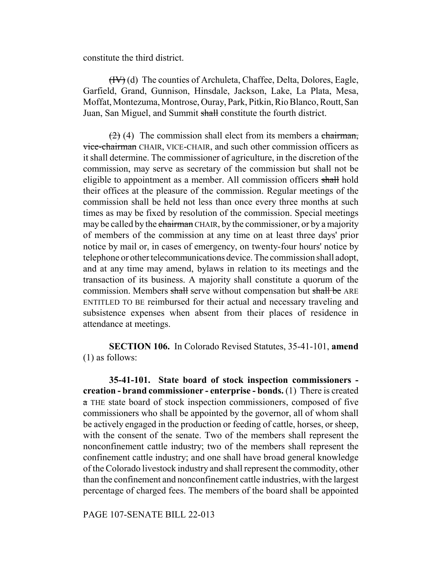constitute the third district.

(IV) (d) The counties of Archuleta, Chaffee, Delta, Dolores, Eagle, Garfield, Grand, Gunnison, Hinsdale, Jackson, Lake, La Plata, Mesa, Moffat, Montezuma, Montrose, Ouray, Park, Pitkin, Rio Blanco, Routt, San Juan, San Miguel, and Summit shall constitute the fourth district.

 $(2)$  (4) The commission shall elect from its members a chairman, vice-chairman CHAIR, VICE-CHAIR, and such other commission officers as it shall determine. The commissioner of agriculture, in the discretion of the commission, may serve as secretary of the commission but shall not be eligible to appointment as a member. All commission officers shall hold their offices at the pleasure of the commission. Regular meetings of the commission shall be held not less than once every three months at such times as may be fixed by resolution of the commission. Special meetings may be called by the chairman CHAIR, by the commissioner, or by a majority of members of the commission at any time on at least three days' prior notice by mail or, in cases of emergency, on twenty-four hours' notice by telephone or other telecommunications device. The commission shall adopt, and at any time may amend, bylaws in relation to its meetings and the transaction of its business. A majority shall constitute a quorum of the commission. Members shall serve without compensation but shall be ARE ENTITLED TO BE reimbursed for their actual and necessary traveling and subsistence expenses when absent from their places of residence in attendance at meetings.

**SECTION 106.** In Colorado Revised Statutes, 35-41-101, **amend** (1) as follows:

**35-41-101. State board of stock inspection commissioners creation - brand commissioner - enterprise - bonds.** (1) There is created a THE state board of stock inspection commissioners, composed of five commissioners who shall be appointed by the governor, all of whom shall be actively engaged in the production or feeding of cattle, horses, or sheep, with the consent of the senate. Two of the members shall represent the nonconfinement cattle industry; two of the members shall represent the confinement cattle industry; and one shall have broad general knowledge of the Colorado livestock industry and shall represent the commodity, other than the confinement and nonconfinement cattle industries, with the largest percentage of charged fees. The members of the board shall be appointed

PAGE 107-SENATE BILL 22-013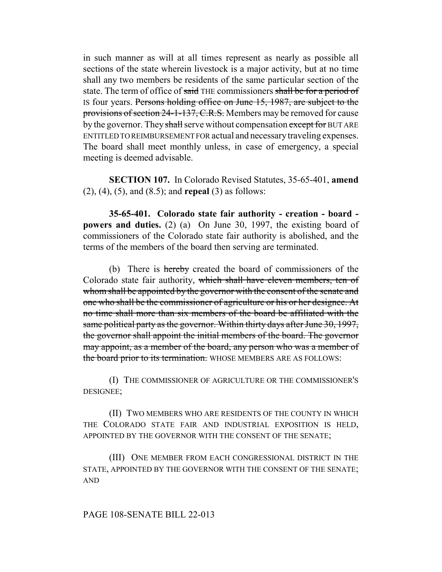in such manner as will at all times represent as nearly as possible all sections of the state wherein livestock is a major activity, but at no time shall any two members be residents of the same particular section of the state. The term of office of said THE commissioners shall be for a period of IS four years. Persons holding office on June 15, 1987, are subject to the provisions of section 24-1-137, C.R.S. Members may be removed for cause by the governor. They shall serve without compensation except for BUT ARE ENTITLED TO REIMBURSEMENT FOR actual and necessary traveling expenses. The board shall meet monthly unless, in case of emergency, a special meeting is deemed advisable.

**SECTION 107.** In Colorado Revised Statutes, 35-65-401, **amend** (2), (4), (5), and (8.5); and **repeal** (3) as follows:

**35-65-401. Colorado state fair authority - creation - board powers and duties.** (2) (a) On June 30, 1997, the existing board of commissioners of the Colorado state fair authority is abolished, and the terms of the members of the board then serving are terminated.

(b) There is hereby created the board of commissioners of the Colorado state fair authority, which shall have eleven members, ten of whom shall be appointed by the governor with the consent of the senate and one who shall be the commissioner of agriculture or his or her designee. At no time shall more than six members of the board be affiliated with the same political party as the governor. Within thirty days after June 30, 1997, the governor shall appoint the initial members of the board. The governor may appoint, as a member of the board, any person who was a member of the board prior to its termination. WHOSE MEMBERS ARE AS FOLLOWS:

(I) THE COMMISSIONER OF AGRICULTURE OR THE COMMISSIONER'S DESIGNEE;

(II) TWO MEMBERS WHO ARE RESIDENTS OF THE COUNTY IN WHICH THE COLORADO STATE FAIR AND INDUSTRIAL EXPOSITION IS HELD, APPOINTED BY THE GOVERNOR WITH THE CONSENT OF THE SENATE;

(III) ONE MEMBER FROM EACH CONGRESSIONAL DISTRICT IN THE STATE, APPOINTED BY THE GOVERNOR WITH THE CONSENT OF THE SENATE; AND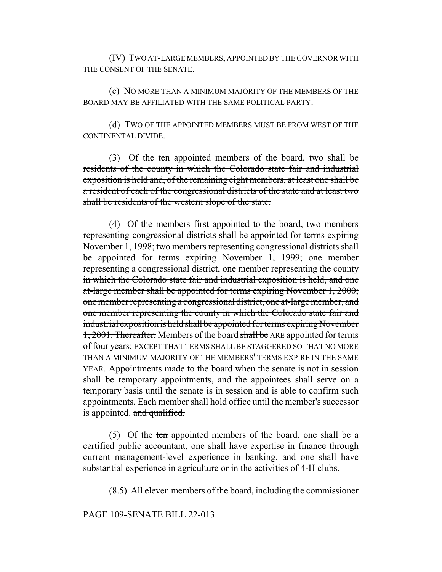(IV) TWO AT-LARGE MEMBERS, APPOINTED BY THE GOVERNOR WITH THE CONSENT OF THE SENATE.

(c) NO MORE THAN A MINIMUM MAJORITY OF THE MEMBERS OF THE BOARD MAY BE AFFILIATED WITH THE SAME POLITICAL PARTY.

(d) TWO OF THE APPOINTED MEMBERS MUST BE FROM WEST OF THE CONTINENTAL DIVIDE.

(3)  $\Theta$ f the ten appointed members of the board, two shall be residents of the county in which the Colorado state fair and industrial exposition is held and, of the remaining eight members, at least one shall be a resident of each of the congressional districts of the state and at least two shall be residents of the western slope of the state.

(4) Of the members first appointed to the board, two members representing congressional districts shall be appointed for terms expiring November 1, 1998; two members representing congressional districts shall be appointed for terms expiring November 1, 1999; one member representing a congressional district, one member representing the county in which the Colorado state fair and industrial exposition is held, and one at-large member shall be appointed for terms expiring November 1, 2000; one member representing a congressional district, one at-large member, and one member representing the county in which the Colorado state fair and industrial exposition is held shall be appointed for terms expiring November 1, 2001. Thereafter, Members of the board shall be ARE appointed for terms of four years; EXCEPT THAT TERMS SHALL BE STAGGERED SO THAT NO MORE THAN A MINIMUM MAJORITY OF THE MEMBERS' TERMS EXPIRE IN THE SAME YEAR. Appointments made to the board when the senate is not in session shall be temporary appointments, and the appointees shall serve on a temporary basis until the senate is in session and is able to confirm such appointments. Each member shall hold office until the member's successor is appointed. and qualified.

(5) Of the ten appointed members of the board, one shall be a certified public accountant, one shall have expertise in finance through current management-level experience in banking, and one shall have substantial experience in agriculture or in the activities of 4-H clubs.

 $(8.5)$  All eleven members of the board, including the commissioner

PAGE 109-SENATE BILL 22-013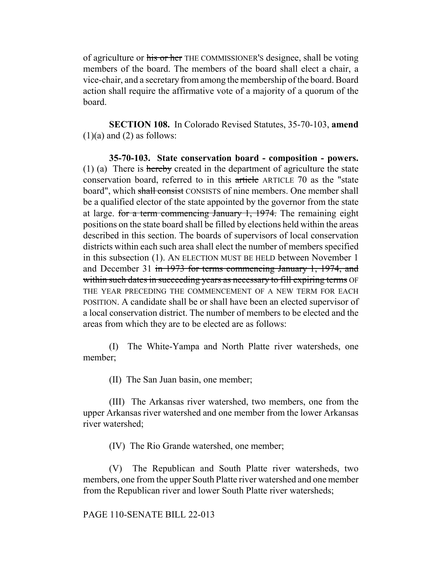of agriculture or his or her THE COMMISSIONER'S designee, shall be voting members of the board. The members of the board shall elect a chair, a vice-chair, and a secretary from among the membership of the board. Board action shall require the affirmative vote of a majority of a quorum of the board.

**SECTION 108.** In Colorado Revised Statutes, 35-70-103, **amend**  $(1)(a)$  and  $(2)$  as follows:

**35-70-103. State conservation board - composition - powers.** (1) (a) There is hereby created in the department of agriculture the state conservation board, referred to in this article ARTICLE 70 as the "state board", which shall consist CONSISTS of nine members. One member shall be a qualified elector of the state appointed by the governor from the state at large. for a term commencing January 1, 1974. The remaining eight positions on the state board shall be filled by elections held within the areas described in this section. The boards of supervisors of local conservation districts within each such area shall elect the number of members specified in this subsection (1). AN ELECTION MUST BE HELD between November 1 and December 31 in 1973 for terms commencing January 1, 1974, and within such dates in succeeding years as necessary to fill expiring terms OF THE YEAR PRECEDING THE COMMENCEMENT OF A NEW TERM FOR EACH POSITION. A candidate shall be or shall have been an elected supervisor of a local conservation district. The number of members to be elected and the areas from which they are to be elected are as follows:

(I) The White-Yampa and North Platte river watersheds, one member;

(II) The San Juan basin, one member;

(III) The Arkansas river watershed, two members, one from the upper Arkansas river watershed and one member from the lower Arkansas river watershed;

(IV) The Rio Grande watershed, one member;

(V) The Republican and South Platte river watersheds, two members, one from the upper South Platte river watershed and one member from the Republican river and lower South Platte river watersheds;

#### PAGE 110-SENATE BILL 22-013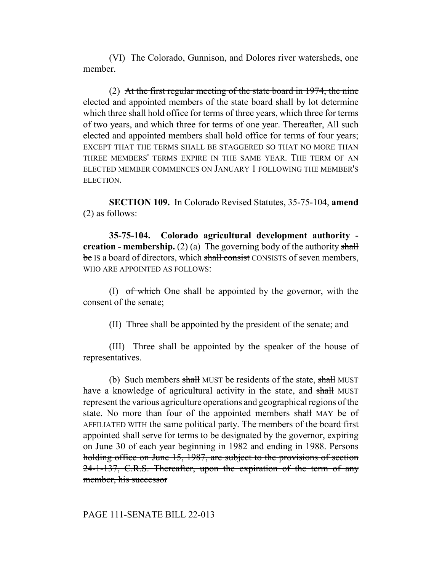(VI) The Colorado, Gunnison, and Dolores river watersheds, one member.

(2) At the first regular meeting of the state board in 1974, the nine elected and appointed members of the state board shall by lot determine which three shall hold office for terms of three years, which three for terms of two years, and which three for terms of one year. Thereafter, All such elected and appointed members shall hold office for terms of four years; EXCEPT THAT THE TERMS SHALL BE STAGGERED SO THAT NO MORE THAN THREE MEMBERS' TERMS EXPIRE IN THE SAME YEAR. THE TERM OF AN ELECTED MEMBER COMMENCES ON JANUARY 1 FOLLOWING THE MEMBER'S ELECTION.

**SECTION 109.** In Colorado Revised Statutes, 35-75-104, **amend** (2) as follows:

**35-75-104. Colorado agricultural development authority creation - membership.** (2) (a) The governing body of the authority shall be IS a board of directors, which shall consist CONSISTS of seven members, WHO ARE APPOINTED AS FOLLOWS:

(I) of which One shall be appointed by the governor, with the consent of the senate;

(II) Three shall be appointed by the president of the senate; and

(III) Three shall be appointed by the speaker of the house of representatives.

(b) Such members shall MUST be residents of the state, shall MUST have a knowledge of agricultural activity in the state, and shall MUST represent the various agriculture operations and geographical regions of the state. No more than four of the appointed members shall MAY be of AFFILIATED WITH the same political party. The members of the board first appointed shall serve for terms to be designated by the governor, expiring on June 30 of each year beginning in 1982 and ending in 1988. Persons holding office on June 15, 1987, are subject to the provisions of section 24-1-137, C.R.S. Thereafter, upon the expiration of the term of any member, his successor

# PAGE 111-SENATE BILL 22-013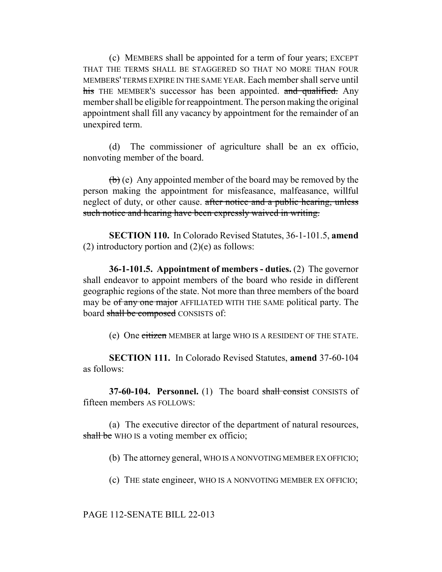(c) MEMBERS shall be appointed for a term of four years; EXCEPT THAT THE TERMS SHALL BE STAGGERED SO THAT NO MORE THAN FOUR MEMBERS' TERMS EXPIRE IN THE SAME YEAR. Each member shall serve until his THE MEMBER'S successor has been appointed. and qualified. Any member shall be eligible for reappointment. The person making the original appointment shall fill any vacancy by appointment for the remainder of an unexpired term.

(d) The commissioner of agriculture shall be an ex officio, nonvoting member of the board.

 $\left(\frac{b}{c}\right)$  (e) Any appointed member of the board may be removed by the person making the appointment for misfeasance, malfeasance, willful neglect of duty, or other cause. after notice and a public hearing, unless such notice and hearing have been expressly waived in writing.

**SECTION 110.** In Colorado Revised Statutes, 36-1-101.5, **amend** (2) introductory portion and  $(2)(e)$  as follows:

**36-1-101.5. Appointment of members - duties.** (2) The governor shall endeavor to appoint members of the board who reside in different geographic regions of the state. Not more than three members of the board may be of any one major AFFILIATED WITH THE SAME political party. The board shall be composed CONSISTS of:

(e) One citizen MEMBER at large WHO IS A RESIDENT OF THE STATE.

**SECTION 111.** In Colorado Revised Statutes, **amend** 37-60-104 as follows:

**37-60-104. Personnel.** (1) The board shall consist CONSISTS of fifteen members AS FOLLOWS:

(a) The executive director of the department of natural resources, shall be WHO IS a voting member ex officio;

(b) The attorney general, WHO IS A NONVOTING MEMBER EX OFFICIO;

(c) THE state engineer, WHO IS A NONVOTING MEMBER EX OFFICIO;

## PAGE 112-SENATE BILL 22-013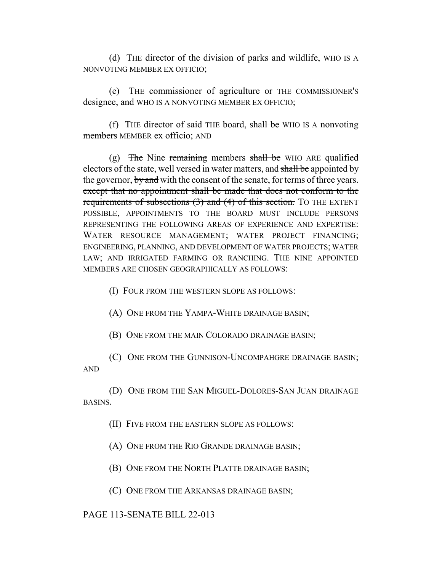(d) THE director of the division of parks and wildlife, WHO IS A NONVOTING MEMBER EX OFFICIO;

(e) THE commissioner of agriculture or THE COMMISSIONER'S designee, and WHO IS A NONVOTING MEMBER EX OFFICIO;

(f) THE director of said THE board, shall be WHO IS A nonvoting members MEMBER ex officio; AND

(g) The Nine remaining members shall be WHO ARE qualified electors of the state, well versed in water matters, and shall be appointed by the governor,  $\frac{by}{and}$  with the consent of the senate, for terms of three years. except that no appointment shall be made that does not conform to the requirements of subsections  $(3)$  and  $(4)$  of this section. TO THE EXTENT POSSIBLE, APPOINTMENTS TO THE BOARD MUST INCLUDE PERSONS REPRESENTING THE FOLLOWING AREAS OF EXPERIENCE AND EXPERTISE: WATER RESOURCE MANAGEMENT; WATER PROJECT FINANCING; ENGINEERING, PLANNING, AND DEVELOPMENT OF WATER PROJECTS; WATER LAW; AND IRRIGATED FARMING OR RANCHING. THE NINE APPOINTED MEMBERS ARE CHOSEN GEOGRAPHICALLY AS FOLLOWS:

(I) FOUR FROM THE WESTERN SLOPE AS FOLLOWS:

(A) ONE FROM THE YAMPA-WHITE DRAINAGE BASIN;

(B) ONE FROM THE MAIN COLORADO DRAINAGE BASIN;

(C) ONE FROM THE GUNNISON-UNCOMPAHGRE DRAINAGE BASIN; AND

(D) ONE FROM THE SAN MIGUEL-DOLORES-SAN JUAN DRAINAGE BASINS.

(II) FIVE FROM THE EASTERN SLOPE AS FOLLOWS:

(A) ONE FROM THE RIO GRANDE DRAINAGE BASIN;

(B) ONE FROM THE NORTH PLATTE DRAINAGE BASIN;

(C) ONE FROM THE ARKANSAS DRAINAGE BASIN;

# PAGE 113-SENATE BILL 22-013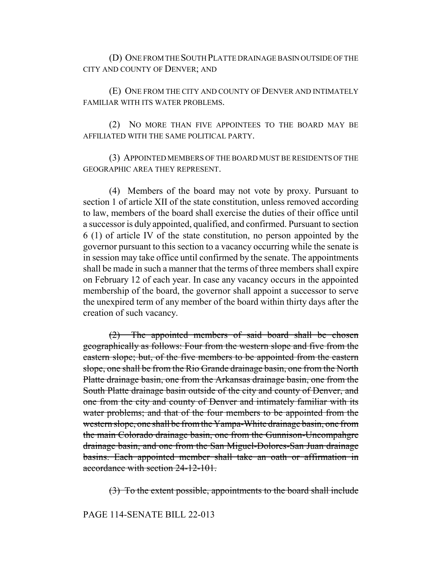(D) ONE FROM THE SOUTH PLATTE DRAINAGE BASIN OUTSIDE OF THE CITY AND COUNTY OF DENVER; AND

(E) ONE FROM THE CITY AND COUNTY OF DENVER AND INTIMATELY FAMILIAR WITH ITS WATER PROBLEMS.

(2) NO MORE THAN FIVE APPOINTEES TO THE BOARD MAY BE AFFILIATED WITH THE SAME POLITICAL PARTY.

(3) APPOINTED MEMBERS OF THE BOARD MUST BE RESIDENTS OF THE GEOGRAPHIC AREA THEY REPRESENT.

(4) Members of the board may not vote by proxy. Pursuant to section 1 of article XII of the state constitution, unless removed according to law, members of the board shall exercise the duties of their office until a successor is duly appointed, qualified, and confirmed. Pursuant to section 6 (1) of article IV of the state constitution, no person appointed by the governor pursuant to this section to a vacancy occurring while the senate is in session may take office until confirmed by the senate. The appointments shall be made in such a manner that the terms of three members shall expire on February 12 of each year. In case any vacancy occurs in the appointed membership of the board, the governor shall appoint a successor to serve the unexpired term of any member of the board within thirty days after the creation of such vacancy.

 $(2)$  The appointed members of said board shall be chosen geographically as follows: Four from the western slope and five from the eastern slope; but, of the five members to be appointed from the eastern slope, one shall be from the Rio Grande drainage basin, one from the North Platte drainage basin, one from the Arkansas drainage basin, one from the South Platte drainage basin outside of the city and county of Denver, and one from the city and county of Denver and intimately familiar with its water problems; and that of the four members to be appointed from the western slope, one shall be from the Yampa-White drainage basin, one from the main Colorado drainage basin, one from the Gunnison-Uncompahgre drainage basin, and one from the San Miguel-Dolores-San Juan drainage basins. Each appointed member shall take an oath or affirmation in accordance with section 24-12-101.

(3) To the extent possible, appointments to the board shall include

#### PAGE 114-SENATE BILL 22-013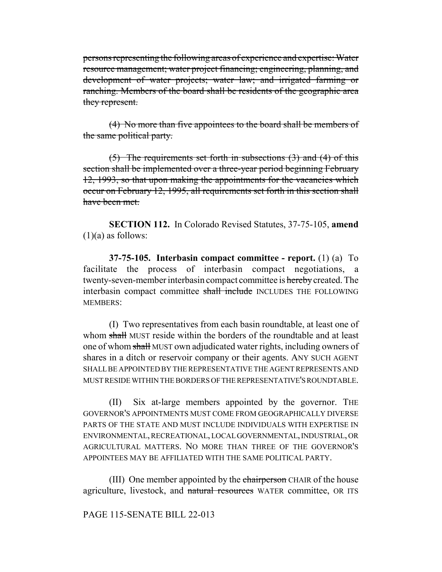persons representing the following areas of experience and expertise: Water resource management; water project financing; engineering, planning, and development of water projects; water law; and irrigated farming or ranching. Members of the board shall be residents of the geographic area they represent.

(4) No more than five appointees to the board shall be members of the same political party.

 $(5)$  The requirements set forth in subsections  $(3)$  and  $(4)$  of this section shall be implemented over a three-year period beginning February 12, 1993, so that upon making the appointments for the vacancies which occur on February 12, 1995, all requirements set forth in this section shall have been met.

**SECTION 112.** In Colorado Revised Statutes, 37-75-105, **amend**  $(1)(a)$  as follows:

**37-75-105. Interbasin compact committee - report.** (1) (a) To facilitate the process of interbasin compact negotiations, a twenty-seven-member interbasin compact committee is hereby created. The interbasin compact committee shall include INCLUDES THE FOLLOWING MEMBERS:

(I) Two representatives from each basin roundtable, at least one of whom shall MUST reside within the borders of the roundtable and at least one of whom shall MUST own adjudicated water rights, including owners of shares in a ditch or reservoir company or their agents. ANY SUCH AGENT SHALL BE APPOINTED BY THE REPRESENTATIVE THE AGENT REPRESENTS AND MUST RESIDE WITHIN THE BORDERS OF THE REPRESENTATIVE'S ROUNDTABLE.

(II) Six at-large members appointed by the governor. THE GOVERNOR'S APPOINTMENTS MUST COME FROM GEOGRAPHICALLY DIVERSE PARTS OF THE STATE AND MUST INCLUDE INDIVIDUALS WITH EXPERTISE IN ENVIRONMENTAL, RECREATIONAL, LOCAL GOVERNMENTAL, INDUSTRIAL, OR AGRICULTURAL MATTERS. NO MORE THAN THREE OF THE GOVERNOR'S APPOINTEES MAY BE AFFILIATED WITH THE SAME POLITICAL PARTY.

(III) One member appointed by the chairperson CHAIR of the house agriculture, livestock, and natural resources WATER committee, OR ITS

# PAGE 115-SENATE BILL 22-013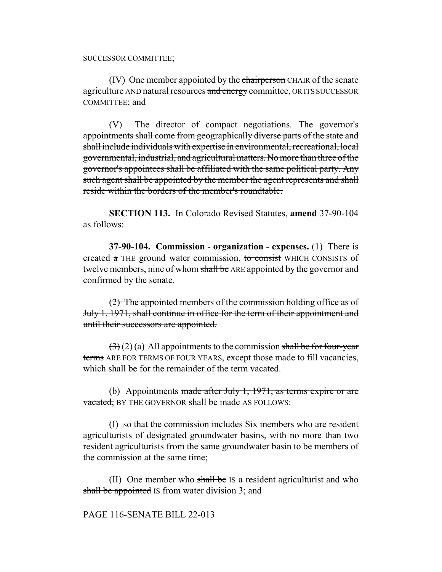(IV) One member appointed by the chairperson CHAIR of the senate agriculture AND natural resources and energy committee, OR ITS SUCCESSOR COMMITTEE; and

 $(V)$  The director of compact negotiations. The governor's appointments shall come from geographically diverse parts of the state and shall include individuals with expertise in environmental, recreational, local governmental, industrial, and agricultural matters. No more than three of the governor's appointees shall be affiliated with the same political party. Any such agent shall be appointed by the member the agent represents and shall reside within the borders of the member's roundtable.

**SECTION 113.** In Colorado Revised Statutes, **amend** 37-90-104 as follows:

**37-90-104. Commission - organization - expenses.** (1) There is created a THE ground water commission, to consist WHICH CONSISTS of twelve members, nine of whom shall be ARE appointed by the governor and confirmed by the senate.

(2) The appointed members of the commission holding office as of July 1, 1971, shall continue in office for the term of their appointment and until their successors are appointed.

 $(3)(2)$  (a) All appointments to the commission shall be for four-year terms ARE FOR TERMS OF FOUR YEARS, except those made to fill vacancies, which shall be for the remainder of the term vacated.

(b) Appointments made after July 1,  $1971$ , as terms expire or are vacated, BY THE GOVERNOR shall be made AS FOLLOWS:

(I) so that the commission includes Six members who are resident agriculturists of designated groundwater basins, with no more than two resident agriculturists from the same groundwater basin to be members of the commission at the same time;

(II) One member who shall be IS a resident agriculturist and who shall be appointed IS from water division 3; and

## PAGE 116-SENATE BILL 22-013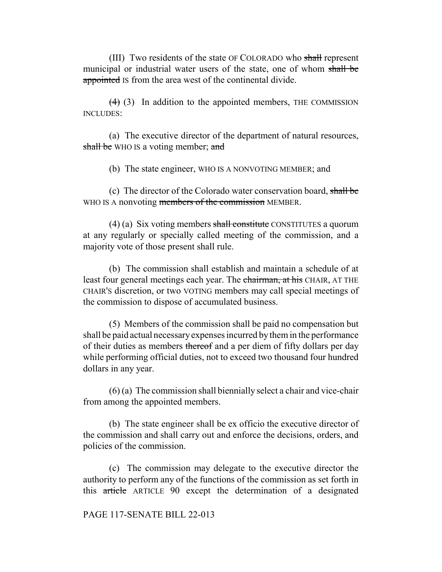(III) Two residents of the state OF COLORADO who shall represent municipal or industrial water users of the state, one of whom shall be appointed IS from the area west of the continental divide.

 $(4)$  (3) In addition to the appointed members, THE COMMISSION INCLUDES:

(a) The executive director of the department of natural resources, shall be WHO IS a voting member; and

(b) The state engineer, WHO IS A NONVOTING MEMBER; and

(c) The director of the Colorado water conservation board, shall be WHO IS A nonvoting members of the commission MEMBER.

(4) (a) Six voting members shall constitute CONSTITUTES a quorum at any regularly or specially called meeting of the commission, and a majority vote of those present shall rule.

(b) The commission shall establish and maintain a schedule of at least four general meetings each year. The chairman, at his CHAIR, AT THE CHAIR'S discretion, or two VOTING members may call special meetings of the commission to dispose of accumulated business.

(5) Members of the commission shall be paid no compensation but shall be paid actual necessary expenses incurred by them in the performance of their duties as members thereof and a per diem of fifty dollars per day while performing official duties, not to exceed two thousand four hundred dollars in any year.

(6) (a) The commission shall biennially select a chair and vice-chair from among the appointed members.

(b) The state engineer shall be ex officio the executive director of the commission and shall carry out and enforce the decisions, orders, and policies of the commission.

(c) The commission may delegate to the executive director the authority to perform any of the functions of the commission as set forth in this article ARTICLE 90 except the determination of a designated

## PAGE 117-SENATE BILL 22-013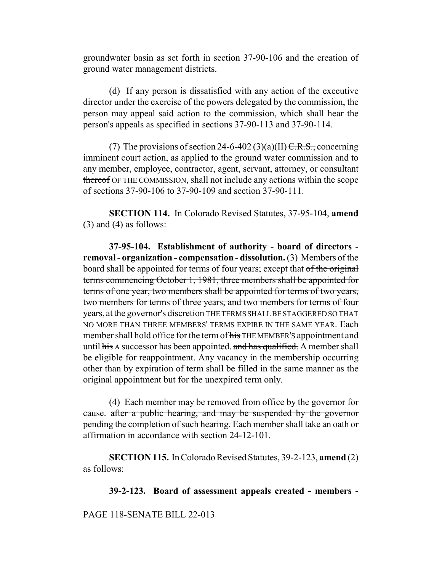groundwater basin as set forth in section 37-90-106 and the creation of ground water management districts.

(d) If any person is dissatisfied with any action of the executive director under the exercise of the powers delegated by the commission, the person may appeal said action to the commission, which shall hear the person's appeals as specified in sections 37-90-113 and 37-90-114.

(7) The provisions of section 24-6-402 (3)(a)(II)  $C.R.S.,$  concerning imminent court action, as applied to the ground water commission and to any member, employee, contractor, agent, servant, attorney, or consultant thereof OF THE COMMISSION, shall not include any actions within the scope of sections 37-90-106 to 37-90-109 and section 37-90-111.

**SECTION 114.** In Colorado Revised Statutes, 37-95-104, **amend** (3) and (4) as follows:

**37-95-104. Establishment of authority - board of directors removal - organization - compensation - dissolution.** (3) Members of the board shall be appointed for terms of four years; except that of the original terms commencing October 1, 1981, three members shall be appointed for terms of one year, two members shall be appointed for terms of two years, two members for terms of three years, and two members for terms of four years, at the governor's discretion THE TERMS SHALL BE STAGGERED SO THAT NO MORE THAN THREE MEMBERS' TERMS EXPIRE IN THE SAME YEAR. Each member shall hold office for the term of his THE MEMBER'S appointment and until his A successor has been appointed. and has qualified. A member shall be eligible for reappointment. Any vacancy in the membership occurring other than by expiration of term shall be filled in the same manner as the original appointment but for the unexpired term only.

(4) Each member may be removed from office by the governor for cause. after a public hearing, and may be suspended by the governor **pending the completion of such hearing.** Each member shall take an oath or affirmation in accordance with section 24-12-101.

**SECTION 115.** In Colorado Revised Statutes, 39-2-123, **amend** (2) as follows:

**39-2-123. Board of assessment appeals created - members -**

PAGE 118-SENATE BILL 22-013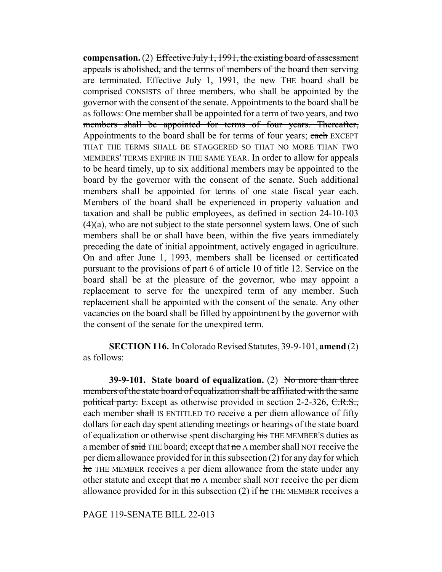**compensation.** (2) Effective July 1, 1991, the existing board of assessment appeals is abolished, and the terms of members of the board then serving are terminated. Effective July 1, 1991, the new THE board shall be comprised CONSISTS of three members, who shall be appointed by the governor with the consent of the senate. Appointments to the board shall be as follows: One member shall be appointed for a term of two years, and two members shall be appointed for terms of four years. Thereafter, Appointments to the board shall be for terms of four years; each EXCEPT THAT THE TERMS SHALL BE STAGGERED SO THAT NO MORE THAN TWO MEMBERS' TERMS EXPIRE IN THE SAME YEAR. In order to allow for appeals to be heard timely, up to six additional members may be appointed to the board by the governor with the consent of the senate. Such additional members shall be appointed for terms of one state fiscal year each. Members of the board shall be experienced in property valuation and taxation and shall be public employees, as defined in section 24-10-103 (4)(a), who are not subject to the state personnel system laws. One of such members shall be or shall have been, within the five years immediately preceding the date of initial appointment, actively engaged in agriculture. On and after June 1, 1993, members shall be licensed or certificated pursuant to the provisions of part 6 of article 10 of title 12. Service on the board shall be at the pleasure of the governor, who may appoint a replacement to serve for the unexpired term of any member. Such replacement shall be appointed with the consent of the senate. Any other vacancies on the board shall be filled by appointment by the governor with the consent of the senate for the unexpired term.

**SECTION 116.** In Colorado Revised Statutes, 39-9-101, **amend** (2) as follows:

**39-9-101.** State board of equalization. (2) No more than three members of the state board of equalization shall be affiliated with the same political party. Except as otherwise provided in section 2-2-326, C.R.S., each member shall IS ENTITLED TO receive a per diem allowance of fifty dollars for each day spent attending meetings or hearings of the state board of equalization or otherwise spent discharging his THE MEMBER'S duties as a member of said THE board; except that no A member shall NOT receive the per diem allowance provided for in this subsection (2) for any day for which he THE MEMBER receives a per diem allowance from the state under any other statute and except that  $\theta$  A member shall NOT receive the per diem allowance provided for in this subsection  $(2)$  if  $he$  THE MEMBER receives a

PAGE 119-SENATE BILL 22-013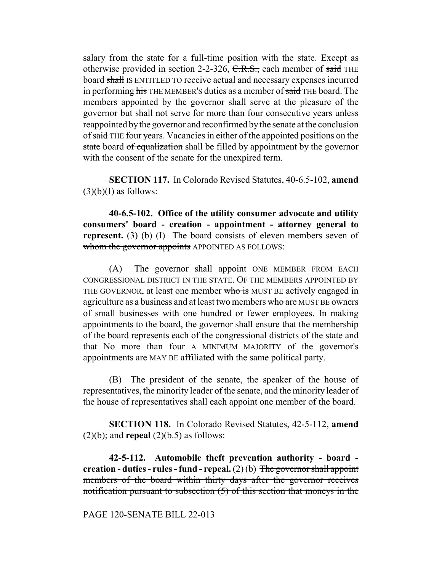salary from the state for a full-time position with the state. Except as otherwise provided in section 2-2-326,  $C.R.S.,$  each member of said THE board shall IS ENTITLED TO receive actual and necessary expenses incurred in performing his THE MEMBER's duties as a member of said THE board. The members appointed by the governor shall serve at the pleasure of the governor but shall not serve for more than four consecutive years unless reappointed by the governor and reconfirmed by the senate at the conclusion of said THE four years. Vacancies in either of the appointed positions on the state board of equalization shall be filled by appointment by the governor with the consent of the senate for the unexpired term.

**SECTION 117.** In Colorado Revised Statutes, 40-6.5-102, **amend**  $(3)(b)(I)$  as follows:

**40-6.5-102. Office of the utility consumer advocate and utility consumers' board - creation - appointment - attorney general to represent.** (3) (b) (I) The board consists of eleven members seven of whom the governor appoints APPOINTED AS FOLLOWS:

(A) The governor shall appoint ONE MEMBER FROM EACH CONGRESSIONAL DISTRICT IN THE STATE. OF THE MEMBERS APPOINTED BY THE GOVERNOR, at least one member who is MUST BE actively engaged in agriculture as a business and at least two members who are MUST BE owners of small businesses with one hundred or fewer employees. In making appointments to the board, the governor shall ensure that the membership of the board represents each of the congressional districts of the state and that No more than four A MINIMUM MAJORITY of the governor's appointments are MAY BE affiliated with the same political party.

(B) The president of the senate, the speaker of the house of representatives, the minority leader of the senate, and the minority leader of the house of representatives shall each appoint one member of the board.

**SECTION 118.** In Colorado Revised Statutes, 42-5-112, **amend**  $(2)(b)$ ; and **repeal**  $(2)(b.5)$  as follows:

**42-5-112. Automobile theft prevention authority - board creation - duties - rules - fund - repeal.** (2) (b) The governor shall appoint members of the board within thirty days after the governor receives notification pursuant to subsection (5) of this section that moneys in the

#### PAGE 120-SENATE BILL 22-013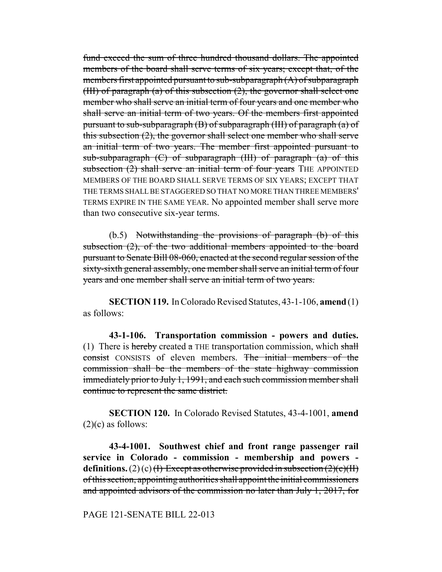fund exceed the sum of three hundred thousand dollars. The appointed members of the board shall serve terms of six years; except that, of the members first appointed pursuant to sub-subparagraph (A) of subparagraph (III) of paragraph  $(a)$  of this subsection  $(2)$ , the governor shall select one member who shall serve an initial term of four years and one member who shall serve an initial term of two years. Of the members first appointed pursuant to sub-subparagraph (B) of subparagraph (III) of paragraph (a) of this subsection (2), the governor shall select one member who shall serve an initial term of two years. The member first appointed pursuant to sub-subparagraph  $(C)$  of subparagraph (III) of paragraph  $(a)$  of this subsection (2) shall serve an initial term of four years THE APPOINTED MEMBERS OF THE BOARD SHALL SERVE TERMS OF SIX YEARS; EXCEPT THAT THE TERMS SHALL BE STAGGERED SO THAT NO MORE THAN THREE MEMBERS' TERMS EXPIRE IN THE SAME YEAR. No appointed member shall serve more than two consecutive six-year terms.

(b.5) Notwithstanding the provisions of paragraph (b) of this subsection (2), of the two additional members appointed to the board pursuant to Senate Bill 08-060, enacted at the second regular session of the sixty-sixth general assembly, one member shall serve an initial term of four years and one member shall serve an initial term of two years.

**SECTION 119.** In Colorado Revised Statutes, 43-1-106, **amend** (1) as follows:

**43-1-106. Transportation commission - powers and duties.** (1) There is hereby created  $\alpha$  THE transportation commission, which shall consist CONSISTS of eleven members. The initial members of the commission shall be the members of the state highway commission immediately prior to July 1, 1991, and each such commission member shall continue to represent the same district.

**SECTION 120.** In Colorado Revised Statutes, 43-4-1001, **amend**  $(2)(c)$  as follows:

**43-4-1001. Southwest chief and front range passenger rail service in Colorado - commission - membership and powers definitions.** (2) (c) <del>(I) Except as otherwise provided in subsection (2)(c)(II)</del> of this section, appointing authorities shall appoint the initial commissioners and appointed advisors of the commission no later than July 1, 2017, for

PAGE 121-SENATE BILL 22-013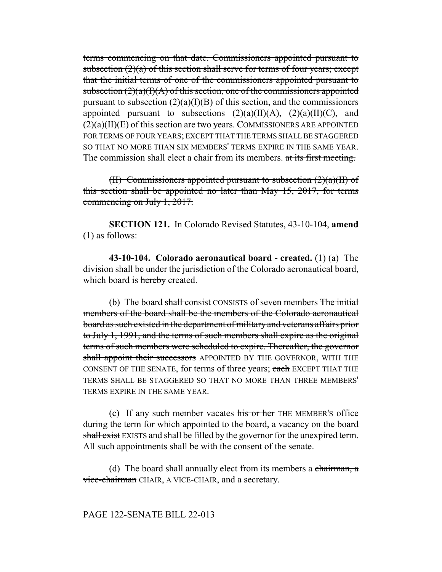terms commencing on that date. Commissioners appointed pursuant to subsection  $(2)(a)$  of this section shall serve for terms of four years; except that the initial terms of one of the commissioners appointed pursuant to subsection  $(2)(a)(I)(A)$  of this section, one of the commissioners appointed pursuant to subsection  $(2)(a)(I)(B)$  of this section, and the commissioners appointed pursuant to subsections  $(2)(a)(H)(A)$ ,  $(2)(a)(H)(C)$ , and  $(2)(a)(H)(E)$  of this section are two years. COMMISSIONERS ARE APPOINTED FOR TERMS OF FOUR YEARS; EXCEPT THAT THE TERMS SHALL BE STAGGERED SO THAT NO MORE THAN SIX MEMBERS' TERMS EXPIRE IN THE SAME YEAR. The commission shall elect a chair from its members. at its first meeting.

(II) Commissioners appointed pursuant to subsection  $(2)(a)(H)$  of this section shall be appointed no later than May 15, 2017, for terms commencing on July 1, 2017.

**SECTION 121.** In Colorado Revised Statutes, 43-10-104, **amend** (1) as follows:

**43-10-104. Colorado aeronautical board - created.** (1) (a) The division shall be under the jurisdiction of the Colorado aeronautical board, which board is hereby created.

(b) The board shall consist CONSISTS of seven members The initial members of the board shall be the members of the Colorado aeronautical board as such existed in the department of military and veterans affairs prior to July 1, 1991, and the terms of such members shall expire as the original terms of such members were scheduled to expire. Thereafter, the governor shall appoint their successors APPOINTED BY THE GOVERNOR, WITH THE CONSENT OF THE SENATE, for terms of three years; each EXCEPT THAT THE TERMS SHALL BE STAGGERED SO THAT NO MORE THAN THREE MEMBERS' TERMS EXPIRE IN THE SAME YEAR.

(c) If any such member vacates his or her THE MEMBER's office during the term for which appointed to the board, a vacancy on the board shall exist EXISTS and shall be filled by the governor for the unexpired term. All such appointments shall be with the consent of the senate.

(d) The board shall annually elect from its members a chairman, a vice-chairman CHAIR, A VICE-CHAIR, and a secretary.

## PAGE 122-SENATE BILL 22-013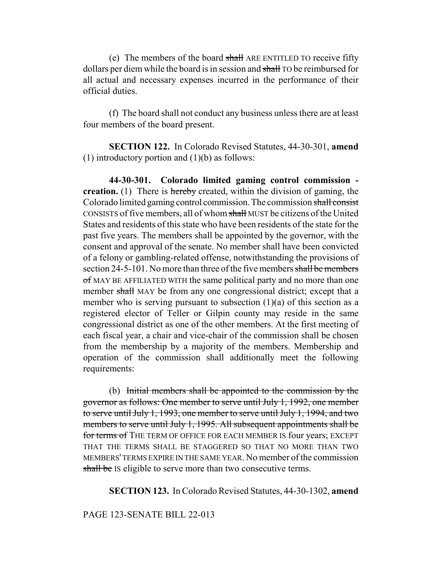(e) The members of the board shall ARE ENTITLED TO receive fifty dollars per diem while the board is in session and shall TO be reimbursed for all actual and necessary expenses incurred in the performance of their official duties.

(f) The board shall not conduct any business unless there are at least four members of the board present.

**SECTION 122.** In Colorado Revised Statutes, 44-30-301, **amend** (1) introductory portion and  $(1)(b)$  as follows:

**44-30-301. Colorado limited gaming control commission creation.** (1) There is hereby created, within the division of gaming, the Colorado limited gaming control commission. The commission shall consist CONSISTS of five members, all of whom shall MUST be citizens of the United States and residents of this state who have been residents of the state for the past five years. The members shall be appointed by the governor, with the consent and approval of the senate. No member shall have been convicted of a felony or gambling-related offense, notwithstanding the provisions of section 24-5-101. No more than three of the five members shall be members of MAY BE AFFILIATED WITH the same political party and no more than one member shall MAY be from any one congressional district; except that a member who is serving pursuant to subsection (1)(a) of this section as a registered elector of Teller or Gilpin county may reside in the same congressional district as one of the other members. At the first meeting of each fiscal year, a chair and vice-chair of the commission shall be chosen from the membership by a majority of the members. Membership and operation of the commission shall additionally meet the following requirements:

(b) Initial members shall be appointed to the commission by the governor as follows: One member to serve until July 1, 1992, one member to serve until July 1, 1993, one member to serve until July 1, 1994, and two members to serve until July 1, 1995. All subsequent appointments shall be for terms of THE TERM OF OFFICE FOR EACH MEMBER IS four years; EXCEPT THAT THE TERMS SHALL BE STAGGERED SO THAT NO MORE THAN TWO MEMBERS' TERMS EXPIRE IN THE SAME YEAR. No member of the commission shall be IS eligible to serve more than two consecutive terms.

**SECTION 123.** In Colorado Revised Statutes, 44-30-1302, **amend**

## PAGE 123-SENATE BILL 22-013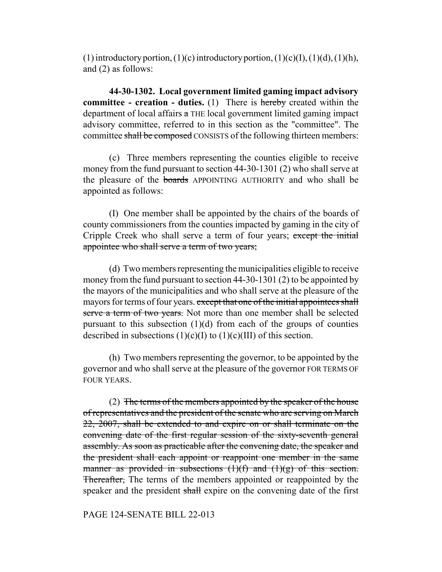(1) introductory portion, (1)(c) introductory portion, (1)(c)(I), (1)(d), (1)(h), and (2) as follows:

**44-30-1302. Local government limited gaming impact advisory committee - creation - duties.** (1) There is hereby created within the department of local affairs a THE local government limited gaming impact advisory committee, referred to in this section as the "committee". The committee shall be composed CONSISTS of the following thirteen members:

(c) Three members representing the counties eligible to receive money from the fund pursuant to section 44-30-1301 (2) who shall serve at the pleasure of the boards APPOINTING AUTHORITY and who shall be appointed as follows:

(I) One member shall be appointed by the chairs of the boards of county commissioners from the counties impacted by gaming in the city of Cripple Creek who shall serve a term of four years; except the initial appointee who shall serve a term of two years;

(d) Two members representing the municipalities eligible to receive money from the fund pursuant to section 44-30-1301 (2) to be appointed by the mayors of the municipalities and who shall serve at the pleasure of the mayors for terms of four years. except that one of the initial appointees shall serve a term of two years. Not more than one member shall be selected pursuant to this subsection  $(1)(d)$  from each of the groups of counties described in subsections  $(1)(c)(I)$  to  $(1)(c)(III)$  of this section.

(h) Two members representing the governor, to be appointed by the governor and who shall serve at the pleasure of the governor FOR TERMS OF FOUR YEARS.

(2) The terms of the members appointed by the speaker of the house of representatives and the president of the senate who are serving on March 22, 2007, shall be extended to and expire on or shall terminate on the convening date of the first regular session of the sixty-seventh general assembly. As soon as practicable after the convening date, the speaker and the president shall each appoint or reappoint one member in the same manner as provided in subsections  $(1)(f)$  and  $(1)(g)$  of this section. **Thereafter,** The terms of the members appointed or reappointed by the speaker and the president shall expire on the convening date of the first

#### PAGE 124-SENATE BILL 22-013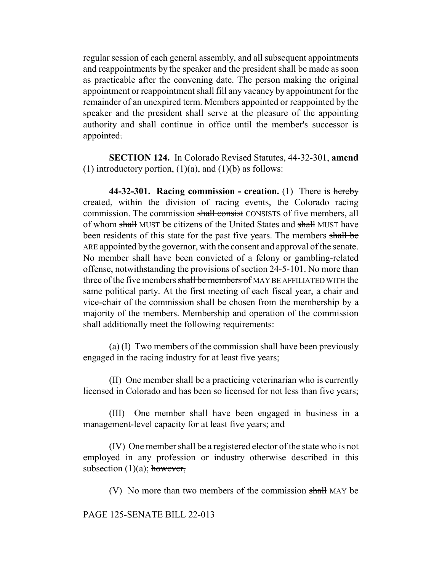regular session of each general assembly, and all subsequent appointments and reappointments by the speaker and the president shall be made as soon as practicable after the convening date. The person making the original appointment or reappointment shall fill any vacancy by appointment for the remainder of an unexpired term. Members appointed or reappointed by the speaker and the president shall serve at the pleasure of the appointing authority and shall continue in office until the member's successor is appointed.

**SECTION 124.** In Colorado Revised Statutes, 44-32-301, **amend** (1) introductory portion,  $(1)(a)$ , and  $(1)(b)$  as follows:

**44-32-301. Racing commission - creation.** (1) There is hereby created, within the division of racing events, the Colorado racing commission. The commission shall consist CONSISTS of five members, all of whom shall MUST be citizens of the United States and shall MUST have been residents of this state for the past five years. The members shall be ARE appointed by the governor, with the consent and approval of the senate. No member shall have been convicted of a felony or gambling-related offense, notwithstanding the provisions of section 24-5-101. No more than three of the five members shall be members of MAY BE AFFILIATED WITH the same political party. At the first meeting of each fiscal year, a chair and vice-chair of the commission shall be chosen from the membership by a majority of the members. Membership and operation of the commission shall additionally meet the following requirements:

(a) (I) Two members of the commission shall have been previously engaged in the racing industry for at least five years;

(II) One member shall be a practicing veterinarian who is currently licensed in Colorado and has been so licensed for not less than five years;

(III) One member shall have been engaged in business in a management-level capacity for at least five years; and

(IV) One member shall be a registered elector of the state who is not employed in any profession or industry otherwise described in this subsection  $(1)(a)$ ; however,

(V) No more than two members of the commission shall MAY be

PAGE 125-SENATE BILL 22-013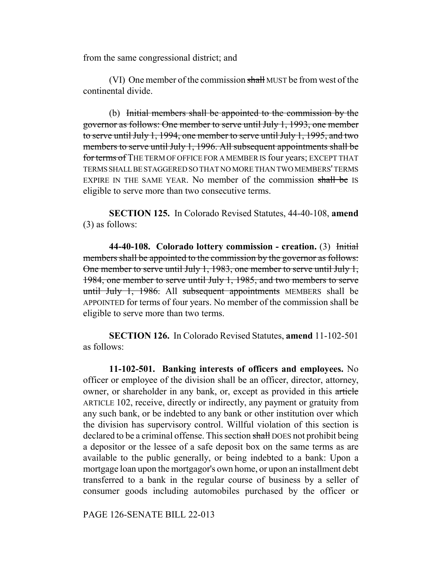from the same congressional district; and

(VI) One member of the commission shall MUST be from west of the continental divide.

(b) Initial members shall be appointed to the commission by the governor as follows: One member to serve until July 1, 1993, one member to serve until July 1, 1994, one member to serve until July 1, 1995, and two members to serve until July 1, 1996. All subsequent appointments shall be for terms of THE TERM OF OFFICE FOR A MEMBER IS four years; EXCEPT THAT TERMS SHALL BE STAGGERED SO THAT NO MORE THAN TWO MEMBERS' TERMS EXPIRE IN THE SAME YEAR. No member of the commission shall be IS eligible to serve more than two consecutive terms.

**SECTION 125.** In Colorado Revised Statutes, 44-40-108, **amend** (3) as follows:

**44-40-108. Colorado lottery commission - creation.** (3) Initial members shall be appointed to the commission by the governor as follows: One member to serve until July 1, 1983, one member to serve until July 1, 1984, one member to serve until July 1, 1985, and two members to serve until July 1, 1986. All subsequent appointments MEMBERS shall be APPOINTED for terms of four years. No member of the commission shall be eligible to serve more than two terms.

**SECTION 126.** In Colorado Revised Statutes, **amend** 11-102-501 as follows:

**11-102-501. Banking interests of officers and employees.** No officer or employee of the division shall be an officer, director, attorney, owner, or shareholder in any bank, or, except as provided in this article ARTICLE 102, receive, directly or indirectly, any payment or gratuity from any such bank, or be indebted to any bank or other institution over which the division has supervisory control. Willful violation of this section is declared to be a criminal offense. This section shall DOES not prohibit being a depositor or the lessee of a safe deposit box on the same terms as are available to the public generally, or being indebted to a bank: Upon a mortgage loan upon the mortgagor's own home, or upon an installment debt transferred to a bank in the regular course of business by a seller of consumer goods including automobiles purchased by the officer or

PAGE 126-SENATE BILL 22-013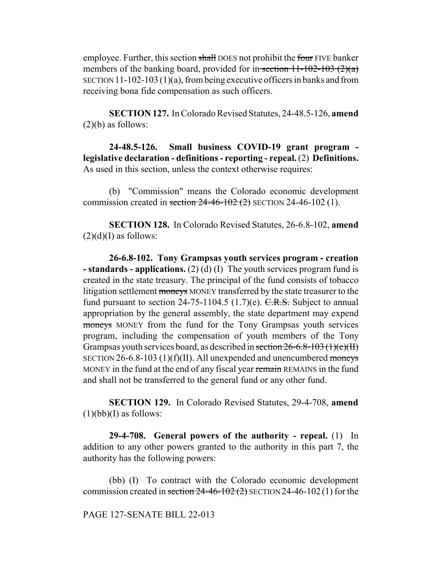employee. Further, this section shall DOES not prohibit the four FIVE banker members of the banking board, provided for in section  $11-102-103$  (2)(a) SECTION 11-102-103 (1)(a), from being executive officers in banks and from receiving bona fide compensation as such officers.

**SECTION 127.** In Colorado Revised Statutes, 24-48.5-126, **amend**  $(2)(b)$  as follows:

**24-48.5-126. Small business COVID-19 grant program legislative declaration - definitions - reporting - repeal.** (2) **Definitions.** As used in this section, unless the context otherwise requires:

(b) "Commission" means the Colorado economic development commission created in section  $24-46-102$  (2) SECTION 24-46-102 (1).

**SECTION 128.** In Colorado Revised Statutes, 26-6.8-102, **amend**  $(2)(d)(I)$  as follows:

**26-6.8-102. Tony Grampsas youth services program - creation - standards - applications.** (2) (d) (I) The youth services program fund is created in the state treasury. The principal of the fund consists of tobacco litigation settlement moneys MONEY transferred by the state treasurer to the fund pursuant to section 24-75-1104.5 (1.7)(e).  $C.R.S.$  Subject to annual appropriation by the general assembly, the state department may expend moneys MONEY from the fund for the Tony Grampsas youth services program, including the compensation of youth members of the Tony Grampsas youth services board, as described in section  $26-6.8-103$  (1)(e)(II) SECTION  $26-6.8-103$  (1)(f)(II). All unexpended and unencumbered moneys MONEY in the fund at the end of any fiscal year remain REMAINS in the fund and shall not be transferred to the general fund or any other fund.

**SECTION 129.** In Colorado Revised Statutes, 29-4-708, **amend**  $(1)(bb)(I)$  as follows:

**29-4-708. General powers of the authority - repeal.** (1) In addition to any other powers granted to the authority in this part 7, the authority has the following powers:

(bb) (I) To contract with the Colorado economic development commission created in section  $24-46-102(2)$  SECTION 24-46-102(1) for the

PAGE 127-SENATE BILL 22-013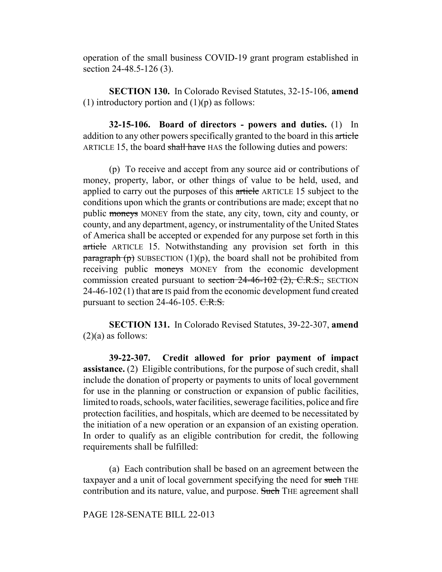operation of the small business COVID-19 grant program established in section 24-48.5-126 (3).

**SECTION 130.** In Colorado Revised Statutes, 32-15-106, **amend** (1) introductory portion and  $(1)(p)$  as follows:

**32-15-106. Board of directors - powers and duties.** (1) In addition to any other powers specifically granted to the board in this article ARTICLE 15, the board shall have HAS the following duties and powers:

(p) To receive and accept from any source aid or contributions of money, property, labor, or other things of value to be held, used, and applied to carry out the purposes of this article ARTICLE 15 subject to the conditions upon which the grants or contributions are made; except that no public moneys MONEY from the state, any city, town, city and county, or county, and any department, agency, or instrumentality of the United States of America shall be accepted or expended for any purpose set forth in this article ARTICLE 15. Notwithstanding any provision set forth in this  $\frac{\text{pargraph}}{\text{p}}$  SUBSECTION (1)(p), the board shall not be prohibited from receiving public moneys MONEY from the economic development commission created pursuant to section  $24-46-102$  (2), C.R.S., SECTION  $24-46-102(1)$  that are IS paid from the economic development fund created pursuant to section 24-46-105. C.R.S.

**SECTION 131.** In Colorado Revised Statutes, 39-22-307, **amend**  $(2)(a)$  as follows:

**39-22-307. Credit allowed for prior payment of impact assistance.** (2) Eligible contributions, for the purpose of such credit, shall include the donation of property or payments to units of local government for use in the planning or construction or expansion of public facilities, limited to roads, schools, water facilities, sewerage facilities, police and fire protection facilities, and hospitals, which are deemed to be necessitated by the initiation of a new operation or an expansion of an existing operation. In order to qualify as an eligible contribution for credit, the following requirements shall be fulfilled:

(a) Each contribution shall be based on an agreement between the taxpayer and a unit of local government specifying the need for such THE contribution and its nature, value, and purpose. Such THE agreement shall

PAGE 128-SENATE BILL 22-013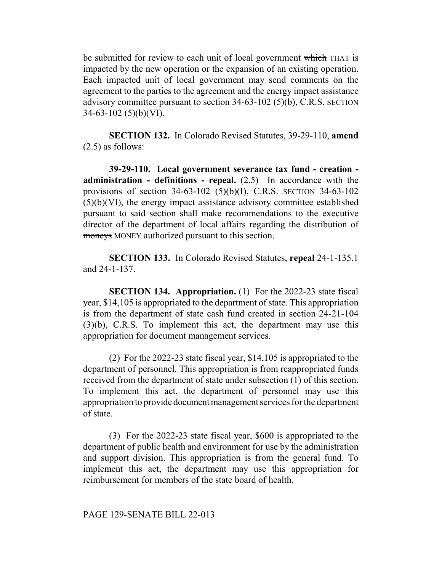be submitted for review to each unit of local government which THAT is impacted by the new operation or the expansion of an existing operation. Each impacted unit of local government may send comments on the agreement to the parties to the agreement and the energy impact assistance advisory committee pursuant to section  $34-63-102$  (5)(b), C.R.S. SECTION 34-63-102 (5)(b)(VI).

**SECTION 132.** In Colorado Revised Statutes, 39-29-110, **amend** (2.5) as follows:

**39-29-110. Local government severance tax fund - creation administration - definitions - repeal.** (2.5) In accordance with the provisions of section  $34-63-102$   $(5)(b)(1)$ , C.R.S. SECTION 34-63-102 (5)(b)(VI), the energy impact assistance advisory committee established pursuant to said section shall make recommendations to the executive director of the department of local affairs regarding the distribution of moneys MONEY authorized pursuant to this section.

**SECTION 133.** In Colorado Revised Statutes, **repeal** 24-1-135.1 and 24-1-137.

**SECTION 134. Appropriation.** (1) For the 2022-23 state fiscal year, \$14,105 is appropriated to the department of state. This appropriation is from the department of state cash fund created in section 24-21-104 (3)(b), C.R.S. To implement this act, the department may use this appropriation for document management services.

(2) For the 2022-23 state fiscal year, \$14,105 is appropriated to the department of personnel. This appropriation is from reappropriated funds received from the department of state under subsection (1) of this section. To implement this act, the department of personnel may use this appropriation to provide document management services for the department of state.

(3) For the 2022-23 state fiscal year, \$600 is appropriated to the department of public health and environment for use by the administration and support division. This appropriation is from the general fund. To implement this act, the department may use this appropriation for reimbursement for members of the state board of health.

PAGE 129-SENATE BILL 22-013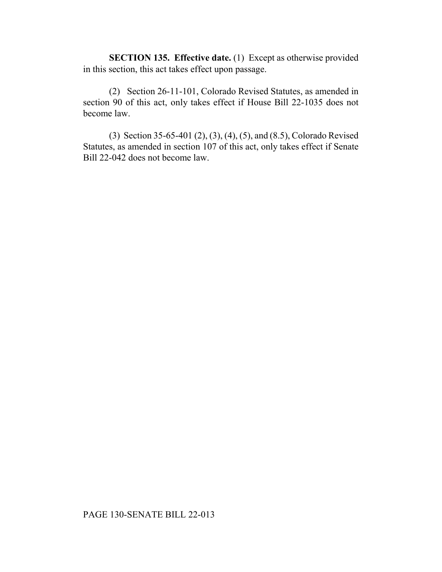**SECTION 135. Effective date.** (1) Except as otherwise provided in this section, this act takes effect upon passage.

(2) Section 26-11-101, Colorado Revised Statutes, as amended in section 90 of this act, only takes effect if House Bill 22-1035 does not become law.

(3) Section 35-65-401 (2), (3), (4), (5), and (8.5), Colorado Revised Statutes, as amended in section 107 of this act, only takes effect if Senate Bill 22-042 does not become law.